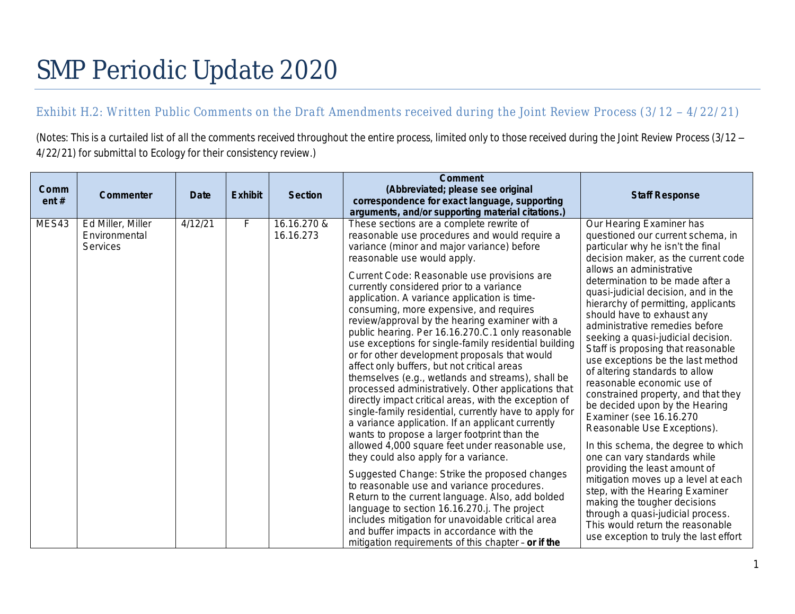# SMP Periodic Update 2020

# Exhibit H.2: Written Public Comments on the Draft Amendments received during the Joint Review Process (3/12 - 4/22/21)

*(Notes: This is a curtailed list of all the comments received throughout the entire process, limited only to those received during the Joint Review Process (3/12 – 4/22/21) for submittal to Ecology for their consistency review.)*

| Comm<br>ent# | Commenter                                             | <b>Date</b> | <b>Exhibit</b> | <b>Section</b>           | Comment<br>(Abbreviated; please see original<br>correspondence for exact language, supporting<br>arguments, and/or supporting material citations.)                                                                                                                                                                                                                                                                                                                                                                                                                                                                                                                                                                                                                                                                                                                                                                                                                                                                                                                                                                                                                                                                                                                                                                                                                                                                       | <b>Staff Response</b>                                                                                                                                                                                                                                                                                                                                                                                                                                                                                                                                                                                                                                                                                                                                                                                                                                                                                                                                                                                            |
|--------------|-------------------------------------------------------|-------------|----------------|--------------------------|--------------------------------------------------------------------------------------------------------------------------------------------------------------------------------------------------------------------------------------------------------------------------------------------------------------------------------------------------------------------------------------------------------------------------------------------------------------------------------------------------------------------------------------------------------------------------------------------------------------------------------------------------------------------------------------------------------------------------------------------------------------------------------------------------------------------------------------------------------------------------------------------------------------------------------------------------------------------------------------------------------------------------------------------------------------------------------------------------------------------------------------------------------------------------------------------------------------------------------------------------------------------------------------------------------------------------------------------------------------------------------------------------------------------------|------------------------------------------------------------------------------------------------------------------------------------------------------------------------------------------------------------------------------------------------------------------------------------------------------------------------------------------------------------------------------------------------------------------------------------------------------------------------------------------------------------------------------------------------------------------------------------------------------------------------------------------------------------------------------------------------------------------------------------------------------------------------------------------------------------------------------------------------------------------------------------------------------------------------------------------------------------------------------------------------------------------|
| MES43        | Ed Miller, Miller<br>Environmental<br><b>Services</b> | 4/12/21     | F              | 16.16.270 &<br>16.16.273 | These sections are a complete rewrite of<br>reasonable use procedures and would require a<br>variance (minor and major variance) before<br>reasonable use would apply.<br>Current Code: Reasonable use provisions are<br>currently considered prior to a variance<br>application. A variance application is time-<br>consuming, more expensive, and requires<br>review/approval by the hearing examiner with a<br>public hearing. Per 16.16.270.C.1 only reasonable<br>use exceptions for single-family residential building<br>or for other development proposals that would<br>affect only buffers, but not critical areas<br>themselves (e.g., wetlands and streams), shall be<br>processed administratively. Other applications that<br>directly impact critical areas, with the exception of<br>single-family residential, currently have to apply for<br>a variance application. If an applicant currently<br>wants to propose a larger footprint than the<br>allowed 4,000 square feet under reasonable use,<br>they could also apply for a variance.<br>Suggested Change: Strike the proposed changes<br>to reasonable use and variance procedures.<br>Return to the current language. Also, add bolded<br>language to section 16.16.270.j. The project<br>includes mitigation for unavoidable critical area<br>and buffer impacts in accordance with the<br>mitigation requirements of this chapter - or if the | Our Hearing Examiner has<br>questioned our current schema, in<br>particular why he isn't the final<br>decision maker, as the current code<br>allows an administrative<br>determination to be made after a<br>quasi-judicial decision, and in the<br>hierarchy of permitting, applicants<br>should have to exhaust any<br>administrative remedies before<br>seeking a quasi-judicial decision.<br>Staff is proposing that reasonable<br>use exceptions be the last method<br>of altering standards to allow<br>reasonable economic use of<br>constrained property, and that they<br>be decided upon by the Hearing<br>Examiner (see 16.16.270<br>Reasonable Use Exceptions).<br>In this schema, the degree to which<br>one can vary standards while<br>providing the least amount of<br>mitigation moves up a level at each<br>step, with the Hearing Examiner<br>making the tougher decisions<br>through a quasi-judicial process.<br>This would return the reasonable<br>use exception to truly the last effort |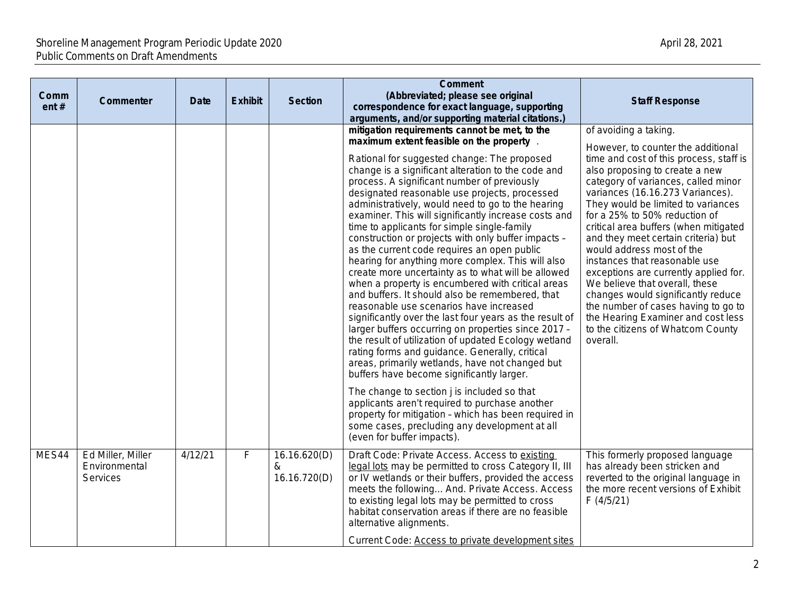| Comm<br>ent# | Commenter                                             | <b>Date</b> | <b>Exhibit</b> | <b>Section</b>                    | <b>Comment</b><br>(Abbreviated; please see original<br>correspondence for exact language, supporting<br>arguments, and/or supporting material citations.)                                                                                                                                                                                                                                                                                                                                                                                                                                                                                                                                                                                                                                                                                                                                                                                                                                                                                                                                                | <b>Staff Response</b>                                                                                                                                                                                                                                                                                                                                                                                                                                                                                                                                                                                                                                          |
|--------------|-------------------------------------------------------|-------------|----------------|-----------------------------------|----------------------------------------------------------------------------------------------------------------------------------------------------------------------------------------------------------------------------------------------------------------------------------------------------------------------------------------------------------------------------------------------------------------------------------------------------------------------------------------------------------------------------------------------------------------------------------------------------------------------------------------------------------------------------------------------------------------------------------------------------------------------------------------------------------------------------------------------------------------------------------------------------------------------------------------------------------------------------------------------------------------------------------------------------------------------------------------------------------|----------------------------------------------------------------------------------------------------------------------------------------------------------------------------------------------------------------------------------------------------------------------------------------------------------------------------------------------------------------------------------------------------------------------------------------------------------------------------------------------------------------------------------------------------------------------------------------------------------------------------------------------------------------|
|              |                                                       |             |                |                                   | mitigation requirements cannot be met, to the                                                                                                                                                                                                                                                                                                                                                                                                                                                                                                                                                                                                                                                                                                                                                                                                                                                                                                                                                                                                                                                            | of avoiding a taking.                                                                                                                                                                                                                                                                                                                                                                                                                                                                                                                                                                                                                                          |
|              |                                                       |             |                |                                   | maximum extent feasible on the property<br>Rational for suggested change: The proposed<br>change is a significant alteration to the code and<br>process. A significant number of previously<br>designated reasonable use projects, processed<br>administratively, would need to go to the hearing<br>examiner. This will significantly increase costs and<br>time to applicants for simple single-family<br>construction or projects with only buffer impacts -<br>as the current code requires an open public<br>hearing for anything more complex. This will also<br>create more uncertainty as to what will be allowed<br>when a property is encumbered with critical areas<br>and buffers. It should also be remembered, that<br>reasonable use scenarios have increased<br>significantly over the last four years as the result of<br>larger buffers occurring on properties since 2017 -<br>the result of utilization of updated Ecology wetland<br>rating forms and guidance. Generally, critical<br>areas, primarily wetlands, have not changed but<br>buffers have become significantly larger. | However, to counter the additional<br>time and cost of this process, staff is<br>also proposing to create a new<br>category of variances, called minor<br>variances (16.16.273 Variances).<br>They would be limited to variances<br>for a 25% to 50% reduction of<br>critical area buffers (when mitigated<br>and they meet certain criteria) but<br>would address most of the<br>instances that reasonable use<br>exceptions are currently applied for.<br>We believe that overall, these<br>changes would significantly reduce<br>the number of cases having to go to<br>the Hearing Examiner and cost less<br>to the citizens of Whatcom County<br>overall. |
|              |                                                       |             |                |                                   | The change to section j is included so that<br>applicants aren't required to purchase another<br>property for mitigation - which has been required in<br>some cases, precluding any development at all<br>(even for buffer impacts).                                                                                                                                                                                                                                                                                                                                                                                                                                                                                                                                                                                                                                                                                                                                                                                                                                                                     |                                                                                                                                                                                                                                                                                                                                                                                                                                                                                                                                                                                                                                                                |
| MES44        | Ed Miller, Miller<br>Environmental<br><b>Services</b> | 4/12/21     | F              | 16.16.620(D)<br>&<br>16.16.720(D) | Draft Code: Private Access. Access to existing<br>legal lots may be permitted to cross Category II, III<br>or IV wetlands or their buffers, provided the access<br>meets the following And. Private Access. Access<br>to existing legal lots may be permitted to cross<br>habitat conservation areas if there are no feasible<br>alternative alignments.<br>Current Code: Access to private development sites                                                                                                                                                                                                                                                                                                                                                                                                                                                                                                                                                                                                                                                                                            | This formerly proposed language<br>has already been stricken and<br>reverted to the original language in<br>the more recent versions of Exhibit<br>F(4/5/21)                                                                                                                                                                                                                                                                                                                                                                                                                                                                                                   |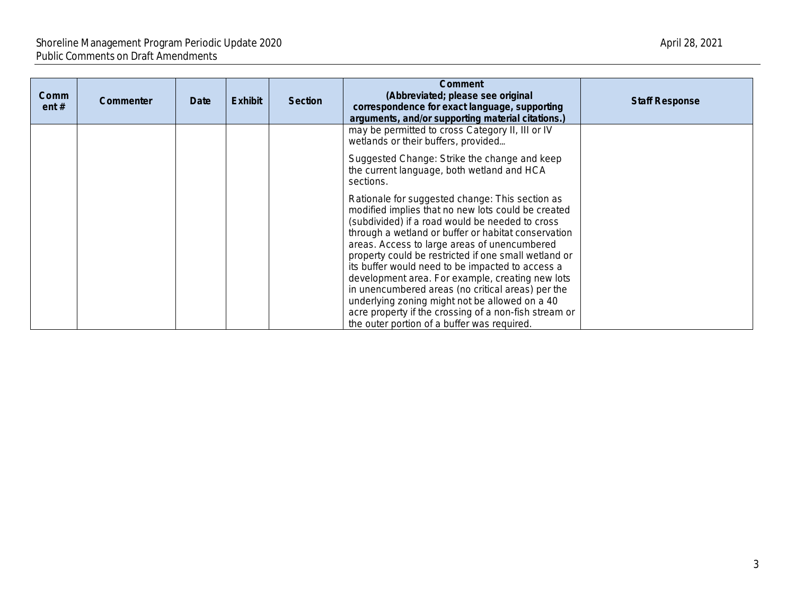| Comm<br>ent# | <b>Commenter</b> | Date | <b>Exhibit</b> | <b>Section</b> | Comment<br>(Abbreviated; please see original<br>correspondence for exact language, supporting<br>arguments, and/or supporting material citations.)                                                                                                                                                                                                                                                                                                                                                                                                                                                                                             | <b>Staff Response</b> |
|--------------|------------------|------|----------------|----------------|------------------------------------------------------------------------------------------------------------------------------------------------------------------------------------------------------------------------------------------------------------------------------------------------------------------------------------------------------------------------------------------------------------------------------------------------------------------------------------------------------------------------------------------------------------------------------------------------------------------------------------------------|-----------------------|
|              |                  |      |                |                | may be permitted to cross Category II, III or IV<br>wetlands or their buffers, provided                                                                                                                                                                                                                                                                                                                                                                                                                                                                                                                                                        |                       |
|              |                  |      |                |                | Suggested Change: Strike the change and keep<br>the current language, both wetland and HCA<br>sections.                                                                                                                                                                                                                                                                                                                                                                                                                                                                                                                                        |                       |
|              |                  |      |                |                | Rationale for suggested change: This section as<br>modified implies that no new lots could be created<br>(subdivided) if a road would be needed to cross<br>through a wetland or buffer or habitat conservation<br>areas. Access to large areas of unencumbered<br>property could be restricted if one small wetland or<br>its buffer would need to be impacted to access a<br>development area. For example, creating new lots<br>in unencumbered areas (no critical areas) per the<br>underlying zoning might not be allowed on a 40<br>acre property if the crossing of a non-fish stream or<br>the outer portion of a buffer was required. |                       |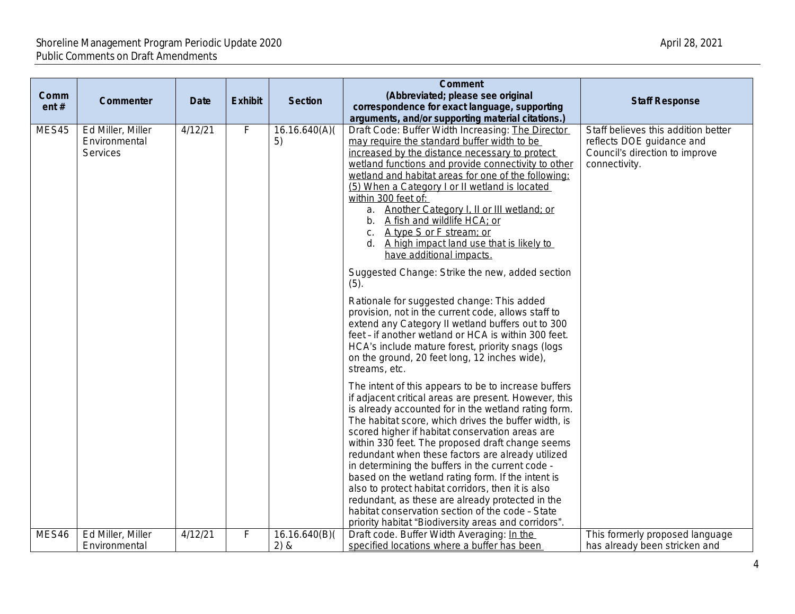### Shoreline Management Program Periodic Update 2020 April 28, 2021 April 28, 2021 Public Comments on Draft Amendments

| Comm<br>ent# | Commenter                                      | <b>Date</b> | <b>Exhibit</b> | <b>Section</b>        | Comment<br>(Abbreviated; please see original<br>correspondence for exact language, supporting<br>arguments, and/or supporting material citations.)                                                                                                                                                                                                                                                                                                                                                                                                                                                                                                                                                                                                                                                                                                                                                                       | <b>Staff Response</b>                                                                                               |
|--------------|------------------------------------------------|-------------|----------------|-----------------------|--------------------------------------------------------------------------------------------------------------------------------------------------------------------------------------------------------------------------------------------------------------------------------------------------------------------------------------------------------------------------------------------------------------------------------------------------------------------------------------------------------------------------------------------------------------------------------------------------------------------------------------------------------------------------------------------------------------------------------------------------------------------------------------------------------------------------------------------------------------------------------------------------------------------------|---------------------------------------------------------------------------------------------------------------------|
| MES45        | Ed Miller, Miller<br>Environmental<br>Services | 4/12/21     | F              | 16.16.640(A)(<br>5)   | Draft Code: Buffer Width Increasing: The Director<br>may require the standard buffer width to be<br>increased by the distance necessary to protect<br>wetland functions and provide connectivity to other<br>wetland and habitat areas for one of the following:<br>(5) When a Category I or II wetland is located<br>within 300 feet of:<br>a. Another Category I, II or III wetland; or<br>b. A fish and wildlife HCA; or<br>c. A type S or F stream; or<br>d. A high impact land use that is likely to<br>have additional impacts.<br>Suggested Change: Strike the new, added section<br>(5).<br>Rationale for suggested change: This added<br>provision, not in the current code, allows staff to<br>extend any Category II wetland buffers out to 300<br>feet - if another wetland or HCA is within 300 feet.<br>HCA's include mature forest, priority snags (logs<br>on the ground, 20 feet long, 12 inches wide), | Staff believes this addition better<br>reflects DOE guidance and<br>Council's direction to improve<br>connectivity. |
|              |                                                |             |                |                       | streams, etc.<br>The intent of this appears to be to increase buffers<br>if adjacent critical areas are present. However, this<br>is already accounted for in the wetland rating form.<br>The habitat score, which drives the buffer width, is<br>scored higher if habitat conservation areas are<br>within 330 feet. The proposed draft change seems<br>redundant when these factors are already utilized<br>in determining the buffers in the current code -<br>based on the wetland rating form. If the intent is<br>also to protect habitat corridors, then it is also<br>redundant, as these are already protected in the<br>habitat conservation section of the code - State<br>priority habitat "Biodiversity areas and corridors".                                                                                                                                                                               |                                                                                                                     |
| MES46        | Ed Miller, Miller<br>Environmental             | 4/12/21     | $\overline{F}$ | 16.16.640(B)(<br>2) & | Draft code. Buffer Width Averaging: In the<br>specified locations where a buffer has been                                                                                                                                                                                                                                                                                                                                                                                                                                                                                                                                                                                                                                                                                                                                                                                                                                | This formerly proposed language<br>has already been stricken and                                                    |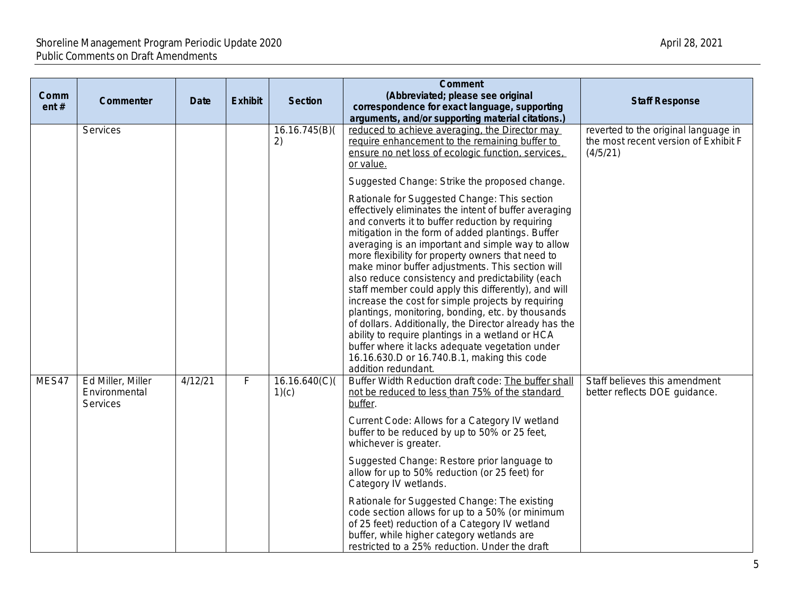| Comm<br>ent# | Commenter                                      | <b>Date</b> | <b>Exhibit</b> | <b>Section</b>         | <b>Comment</b><br>(Abbreviated; please see original<br>correspondence for exact language, supporting<br>arguments, and/or supporting material citations.)                                                                                                                                                                                                                                                                                                                                                                                                                                                                                                                                                                                                                                                                                  | <b>Staff Response</b>                                                                    |
|--------------|------------------------------------------------|-------------|----------------|------------------------|--------------------------------------------------------------------------------------------------------------------------------------------------------------------------------------------------------------------------------------------------------------------------------------------------------------------------------------------------------------------------------------------------------------------------------------------------------------------------------------------------------------------------------------------------------------------------------------------------------------------------------------------------------------------------------------------------------------------------------------------------------------------------------------------------------------------------------------------|------------------------------------------------------------------------------------------|
|              | Services                                       |             |                | 16.16.745(B)(<br>2)    | reduced to achieve averaging, the Director may<br>require enhancement to the remaining buffer to<br>ensure no net loss of ecologic function, services,<br>or value.                                                                                                                                                                                                                                                                                                                                                                                                                                                                                                                                                                                                                                                                        | reverted to the original language in<br>the most recent version of Exhibit F<br>(4/5/21) |
|              |                                                |             |                |                        | Suggested Change: Strike the proposed change.                                                                                                                                                                                                                                                                                                                                                                                                                                                                                                                                                                                                                                                                                                                                                                                              |                                                                                          |
|              |                                                |             |                |                        | Rationale for Suggested Change: This section<br>effectively eliminates the intent of buffer averaging<br>and converts it to buffer reduction by requiring<br>mitigation in the form of added plantings. Buffer<br>averaging is an important and simple way to allow<br>more flexibility for property owners that need to<br>make minor buffer adjustments. This section will<br>also reduce consistency and predictability (each<br>staff member could apply this differently), and will<br>increase the cost for simple projects by requiring<br>plantings, monitoring, bonding, etc. by thousands<br>of dollars. Additionally, the Director already has the<br>ability to require plantings in a wetland or HCA<br>buffer where it lacks adequate vegetation under<br>16.16.630.D or 16.740.B.1, making this code<br>addition redundant. |                                                                                          |
| MES47        | Ed Miller, Miller<br>Environmental<br>Services | 4/12/21     | $\mathsf F$    | 16.16.640(C)(<br>1)(c) | Buffer Width Reduction draft code: The buffer shall<br>not be reduced to less than 75% of the standard<br>buffer.<br>Current Code: Allows for a Category IV wetland                                                                                                                                                                                                                                                                                                                                                                                                                                                                                                                                                                                                                                                                        | Staff believes this amendment<br>better reflects DOE guidance.                           |
|              |                                                |             |                |                        | buffer to be reduced by up to 50% or 25 feet,<br>whichever is greater.                                                                                                                                                                                                                                                                                                                                                                                                                                                                                                                                                                                                                                                                                                                                                                     |                                                                                          |
|              |                                                |             |                |                        | Suggested Change: Restore prior language to<br>allow for up to 50% reduction (or 25 feet) for<br>Category IV wetlands.                                                                                                                                                                                                                                                                                                                                                                                                                                                                                                                                                                                                                                                                                                                     |                                                                                          |
|              |                                                |             |                |                        | Rationale for Suggested Change: The existing<br>code section allows for up to a 50% (or minimum<br>of 25 feet) reduction of a Category IV wetland<br>buffer, while higher category wetlands are<br>restricted to a 25% reduction. Under the draft                                                                                                                                                                                                                                                                                                                                                                                                                                                                                                                                                                                          |                                                                                          |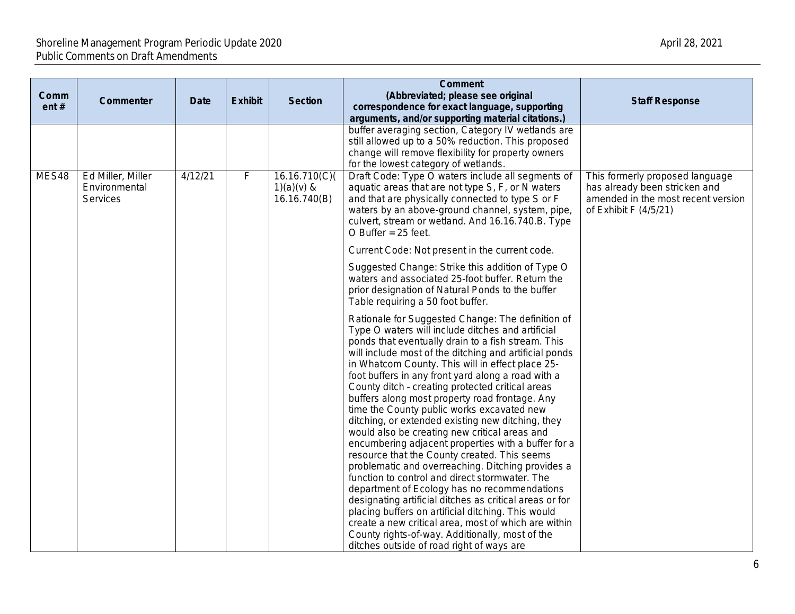| Comm<br>ent# | Commenter                                      | Date    | <b>Exhibit</b> | <b>Section</b>                                | <b>Comment</b><br>(Abbreviated; please see original<br>correspondence for exact language, supporting<br>arguments, and/or supporting material citations.)                                                                                                                                                                                                                                                                                                                                                                                                                                                                                                                                                                                                                                                                                                                                                                                                                                                                                                                                                                         | <b>Staff Response</b>                                                                                                           |
|--------------|------------------------------------------------|---------|----------------|-----------------------------------------------|-----------------------------------------------------------------------------------------------------------------------------------------------------------------------------------------------------------------------------------------------------------------------------------------------------------------------------------------------------------------------------------------------------------------------------------------------------------------------------------------------------------------------------------------------------------------------------------------------------------------------------------------------------------------------------------------------------------------------------------------------------------------------------------------------------------------------------------------------------------------------------------------------------------------------------------------------------------------------------------------------------------------------------------------------------------------------------------------------------------------------------------|---------------------------------------------------------------------------------------------------------------------------------|
|              |                                                |         |                |                                               | buffer averaging section, Category IV wetlands are<br>still allowed up to a 50% reduction. This proposed<br>change will remove flexibility for property owners<br>for the lowest category of wetlands.                                                                                                                                                                                                                                                                                                                                                                                                                                                                                                                                                                                                                                                                                                                                                                                                                                                                                                                            |                                                                                                                                 |
| MES48        | Ed Miller, Miller<br>Environmental<br>Services | 4/12/21 | $\mathsf F$    | 16.16.710(C)(<br>$1)(a)(v)$ &<br>16.16.740(B) | Draft Code: Type O waters include all segments of<br>aquatic areas that are not type S, F, or N waters<br>and that are physically connected to type S or F<br>waters by an above-ground channel, system, pipe,<br>culvert, stream or wetland. And 16.16.740.B. Type<br>O Buffer = $25$ feet.                                                                                                                                                                                                                                                                                                                                                                                                                                                                                                                                                                                                                                                                                                                                                                                                                                      | This formerly proposed language<br>has already been stricken and<br>amended in the most recent version<br>of Exhibit F (4/5/21) |
|              |                                                |         |                |                                               | Current Code: Not present in the current code.                                                                                                                                                                                                                                                                                                                                                                                                                                                                                                                                                                                                                                                                                                                                                                                                                                                                                                                                                                                                                                                                                    |                                                                                                                                 |
|              |                                                |         |                |                                               | Suggested Change: Strike this addition of Type O<br>waters and associated 25-foot buffer. Return the<br>prior designation of Natural Ponds to the buffer<br>Table requiring a 50 foot buffer.                                                                                                                                                                                                                                                                                                                                                                                                                                                                                                                                                                                                                                                                                                                                                                                                                                                                                                                                     |                                                                                                                                 |
|              |                                                |         |                |                                               | Rationale for Suggested Change: The definition of<br>Type O waters will include ditches and artificial<br>ponds that eventually drain to a fish stream. This<br>will include most of the ditching and artificial ponds<br>in Whatcom County. This will in effect place 25-<br>foot buffers in any front yard along a road with a<br>County ditch - creating protected critical areas<br>buffers along most property road frontage. Any<br>time the County public works excavated new<br>ditching, or extended existing new ditching, they<br>would also be creating new critical areas and<br>encumbering adjacent properties with a buffer for a<br>resource that the County created. This seems<br>problematic and overreaching. Ditching provides a<br>function to control and direct stormwater. The<br>department of Ecology has no recommendations<br>designating artificial ditches as critical areas or for<br>placing buffers on artificial ditching. This would<br>create a new critical area, most of which are within<br>County rights-of-way. Additionally, most of the<br>ditches outside of road right of ways are |                                                                                                                                 |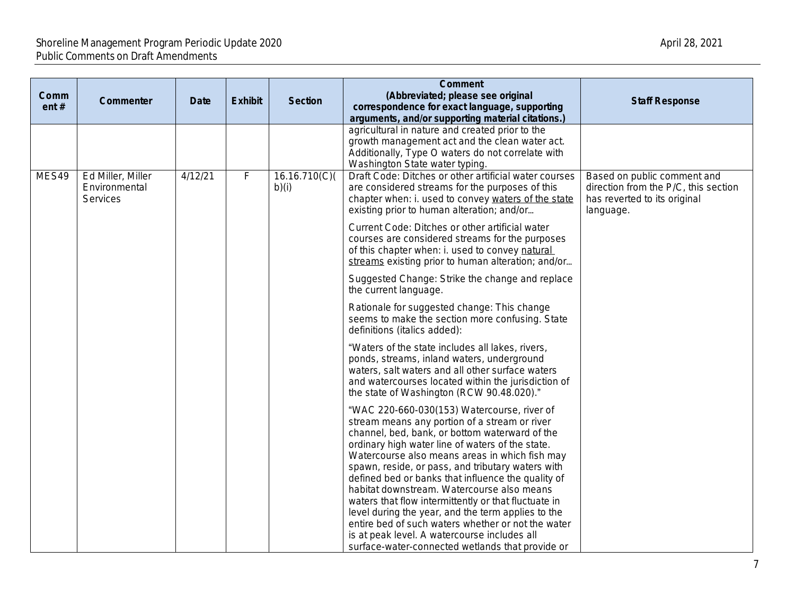| Comm<br>ent# | Commenter                                             | <b>Date</b> | <b>Exhibit</b> | <b>Section</b>        | <b>Comment</b><br>(Abbreviated; please see original<br>correspondence for exact language, supporting                                                                                                                                                                                                                                                                                                                                                                                                                                                                                                                                                                                  | <b>Staff Response</b>                                                                                            |
|--------------|-------------------------------------------------------|-------------|----------------|-----------------------|---------------------------------------------------------------------------------------------------------------------------------------------------------------------------------------------------------------------------------------------------------------------------------------------------------------------------------------------------------------------------------------------------------------------------------------------------------------------------------------------------------------------------------------------------------------------------------------------------------------------------------------------------------------------------------------|------------------------------------------------------------------------------------------------------------------|
|              |                                                       |             |                |                       | arguments, and/or supporting material citations.)<br>agricultural in nature and created prior to the<br>growth management act and the clean water act.<br>Additionally, Type O waters do not correlate with<br>Washington State water typing.                                                                                                                                                                                                                                                                                                                                                                                                                                         |                                                                                                                  |
| MES49        | Ed Miller, Miller<br>Environmental<br><b>Services</b> | 4/12/21     | F              | 16.16.710(C)<br>b)(i) | Draft Code: Ditches or other artificial water courses<br>are considered streams for the purposes of this<br>chapter when: i. used to convey waters of the state<br>existing prior to human alteration; and/or                                                                                                                                                                                                                                                                                                                                                                                                                                                                         | Based on public comment and<br>direction from the P/C, this section<br>has reverted to its original<br>language. |
|              |                                                       |             |                |                       | Current Code: Ditches or other artificial water<br>courses are considered streams for the purposes<br>of this chapter when: i. used to convey natural<br>streams existing prior to human alteration; and/or                                                                                                                                                                                                                                                                                                                                                                                                                                                                           |                                                                                                                  |
|              |                                                       |             |                |                       | Suggested Change: Strike the change and replace<br>the current language.                                                                                                                                                                                                                                                                                                                                                                                                                                                                                                                                                                                                              |                                                                                                                  |
|              |                                                       |             |                |                       | Rationale for suggested change: This change<br>seems to make the section more confusing. State<br>definitions (italics added):                                                                                                                                                                                                                                                                                                                                                                                                                                                                                                                                                        |                                                                                                                  |
|              |                                                       |             |                |                       | "Waters of the state includes all lakes, rivers,<br>ponds, streams, inland waters, underground<br>waters, salt waters and all other surface waters<br>and watercourses located within the jurisdiction of<br>the state of Washington (RCW 90.48.020)."                                                                                                                                                                                                                                                                                                                                                                                                                                |                                                                                                                  |
|              |                                                       |             |                |                       | "WAC 220-660-030(153) Watercourse, river of<br>stream means any portion of a stream or river<br>channel, bed, bank, or bottom waterward of the<br>ordinary high water line of waters of the state.<br>Watercourse also means areas in which fish may<br>spawn, reside, or pass, and tributary waters with<br>defined bed or banks that influence the quality of<br>habitat downstream. Watercourse also means<br>waters that flow intermittently or that fluctuate in<br>level during the year, and the term applies to the<br>entire bed of such waters whether or not the water<br>is at peak level. A watercourse includes all<br>surface-water-connected wetlands that provide or |                                                                                                                  |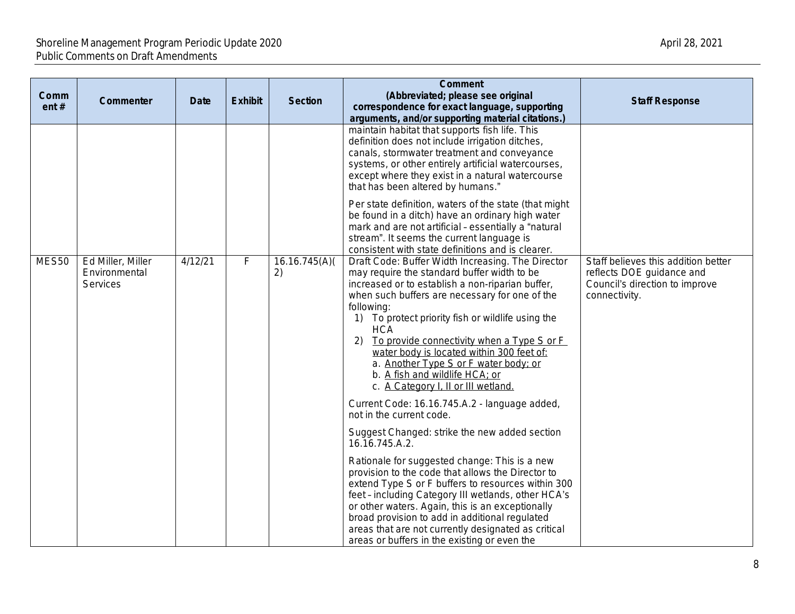| Comm<br>ent# | Commenter                                      | <b>Date</b> | <b>Exhibit</b> | <b>Section</b>     | <b>Comment</b><br>(Abbreviated; please see original<br>correspondence for exact language, supporting<br>arguments, and/or supporting material citations.)                                                                                                                                                                                                                                                                                                                                                                                                | <b>Staff Response</b>                                                                                               |
|--------------|------------------------------------------------|-------------|----------------|--------------------|----------------------------------------------------------------------------------------------------------------------------------------------------------------------------------------------------------------------------------------------------------------------------------------------------------------------------------------------------------------------------------------------------------------------------------------------------------------------------------------------------------------------------------------------------------|---------------------------------------------------------------------------------------------------------------------|
|              |                                                |             |                |                    | maintain habitat that supports fish life. This<br>definition does not include irrigation ditches,<br>canals, stormwater treatment and conveyance<br>systems, or other entirely artificial watercourses,<br>except where they exist in a natural watercourse<br>that has been altered by humans."                                                                                                                                                                                                                                                         |                                                                                                                     |
|              |                                                |             |                |                    | Per state definition, waters of the state (that might<br>be found in a ditch) have an ordinary high water<br>mark and are not artificial - essentially a "natural<br>stream". It seems the current language is<br>consistent with state definitions and is clearer.                                                                                                                                                                                                                                                                                      |                                                                                                                     |
| MES50        | Ed Miller, Miller<br>Environmental<br>Services | 4/12/21     | F              | 16.16.745(A)<br>2) | Draft Code: Buffer Width Increasing. The Director<br>may require the standard buffer width to be<br>increased or to establish a non-riparian buffer,<br>when such buffers are necessary for one of the<br>following:<br>To protect priority fish or wildlife using the<br>1)<br><b>HCA</b><br>To provide connectivity when a Type S or F<br>water body is located within 300 feet of:<br>a. Another Type S or F water body; or<br>b. A fish and wildlife HCA; or<br>c. A Category I, II or III wetland.<br>Current Code: 16.16.745.A.2 - language added, | Staff believes this addition better<br>reflects DOE guidance and<br>Council's direction to improve<br>connectivity. |
|              |                                                |             |                |                    | not in the current code.<br>Suggest Changed: strike the new added section<br>16.16.745.A.2.                                                                                                                                                                                                                                                                                                                                                                                                                                                              |                                                                                                                     |
|              |                                                |             |                |                    | Rationale for suggested change: This is a new<br>provision to the code that allows the Director to<br>extend Type S or F buffers to resources within 300<br>feet - including Category III wetlands, other HCA's<br>or other waters. Again, this is an exceptionally<br>broad provision to add in additional regulated<br>areas that are not currently designated as critical<br>areas or buffers in the existing or even the                                                                                                                             |                                                                                                                     |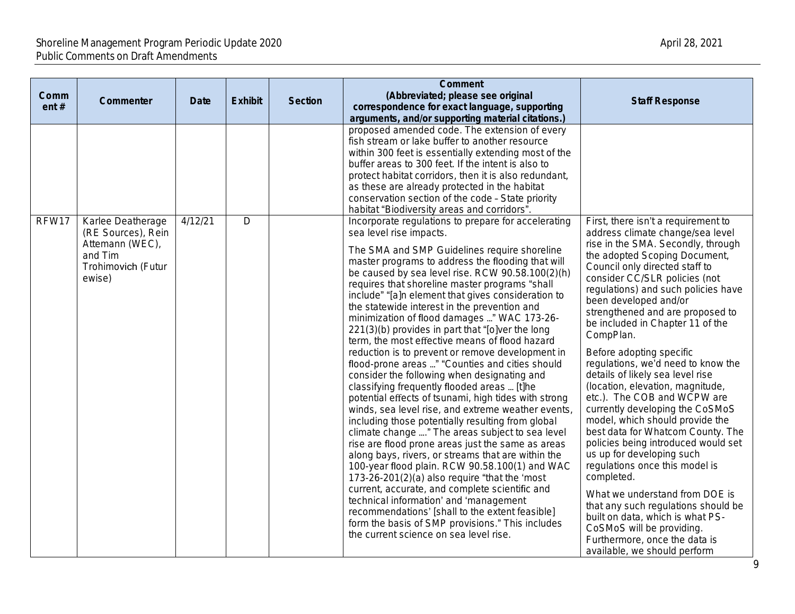| Comm<br>ent# | Commenter                                                                                             | <b>Date</b> | <b>Exhibit</b> | <b>Section</b> | <b>Comment</b><br>(Abbreviated; please see original<br>correspondence for exact language, supporting<br>arguments, and/or supporting material citations.)                                                                                                                                                                                                                                                                                                                                                                                                                                                                                                                                                                                                                                                                                                                                                                                                                                                                                                                                                                                                                                                                                                                                                                                                                                                                                  | <b>Staff Response</b>                                                                                                                                                                                                                                                                                                                                                                                                                                                                                                                                                                                                                                                                                                                                                                                                                                                                                                                                                                     |
|--------------|-------------------------------------------------------------------------------------------------------|-------------|----------------|----------------|--------------------------------------------------------------------------------------------------------------------------------------------------------------------------------------------------------------------------------------------------------------------------------------------------------------------------------------------------------------------------------------------------------------------------------------------------------------------------------------------------------------------------------------------------------------------------------------------------------------------------------------------------------------------------------------------------------------------------------------------------------------------------------------------------------------------------------------------------------------------------------------------------------------------------------------------------------------------------------------------------------------------------------------------------------------------------------------------------------------------------------------------------------------------------------------------------------------------------------------------------------------------------------------------------------------------------------------------------------------------------------------------------------------------------------------------|-------------------------------------------------------------------------------------------------------------------------------------------------------------------------------------------------------------------------------------------------------------------------------------------------------------------------------------------------------------------------------------------------------------------------------------------------------------------------------------------------------------------------------------------------------------------------------------------------------------------------------------------------------------------------------------------------------------------------------------------------------------------------------------------------------------------------------------------------------------------------------------------------------------------------------------------------------------------------------------------|
|              |                                                                                                       |             |                |                | proposed amended code. The extension of every<br>fish stream or lake buffer to another resource<br>within 300 feet is essentially extending most of the<br>buffer areas to 300 feet. If the intent is also to<br>protect habitat corridors, then it is also redundant,<br>as these are already protected in the habitat<br>conservation section of the code - State priority<br>habitat "Biodiversity areas and corridors".                                                                                                                                                                                                                                                                                                                                                                                                                                                                                                                                                                                                                                                                                                                                                                                                                                                                                                                                                                                                                |                                                                                                                                                                                                                                                                                                                                                                                                                                                                                                                                                                                                                                                                                                                                                                                                                                                                                                                                                                                           |
| RFW17        | Karlee Deatherage<br>(RE Sources), Rein<br>Attemann (WEC),<br>and Tim<br>Trohimovich (Futur<br>ewise) | 4/12/21     | D              |                | Incorporate regulations to prepare for accelerating<br>sea level rise impacts.<br>The SMA and SMP Guidelines require shoreline<br>master programs to address the flooding that will<br>be caused by sea level rise. RCW 90.58.100(2)(h)<br>requires that shoreline master programs "shall<br>include" "[a]n element that gives consideration to<br>the statewide interest in the prevention and<br>minimization of flood damages " WAC 173-26-<br>221(3)(b) provides in part that "[o]ver the long<br>term, the most effective means of flood hazard<br>reduction is to prevent or remove development in<br>flood-prone areas " "Counties and cities should<br>consider the following when designating and<br>classifying frequently flooded areas  [t]he<br>potential effects of tsunami, high tides with strong<br>winds, sea level rise, and extreme weather events,<br>including those potentially resulting from global<br>climate change " The areas subject to sea level<br>rise are flood prone areas just the same as areas<br>along bays, rivers, or streams that are within the<br>100-year flood plain. RCW 90.58.100(1) and WAC<br>173-26-201(2)(a) also require "that the 'most<br>current, accurate, and complete scientific and<br>technical information' and 'management<br>recommendations' [shall to the extent feasible]<br>form the basis of SMP provisions." This includes<br>the current science on sea level rise. | First, there isn't a requirement to<br>address climate change/sea level<br>rise in the SMA. Secondly, through<br>the adopted Scoping Document,<br>Council only directed staff to<br>consider CC/SLR policies (not<br>regulations) and such policies have<br>been developed and/or<br>strengthened and are proposed to<br>be included in Chapter 11 of the<br>CompPlan.<br>Before adopting specific<br>regulations, we'd need to know the<br>details of likely sea level rise<br>(location, elevation, magnitude,<br>etc.). The COB and WCPW are<br>currently developing the CoSMoS<br>model, which should provide the<br>best data for Whatcom County. The<br>policies being introduced would set<br>us up for developing such<br>regulations once this model is<br>completed.<br>What we understand from DOE is<br>that any such regulations should be<br>built on data, which is what PS-<br>CoSMoS will be providing.<br>Furthermore, once the data is<br>available, we should perform |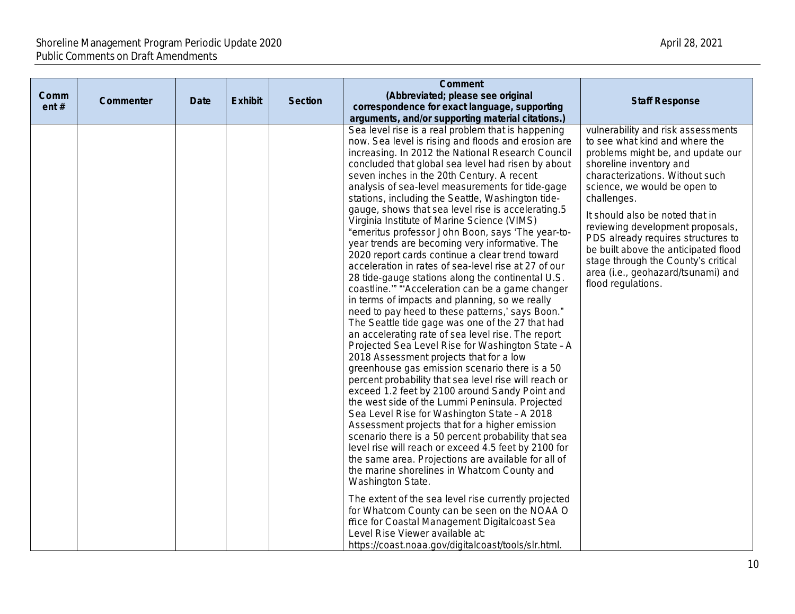| Comm<br>ent# | Commenter | <b>Date</b> | <b>Exhibit</b> | <b>Section</b> | <b>Comment</b><br>(Abbreviated; please see original<br>correspondence for exact language, supporting<br>arguments, and/or supporting material citations.)                                                                                                                                                                                                                                                                                                                                                                                                                                                                                                                                                                                                                                                                                                                                                                                                                                                                                                                                                                                                                                                                                                                                                                                                                                                                                                                                                                                                                                                                                                                                                                                                                                                                                                                                                                                  | <b>Staff Response</b>                                                                                                                                                                                                                                                                                                                                                                                                                                                          |
|--------------|-----------|-------------|----------------|----------------|--------------------------------------------------------------------------------------------------------------------------------------------------------------------------------------------------------------------------------------------------------------------------------------------------------------------------------------------------------------------------------------------------------------------------------------------------------------------------------------------------------------------------------------------------------------------------------------------------------------------------------------------------------------------------------------------------------------------------------------------------------------------------------------------------------------------------------------------------------------------------------------------------------------------------------------------------------------------------------------------------------------------------------------------------------------------------------------------------------------------------------------------------------------------------------------------------------------------------------------------------------------------------------------------------------------------------------------------------------------------------------------------------------------------------------------------------------------------------------------------------------------------------------------------------------------------------------------------------------------------------------------------------------------------------------------------------------------------------------------------------------------------------------------------------------------------------------------------------------------------------------------------------------------------------------------------|--------------------------------------------------------------------------------------------------------------------------------------------------------------------------------------------------------------------------------------------------------------------------------------------------------------------------------------------------------------------------------------------------------------------------------------------------------------------------------|
|              |           |             |                |                | Sea level rise is a real problem that is happening<br>now. Sea level is rising and floods and erosion are<br>increasing. In 2012 the National Research Council<br>concluded that global sea level had risen by about<br>seven inches in the 20th Century. A recent<br>analysis of sea-level measurements for tide-gage<br>stations, including the Seattle, Washington tide-<br>gauge, shows that sea level rise is accelerating.5<br>Virginia Institute of Marine Science (VIMS)<br>"emeritus professor John Boon, says 'The year-to-<br>year trends are becoming very informative. The<br>2020 report cards continue a clear trend toward<br>acceleration in rates of sea-level rise at 27 of our<br>28 tide-gauge stations along the continental U.S.<br>coastline."" "Acceleration can be a game changer<br>in terms of impacts and planning, so we really<br>need to pay heed to these patterns,' says Boon."<br>The Seattle tide gage was one of the 27 that had<br>an accelerating rate of sea level rise. The report<br>Projected Sea Level Rise for Washington State - A<br>2018 Assessment projects that for a low<br>greenhouse gas emission scenario there is a 50<br>percent probability that sea level rise will reach or<br>exceed 1.2 feet by 2100 around Sandy Point and<br>the west side of the Lummi Peninsula. Projected<br>Sea Level Rise for Washington State - A 2018<br>Assessment projects that for a higher emission<br>scenario there is a 50 percent probability that sea<br>level rise will reach or exceed 4.5 feet by 2100 for<br>the same area. Projections are available for all of<br>the marine shorelines in Whatcom County and<br>Washington State.<br>The extent of the sea level rise currently projected<br>for Whatcom County can be seen on the NOAA O<br>ffice for Coastal Management Digitalcoast Sea<br>Level Rise Viewer available at:<br>https://coast.noaa.gov/digitalcoast/tools/slr.html. | vulnerability and risk assessments<br>to see what kind and where the<br>problems might be, and update our<br>shoreline inventory and<br>characterizations. Without such<br>science, we would be open to<br>challenges.<br>It should also be noted that in<br>reviewing development proposals,<br>PDS already requires structures to<br>be built above the anticipated flood<br>stage through the County's critical<br>area (i.e., geohazard/tsunami) and<br>flood regulations. |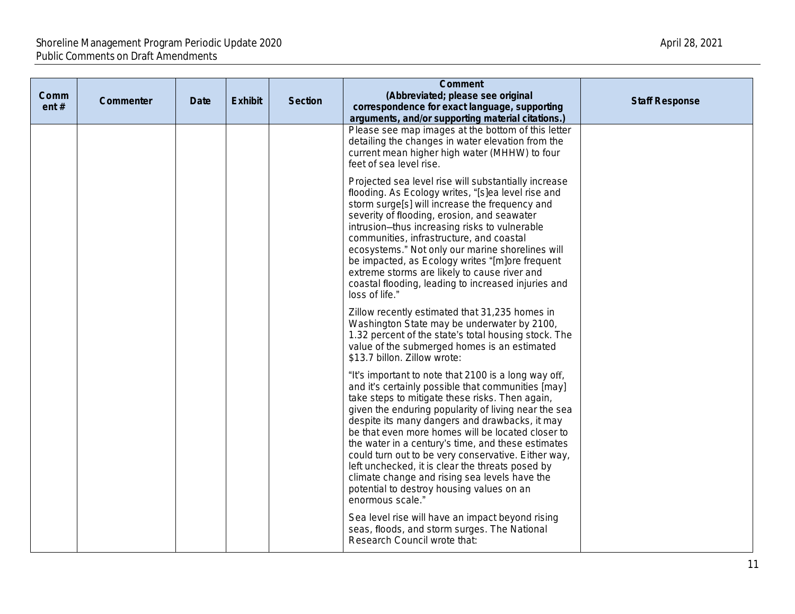| Comm<br>ent# | Commenter | Date | <b>Exhibit</b> | <b>Section</b> | <b>Comment</b><br>(Abbreviated; please see original<br>correspondence for exact language, supporting<br>arguments, and/or supporting material citations.)                                                                                                                                                                                                                                                                                                                                                                                                                                                       | <b>Staff Response</b> |
|--------------|-----------|------|----------------|----------------|-----------------------------------------------------------------------------------------------------------------------------------------------------------------------------------------------------------------------------------------------------------------------------------------------------------------------------------------------------------------------------------------------------------------------------------------------------------------------------------------------------------------------------------------------------------------------------------------------------------------|-----------------------|
|              |           |      |                |                | Please see map images at the bottom of this letter<br>detailing the changes in water elevation from the<br>current mean higher high water (MHHW) to four<br>feet of sea level rise.                                                                                                                                                                                                                                                                                                                                                                                                                             |                       |
|              |           |      |                |                | Projected sea level rise will substantially increase<br>flooding. As Ecology writes, "[s]ea level rise and<br>storm surge[s] will increase the frequency and<br>severity of flooding, erosion, and seawater<br>intrusion-thus increasing risks to vulnerable<br>communities, infrastructure, and coastal<br>ecosystems." Not only our marine shorelines will<br>be impacted, as Ecology writes "[m]ore frequent<br>extreme storms are likely to cause river and<br>coastal flooding, leading to increased injuries and<br>loss of life."                                                                        |                       |
|              |           |      |                |                | Zillow recently estimated that 31,235 homes in<br>Washington State may be underwater by 2100,<br>1.32 percent of the state's total housing stock. The<br>value of the submerged homes is an estimated<br>\$13.7 billon. Zillow wrote:                                                                                                                                                                                                                                                                                                                                                                           |                       |
|              |           |      |                |                | "It's important to note that 2100 is a long way off,<br>and it's certainly possible that communities [may]<br>take steps to mitigate these risks. Then again,<br>given the enduring popularity of living near the sea<br>despite its many dangers and drawbacks, it may<br>be that even more homes will be located closer to<br>the water in a century's time, and these estimates<br>could turn out to be very conservative. Either way,<br>left unchecked, it is clear the threats posed by<br>climate change and rising sea levels have the<br>potential to destroy housing values on an<br>enormous scale." |                       |
|              |           |      |                |                | Sea level rise will have an impact beyond rising<br>seas, floods, and storm surges. The National<br>Research Council wrote that:                                                                                                                                                                                                                                                                                                                                                                                                                                                                                |                       |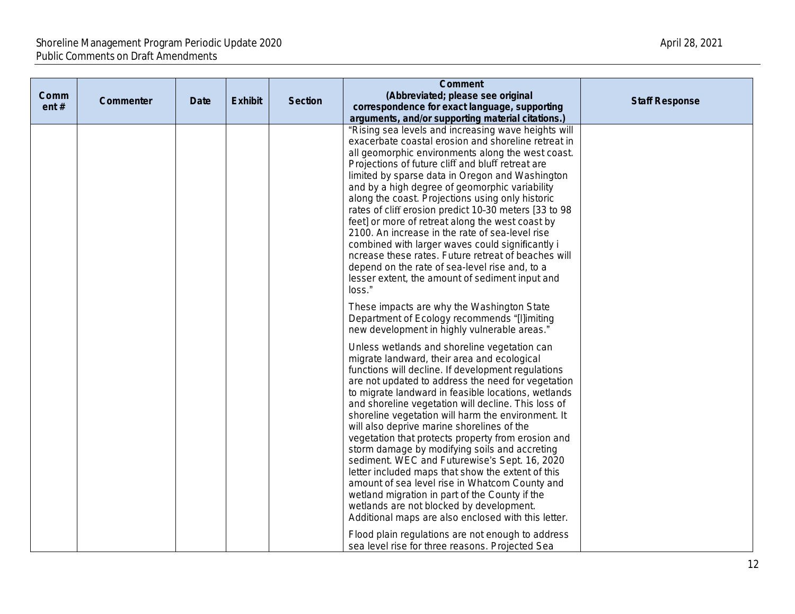| Comm<br>ent# | Commenter | Date | <b>Exhibit</b> | <b>Section</b> | <b>Comment</b><br>(Abbreviated; please see original<br>correspondence for exact language, supporting<br>arguments, and/or supporting material citations.)                                                                                                                                                                                                                                                                                                                                                                                                                                                                                                                                                                                                                                                                                     | <b>Staff Response</b> |
|--------------|-----------|------|----------------|----------------|-----------------------------------------------------------------------------------------------------------------------------------------------------------------------------------------------------------------------------------------------------------------------------------------------------------------------------------------------------------------------------------------------------------------------------------------------------------------------------------------------------------------------------------------------------------------------------------------------------------------------------------------------------------------------------------------------------------------------------------------------------------------------------------------------------------------------------------------------|-----------------------|
|              |           |      |                |                | "Rising sea levels and increasing wave heights will<br>exacerbate coastal erosion and shoreline retreat in<br>all geomorphic environments along the west coast.<br>Projections of future cliff and bluff retreat are<br>limited by sparse data in Oregon and Washington<br>and by a high degree of geomorphic variability<br>along the coast. Projections using only historic<br>rates of cliff erosion predict 10-30 meters [33 to 98<br>feet] or more of retreat along the west coast by<br>2100. An increase in the rate of sea-level rise<br>combined with larger waves could significantly i<br>ncrease these rates. Future retreat of beaches will<br>depend on the rate of sea-level rise and, to a<br>lesser extent, the amount of sediment input and<br>loss."                                                                       |                       |
|              |           |      |                |                | These impacts are why the Washington State<br>Department of Ecology recommends "[I]imiting<br>new development in highly vulnerable areas."                                                                                                                                                                                                                                                                                                                                                                                                                                                                                                                                                                                                                                                                                                    |                       |
|              |           |      |                |                | Unless wetlands and shoreline vegetation can<br>migrate landward, their area and ecological<br>functions will decline. If development regulations<br>are not updated to address the need for vegetation<br>to migrate landward in feasible locations, wetlands<br>and shoreline vegetation will decline. This loss of<br>shoreline vegetation will harm the environment. It<br>will also deprive marine shorelines of the<br>vegetation that protects property from erosion and<br>storm damage by modifying soils and accreting<br>sediment. WEC and Futurewise's Sept. 16, 2020<br>letter included maps that show the extent of this<br>amount of sea level rise in Whatcom County and<br>wetland migration in part of the County if the<br>wetlands are not blocked by development.<br>Additional maps are also enclosed with this letter. |                       |
|              |           |      |                |                | Flood plain regulations are not enough to address<br>sea level rise for three reasons. Projected Sea                                                                                                                                                                                                                                                                                                                                                                                                                                                                                                                                                                                                                                                                                                                                          |                       |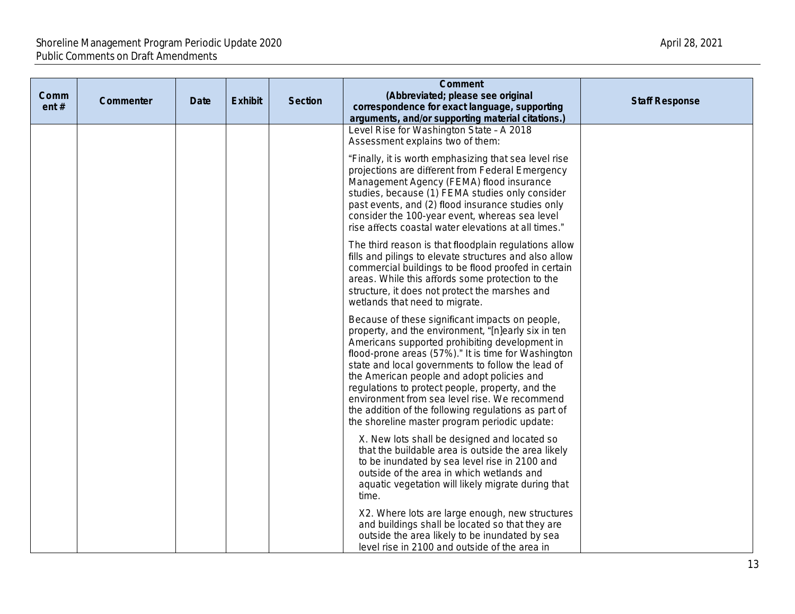| Comm<br>ent# | Commenter | <b>Date</b> | <b>Exhibit</b> | <b>Section</b> | <b>Comment</b><br>(Abbreviated; please see original<br>correspondence for exact language, supporting<br>arguments, and/or supporting material citations.)                                                                                                                                                                                                                                                                                                                                                                        | <b>Staff Response</b> |
|--------------|-----------|-------------|----------------|----------------|----------------------------------------------------------------------------------------------------------------------------------------------------------------------------------------------------------------------------------------------------------------------------------------------------------------------------------------------------------------------------------------------------------------------------------------------------------------------------------------------------------------------------------|-----------------------|
|              |           |             |                |                | Level Rise for Washington State - A 2018<br>Assessment explains two of them:                                                                                                                                                                                                                                                                                                                                                                                                                                                     |                       |
|              |           |             |                |                | "Finally, it is worth emphasizing that sea level rise<br>projections are different from Federal Emergency<br>Management Agency (FEMA) flood insurance<br>studies, because (1) FEMA studies only consider<br>past events, and (2) flood insurance studies only<br>consider the 100-year event, whereas sea level<br>rise affects coastal water elevations at all times."                                                                                                                                                          |                       |
|              |           |             |                |                | The third reason is that floodplain regulations allow<br>fills and pilings to elevate structures and also allow<br>commercial buildings to be flood proofed in certain<br>areas. While this affords some protection to the<br>structure, it does not protect the marshes and<br>wetlands that need to migrate.                                                                                                                                                                                                                   |                       |
|              |           |             |                |                | Because of these significant impacts on people,<br>property, and the environment, "[n]early six in ten<br>Americans supported prohibiting development in<br>flood-prone areas (57%)." It is time for Washington<br>state and local governments to follow the lead of<br>the American people and adopt policies and<br>regulations to protect people, property, and the<br>environment from sea level rise. We recommend<br>the addition of the following regulations as part of<br>the shoreline master program periodic update: |                       |
|              |           |             |                |                | X. New lots shall be designed and located so<br>that the buildable area is outside the area likely<br>to be inundated by sea level rise in 2100 and<br>outside of the area in which wetlands and<br>aquatic vegetation will likely migrate during that<br>time.                                                                                                                                                                                                                                                                  |                       |
|              |           |             |                |                | X2. Where lots are large enough, new structures<br>and buildings shall be located so that they are<br>outside the area likely to be inundated by sea<br>level rise in 2100 and outside of the area in                                                                                                                                                                                                                                                                                                                            |                       |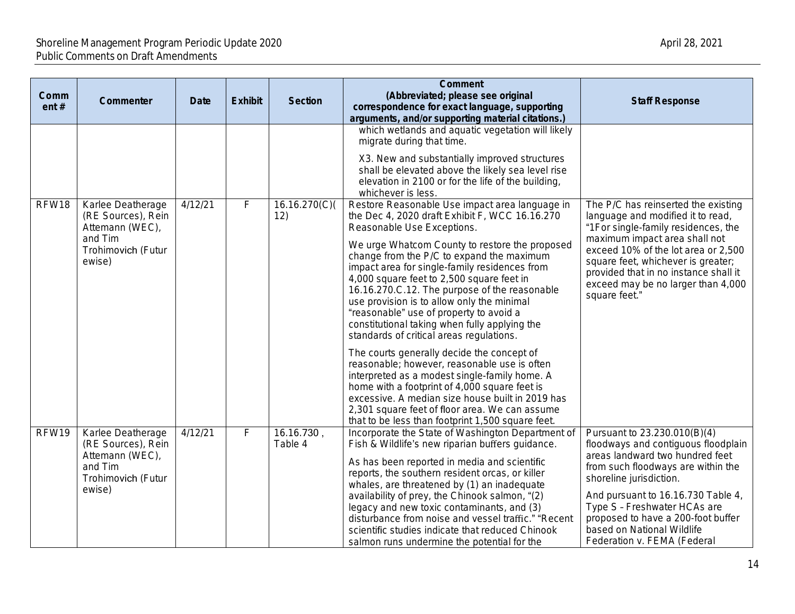| Comm<br>ent# | Commenter                                                                                             | <b>Date</b> | <b>Exhibit</b> | <b>Section</b>        | <b>Comment</b><br>(Abbreviated; please see original<br>correspondence for exact language, supporting<br>arguments, and/or supporting material citations.)                                                                                                                                                                                                                                                                                                                                                         | <b>Staff Response</b>                                                                                                                                                                                                                                                                                                                            |
|--------------|-------------------------------------------------------------------------------------------------------|-------------|----------------|-----------------------|-------------------------------------------------------------------------------------------------------------------------------------------------------------------------------------------------------------------------------------------------------------------------------------------------------------------------------------------------------------------------------------------------------------------------------------------------------------------------------------------------------------------|--------------------------------------------------------------------------------------------------------------------------------------------------------------------------------------------------------------------------------------------------------------------------------------------------------------------------------------------------|
|              |                                                                                                       |             |                |                       | which wetlands and aquatic vegetation will likely<br>migrate during that time.                                                                                                                                                                                                                                                                                                                                                                                                                                    |                                                                                                                                                                                                                                                                                                                                                  |
|              |                                                                                                       |             |                |                       | X3. New and substantially improved structures<br>shall be elevated above the likely sea level rise<br>elevation in 2100 or for the life of the building,<br>whichever is less.                                                                                                                                                                                                                                                                                                                                    |                                                                                                                                                                                                                                                                                                                                                  |
| RFW18        | Karlee Deatherage<br>(RE Sources), Rein<br>Attemann (WEC),                                            | 4/12/21     | F              | 16.16.270(C)<br>12)   | Restore Reasonable Use impact area language in<br>the Dec 4, 2020 draft Exhibit F, WCC 16.16.270<br>Reasonable Use Exceptions.                                                                                                                                                                                                                                                                                                                                                                                    | The P/C has reinserted the existing<br>language and modified it to read,<br>"1For single-family residences, the                                                                                                                                                                                                                                  |
|              | and Tim<br>Trohimovich (Futur<br>ewise)                                                               |             |                |                       | We urge Whatcom County to restore the proposed<br>change from the P/C to expand the maximum<br>impact area for single-family residences from<br>4,000 square feet to 2,500 square feet in<br>16.16.270.C.12. The purpose of the reasonable<br>use provision is to allow only the minimal<br>"reasonable" use of property to avoid a<br>constitutional taking when fully applying the<br>standards of critical areas regulations.                                                                                  | maximum impact area shall not<br>exceed 10% of the lot area or 2,500<br>square feet, whichever is greater;<br>provided that in no instance shall it<br>exceed may be no larger than 4,000<br>square feet."                                                                                                                                       |
|              |                                                                                                       |             |                |                       | The courts generally decide the concept of<br>reasonable; however, reasonable use is often<br>interpreted as a modest single-family home. A<br>home with a footprint of 4,000 square feet is<br>excessive. A median size house built in 2019 has<br>2,301 square feet of floor area. We can assume<br>that to be less than footprint 1,500 square feet.                                                                                                                                                           |                                                                                                                                                                                                                                                                                                                                                  |
| RFW19        | Karlee Deatherage<br>(RE Sources), Rein<br>Attemann (WEC),<br>and Tim<br>Trohimovich (Futur<br>ewise) | 4/12/21     | F              | 16.16.730,<br>Table 4 | Incorporate the State of Washington Department of<br>Fish & Wildlife's new riparian buffers guidance.<br>As has been reported in media and scientific<br>reports, the southern resident orcas, or killer<br>whales, are threatened by (1) an inadequate<br>availability of prey, the Chinook salmon, "(2)<br>legacy and new toxic contaminants, and (3)<br>disturbance from noise and vessel traffic." "Recent<br>scientific studies indicate that reduced Chinook<br>salmon runs undermine the potential for the | Pursuant to 23.230.010(B)(4)<br>floodways and contiguous floodplain<br>areas landward two hundred feet<br>from such floodways are within the<br>shoreline jurisdiction.<br>And pursuant to 16.16.730 Table 4,<br>Type S - Freshwater HCAs are<br>proposed to have a 200-foot buffer<br>based on National Wildlife<br>Federation v. FEMA (Federal |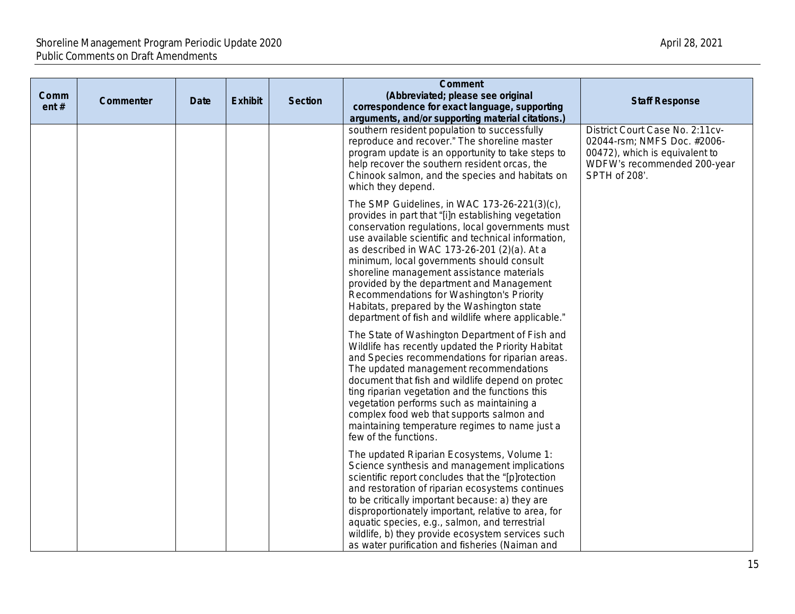| Comm<br>ent# | Commenter | <b>Date</b> | <b>Exhibit</b> | <b>Section</b> | <b>Comment</b><br>(Abbreviated; please see original<br>correspondence for exact language, supporting<br>arguments, and/or supporting material citations.)                                                                                                                                                                                                                                                                                                                                                                                             | <b>Staff Response</b>                                                                                                                            |
|--------------|-----------|-------------|----------------|----------------|-------------------------------------------------------------------------------------------------------------------------------------------------------------------------------------------------------------------------------------------------------------------------------------------------------------------------------------------------------------------------------------------------------------------------------------------------------------------------------------------------------------------------------------------------------|--------------------------------------------------------------------------------------------------------------------------------------------------|
|              |           |             |                |                | southern resident population to successfully<br>reproduce and recover." The shoreline master<br>program update is an opportunity to take steps to<br>help recover the southern resident orcas, the<br>Chinook salmon, and the species and habitats on<br>which they depend.                                                                                                                                                                                                                                                                           | District Court Case No. 2:11cv-<br>02044-rsm; NMFS Doc. #2006-<br>00472), which is equivalent to<br>WDFW's recommended 200-year<br>SPTH of 208'. |
|              |           |             |                |                | The SMP Guidelines, in WAC 173-26-221(3)(c),<br>provides in part that "[i]n establishing vegetation<br>conservation regulations, local governments must<br>use available scientific and technical information,<br>as described in WAC 173-26-201 (2)(a). At a<br>minimum, local governments should consult<br>shoreline management assistance materials<br>provided by the department and Management<br>Recommendations for Washington's Priority<br>Habitats, prepared by the Washington state<br>department of fish and wildlife where applicable." |                                                                                                                                                  |
|              |           |             |                |                | The State of Washington Department of Fish and<br>Wildlife has recently updated the Priority Habitat<br>and Species recommendations for riparian areas.<br>The updated management recommendations<br>document that fish and wildlife depend on protec<br>ting riparian vegetation and the functions this<br>vegetation performs such as maintaining a<br>complex food web that supports salmon and<br>maintaining temperature regimes to name just a<br>few of the functions.                                                                         |                                                                                                                                                  |
|              |           |             |                |                | The updated Riparian Ecosystems, Volume 1:<br>Science synthesis and management implications<br>scientific report concludes that the "[p]rotection<br>and restoration of riparian ecosystems continues<br>to be critically important because: a) they are<br>disproportionately important, relative to area, for<br>aquatic species, e.g., salmon, and terrestrial<br>wildlife, b) they provide ecosystem services such<br>as water purification and fisheries (Naiman and                                                                             |                                                                                                                                                  |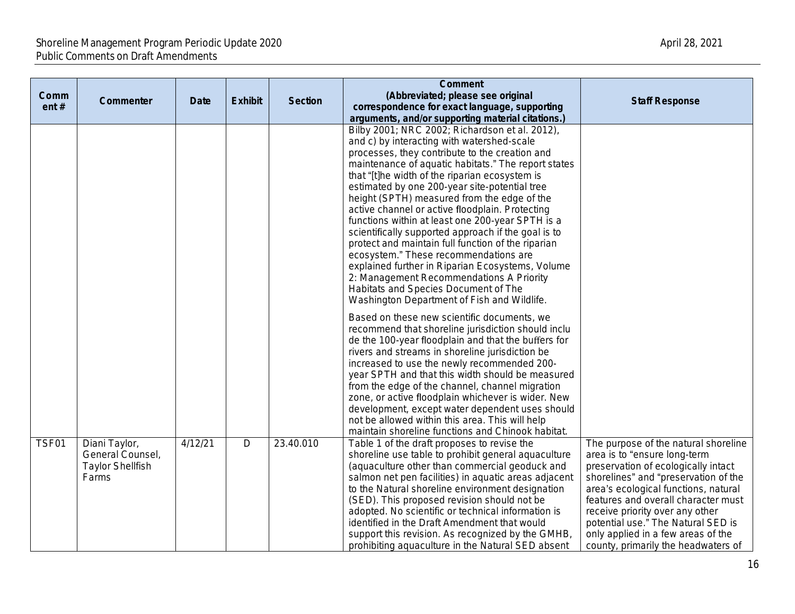| Comm<br>ent# | Commenter                                                             | <b>Date</b> | <b>Exhibit</b> | <b>Section</b> | <b>Comment</b><br>(Abbreviated; please see original<br>correspondence for exact language, supporting<br>arguments, and/or supporting material citations.)                                                                                                                                                                                                                                                                                                                                                                                                                                                                                                                                                                                                                                                   | <b>Staff Response</b>                                                                                                                                                                                                                                                                                                                                                                    |
|--------------|-----------------------------------------------------------------------|-------------|----------------|----------------|-------------------------------------------------------------------------------------------------------------------------------------------------------------------------------------------------------------------------------------------------------------------------------------------------------------------------------------------------------------------------------------------------------------------------------------------------------------------------------------------------------------------------------------------------------------------------------------------------------------------------------------------------------------------------------------------------------------------------------------------------------------------------------------------------------------|------------------------------------------------------------------------------------------------------------------------------------------------------------------------------------------------------------------------------------------------------------------------------------------------------------------------------------------------------------------------------------------|
|              |                                                                       |             |                |                | Bilby 2001; NRC 2002; Richardson et al. 2012),<br>and c) by interacting with watershed-scale<br>processes, they contribute to the creation and<br>maintenance of aquatic habitats." The report states<br>that "[t]he width of the riparian ecosystem is<br>estimated by one 200-year site-potential tree<br>height (SPTH) measured from the edge of the<br>active channel or active floodplain. Protecting<br>functions within at least one 200-year SPTH is a<br>scientifically supported approach if the goal is to<br>protect and maintain full function of the riparian<br>ecosystem." These recommendations are<br>explained further in Riparian Ecosystems, Volume<br>2: Management Recommendations A Priority<br>Habitats and Species Document of The<br>Washington Department of Fish and Wildlife. |                                                                                                                                                                                                                                                                                                                                                                                          |
|              |                                                                       |             |                |                | Based on these new scientific documents, we<br>recommend that shoreline jurisdiction should inclu<br>de the 100-year floodplain and that the buffers for<br>rivers and streams in shoreline jurisdiction be<br>increased to use the newly recommended 200-<br>year SPTH and that this width should be measured<br>from the edge of the channel, channel migration<br>zone, or active floodplain whichever is wider. New<br>development, except water dependent uses should<br>not be allowed within this area. This will help<br>maintain shoreline functions and Chinook habitat.                                                                                                                                                                                                                          |                                                                                                                                                                                                                                                                                                                                                                                          |
| TSF01        | Diani Taylor,<br>General Counsel,<br><b>Taylor Shellfish</b><br>Farms | 4/12/21     | D              | 23.40.010      | Table 1 of the draft proposes to revise the<br>shoreline use table to prohibit general aquaculture<br>(aquaculture other than commercial geoduck and<br>salmon net pen facilities) in aquatic areas adjacent<br>to the Natural shoreline environment designation<br>(SED). This proposed revision should not be<br>adopted. No scientific or technical information is<br>identified in the Draft Amendment that would<br>support this revision. As recognized by the GMHB,<br>prohibiting aquaculture in the Natural SED absent                                                                                                                                                                                                                                                                             | The purpose of the natural shoreline<br>area is to "ensure long-term<br>preservation of ecologically intact<br>shorelines" and "preservation of the<br>area's ecological functions, natural<br>features and overall character must<br>receive priority over any other<br>potential use." The Natural SED is<br>only applied in a few areas of the<br>county, primarily the headwaters of |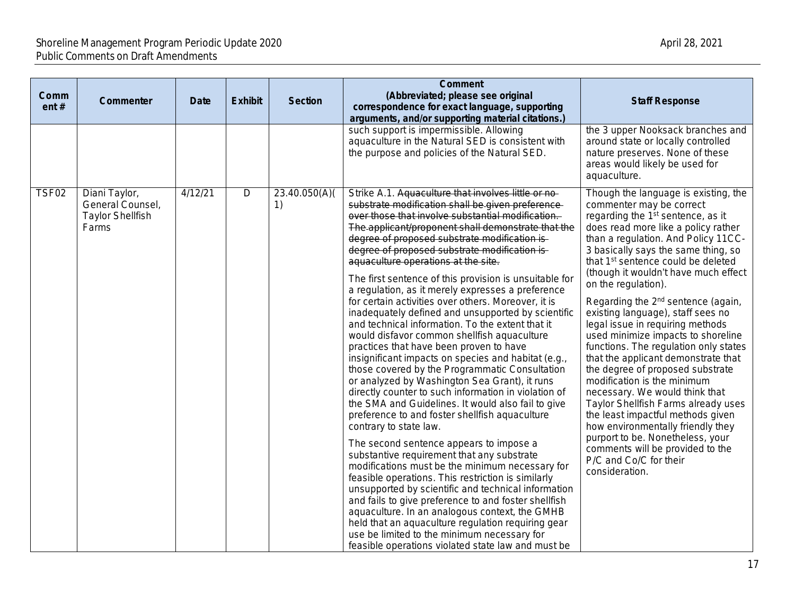| Comm<br>ent# | Commenter                                                             | <b>Date</b> | <b>Exhibit</b> | <b>Section</b>      | <b>Comment</b><br>(Abbreviated; please see original<br>correspondence for exact language, supporting<br>arguments, and/or supporting material citations.)                                                                                                                                                                                                                                                                                                                                                                                                                                                                                                                                                                                                                                                                                                                                                                                                                                                                                                                                                                                                                                                                                                                                                                                                                                                                                                                                                                                                                                                                | <b>Staff Response</b>                                                                                                                                                                                                                                                                                                                                                                                                                                                                                                                                                                                                                                                                                                                                                                                                                                                                                                                              |
|--------------|-----------------------------------------------------------------------|-------------|----------------|---------------------|--------------------------------------------------------------------------------------------------------------------------------------------------------------------------------------------------------------------------------------------------------------------------------------------------------------------------------------------------------------------------------------------------------------------------------------------------------------------------------------------------------------------------------------------------------------------------------------------------------------------------------------------------------------------------------------------------------------------------------------------------------------------------------------------------------------------------------------------------------------------------------------------------------------------------------------------------------------------------------------------------------------------------------------------------------------------------------------------------------------------------------------------------------------------------------------------------------------------------------------------------------------------------------------------------------------------------------------------------------------------------------------------------------------------------------------------------------------------------------------------------------------------------------------------------------------------------------------------------------------------------|----------------------------------------------------------------------------------------------------------------------------------------------------------------------------------------------------------------------------------------------------------------------------------------------------------------------------------------------------------------------------------------------------------------------------------------------------------------------------------------------------------------------------------------------------------------------------------------------------------------------------------------------------------------------------------------------------------------------------------------------------------------------------------------------------------------------------------------------------------------------------------------------------------------------------------------------------|
|              |                                                                       |             |                |                     | such support is impermissible. Allowing<br>aquaculture in the Natural SED is consistent with<br>the purpose and policies of the Natural SED.                                                                                                                                                                                                                                                                                                                                                                                                                                                                                                                                                                                                                                                                                                                                                                                                                                                                                                                                                                                                                                                                                                                                                                                                                                                                                                                                                                                                                                                                             | the 3 upper Nooksack branches and<br>around state or locally controlled<br>nature preserves. None of these<br>areas would likely be used for<br>aquaculture.                                                                                                                                                                                                                                                                                                                                                                                                                                                                                                                                                                                                                                                                                                                                                                                       |
| TSF02        | Diani Taylor,<br>General Counsel,<br><b>Taylor Shellfish</b><br>Farms | 4/12/21     | $\mathsf D$    | 23.40.050(A)(<br>1) | Strike A.1. Aquaculture that involves little or no-<br>substrate modification shall be given preference-<br>over those that involve substantial modification.<br>The applicant/proponent shall demonstrate that the<br>degree of proposed substrate modification is-<br>degree of proposed substrate modification is-<br>aquaculture operations at the site.<br>The first sentence of this provision is unsuitable for<br>a regulation, as it merely expresses a preference<br>for certain activities over others. Moreover, it is<br>inadequately defined and unsupported by scientific<br>and technical information. To the extent that it<br>would disfavor common shellfish aquaculture<br>practices that have been proven to have<br>insignificant impacts on species and habitat (e.g.,<br>those covered by the Programmatic Consultation<br>or analyzed by Washington Sea Grant), it runs<br>directly counter to such information in violation of<br>the SMA and Guidelines. It would also fail to give<br>preference to and foster shellfish aquaculture<br>contrary to state law.<br>The second sentence appears to impose a<br>substantive requirement that any substrate<br>modifications must be the minimum necessary for<br>feasible operations. This restriction is similarly<br>unsupported by scientific and technical information<br>and fails to give preference to and foster shellfish<br>aquaculture. In an analogous context, the GMHB<br>held that an aquaculture regulation requiring gear<br>use be limited to the minimum necessary for<br>feasible operations violated state law and must be | Though the language is existing, the<br>commenter may be correct<br>regarding the 1 <sup>st</sup> sentence, as it<br>does read more like a policy rather<br>than a regulation. And Policy 11CC-<br>3 basically says the same thing, so<br>that 1 <sup>st</sup> sentence could be deleted<br>(though it wouldn't have much effect<br>on the regulation).<br>Regarding the 2 <sup>nd</sup> sentence (again,<br>existing language), staff sees no<br>legal issue in requiring methods<br>used minimize impacts to shoreline<br>functions. The regulation only states<br>that the applicant demonstrate that<br>the degree of proposed substrate<br>modification is the minimum<br>necessary. We would think that<br>Taylor Shellfish Farms already uses<br>the least impactful methods given<br>how environmentally friendly they<br>purport to be. Nonetheless, your<br>comments will be provided to the<br>P/C and Co/C for their<br>consideration. |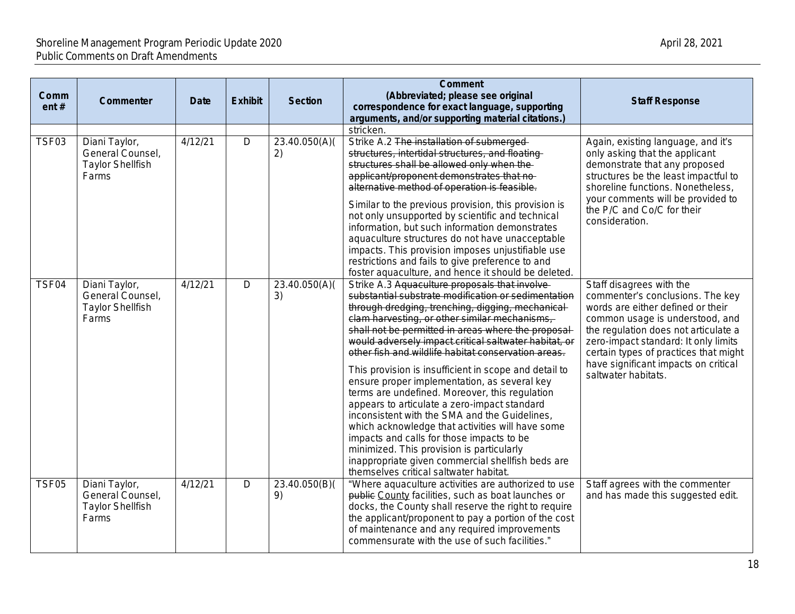| Comm<br>ent# | Commenter                                                             | <b>Date</b> | <b>Exhibit</b> | <b>Section</b>      | <b>Comment</b><br>(Abbreviated; please see original<br>correspondence for exact language, supporting<br>arguments, and/or supporting material citations.)                                                                                                                                                                                                                                                                                                                                                                                                                                                                                                                                                                                                                                                                                                                                   | <b>Staff Response</b>                                                                                                                                                                                                                                                                                                        |
|--------------|-----------------------------------------------------------------------|-------------|----------------|---------------------|---------------------------------------------------------------------------------------------------------------------------------------------------------------------------------------------------------------------------------------------------------------------------------------------------------------------------------------------------------------------------------------------------------------------------------------------------------------------------------------------------------------------------------------------------------------------------------------------------------------------------------------------------------------------------------------------------------------------------------------------------------------------------------------------------------------------------------------------------------------------------------------------|------------------------------------------------------------------------------------------------------------------------------------------------------------------------------------------------------------------------------------------------------------------------------------------------------------------------------|
|              |                                                                       |             |                |                     | stricken.                                                                                                                                                                                                                                                                                                                                                                                                                                                                                                                                                                                                                                                                                                                                                                                                                                                                                   |                                                                                                                                                                                                                                                                                                                              |
| TSF03        | Diani Taylor,<br>General Counsel,<br><b>Taylor Shellfish</b><br>Farms | 4/12/21     | D              | 23.40.050(A)(<br>2) | Strike A.2 The installation of submerged-<br>structures, intertidal structures, and floating-<br>structures shall be allowed only when the-<br>applicant/proponent demonstrates that no-<br>alternative method of operation is feasible.<br>Similar to the previous provision, this provision is<br>not only unsupported by scientific and technical<br>information, but such information demonstrates<br>aquaculture structures do not have unacceptable<br>impacts. This provision imposes unjustifiable use<br>restrictions and fails to give preference to and<br>foster aquaculture, and hence it should be deleted.                                                                                                                                                                                                                                                                   | Again, existing language, and it's<br>only asking that the applicant<br>demonstrate that any proposed<br>structures be the least impactful to<br>shoreline functions. Nonetheless,<br>your comments will be provided to<br>the P/C and Co/C for their<br>consideration.                                                      |
| TSF04        | Diani Taylor,<br>General Counsel,<br><b>Taylor Shellfish</b><br>Farms | 4/12/21     | D              | 23.40.050(A)(<br>3) | Strike A.3 Aquaculture proposals that involve-<br>substantial substrate modification or sedimentation<br>through dredging, trenching, digging, mechanical-<br>clam harvesting, or other similar mechanisms,<br>shall not be permitted in areas where the proposal-<br>would adversely impact critical saltwater habitat, or<br>other fish and wildlife habitat conservation areas.<br>This provision is insufficient in scope and detail to<br>ensure proper implementation, as several key<br>terms are undefined. Moreover, this regulation<br>appears to articulate a zero-impact standard<br>inconsistent with the SMA and the Guidelines,<br>which acknowledge that activities will have some<br>impacts and calls for those impacts to be<br>minimized. This provision is particularly<br>inappropriate given commercial shellfish beds are<br>themselves critical saltwater habitat. | Staff disagrees with the<br>commenter's conclusions. The key<br>words are either defined or their<br>common usage is understood, and<br>the regulation does not articulate a<br>zero-impact standard: It only limits<br>certain types of practices that might<br>have significant impacts on critical<br>saltwater habitats. |
| <b>TSF05</b> | Diani Taylor,<br>General Counsel,<br><b>Taylor Shellfish</b><br>Farms | 4/12/21     | D              | 23.40.050(B)(<br>9) | "Where aquaculture activities are authorized to use<br>public County facilities, such as boat launches or<br>docks, the County shall reserve the right to require<br>the applicant/proponent to pay a portion of the cost<br>of maintenance and any required improvements<br>commensurate with the use of such facilities."                                                                                                                                                                                                                                                                                                                                                                                                                                                                                                                                                                 | Staff agrees with the commenter<br>and has made this suggested edit.                                                                                                                                                                                                                                                         |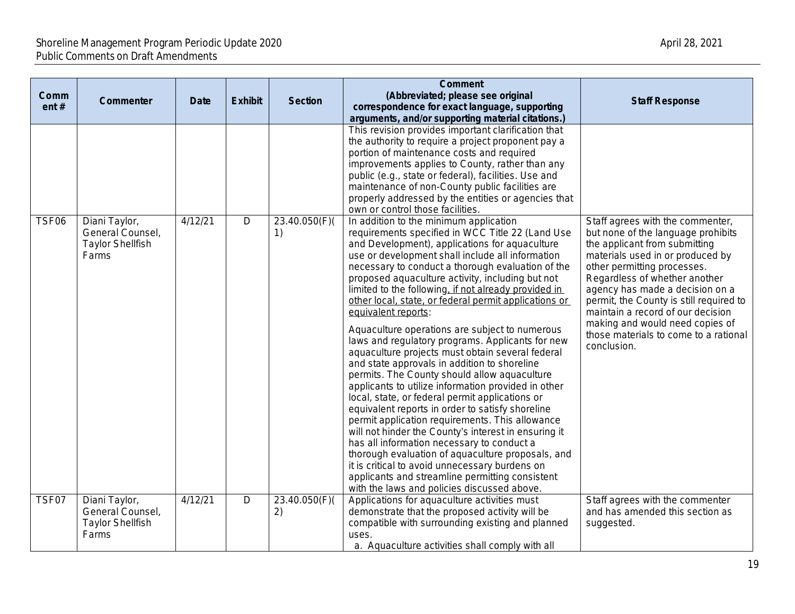| Comm<br>ent# | Commenter                                                             | <b>Date</b> | <b>Exhibit</b> | <b>Section</b>      | <b>Comment</b><br>(Abbreviated; please see original<br>correspondence for exact language, supporting                                                                                                                                                                                                                                                                                                                                                                                                                                                                                                                                                                                                                                                                                                                                                                                                                                                                                                                                                                                                                                                                                                                                                                                                                                                                                                                                                                                                                                                                                                                                                                 | <b>Staff Response</b>                                                                                                                                                                                                                                                                                                                                                                                                     |
|--------------|-----------------------------------------------------------------------|-------------|----------------|---------------------|----------------------------------------------------------------------------------------------------------------------------------------------------------------------------------------------------------------------------------------------------------------------------------------------------------------------------------------------------------------------------------------------------------------------------------------------------------------------------------------------------------------------------------------------------------------------------------------------------------------------------------------------------------------------------------------------------------------------------------------------------------------------------------------------------------------------------------------------------------------------------------------------------------------------------------------------------------------------------------------------------------------------------------------------------------------------------------------------------------------------------------------------------------------------------------------------------------------------------------------------------------------------------------------------------------------------------------------------------------------------------------------------------------------------------------------------------------------------------------------------------------------------------------------------------------------------------------------------------------------------------------------------------------------------|---------------------------------------------------------------------------------------------------------------------------------------------------------------------------------------------------------------------------------------------------------------------------------------------------------------------------------------------------------------------------------------------------------------------------|
| TSF06        | Diani Taylor,<br>General Counsel,<br><b>Taylor Shellfish</b><br>Farms | 4/12/21     | $\mathsf D$    | 23.40.050(F)(<br>1) | arguments, and/or supporting material citations.)<br>This revision provides important clarification that<br>the authority to require a project proponent pay a<br>portion of maintenance costs and required<br>improvements applies to County, rather than any<br>public (e.g., state or federal), facilities. Use and<br>maintenance of non-County public facilities are<br>properly addressed by the entities or agencies that<br>own or control those facilities.<br>In addition to the minimum application<br>requirements specified in WCC Title 22 (Land Use<br>and Development), applications for aquaculture<br>use or development shall include all information<br>necessary to conduct a thorough evaluation of the<br>proposed aquaculture activity, including but not<br>limited to the following, if not already provided in<br>other local, state, or federal permit applications or<br>equivalent reports:<br>Aquaculture operations are subject to numerous<br>laws and regulatory programs. Applicants for new<br>aquaculture projects must obtain several federal<br>and state approvals in addition to shoreline<br>permits. The County should allow aquaculture<br>applicants to utilize information provided in other<br>local, state, or federal permit applications or<br>equivalent reports in order to satisfy shoreline<br>permit application requirements. This allowance<br>will not hinder the County's interest in ensuring it<br>has all information necessary to conduct a<br>thorough evaluation of aquaculture proposals, and<br>it is critical to avoid unnecessary burdens on<br>applicants and streamline permitting consistent | Staff agrees with the commenter,<br>but none of the language prohibits<br>the applicant from submitting<br>materials used in or produced by<br>other permitting processes.<br>Regardless of whether another<br>agency has made a decision on a<br>permit, the County is still required to<br>maintain a record of our decision<br>making and would need copies of<br>those materials to come to a rational<br>conclusion. |
| TSF07        | Diani Taylor,<br>General Counsel,<br><b>Taylor Shellfish</b><br>Farms | 4/12/21     | D              | 23.40.050(F)<br>2)  | with the laws and policies discussed above.<br>Applications for aquaculture activities must<br>demonstrate that the proposed activity will be<br>compatible with surrounding existing and planned<br>uses.<br>a. Aquaculture activities shall comply with all                                                                                                                                                                                                                                                                                                                                                                                                                                                                                                                                                                                                                                                                                                                                                                                                                                                                                                                                                                                                                                                                                                                                                                                                                                                                                                                                                                                                        | Staff agrees with the commenter<br>and has amended this section as<br>suggested.                                                                                                                                                                                                                                                                                                                                          |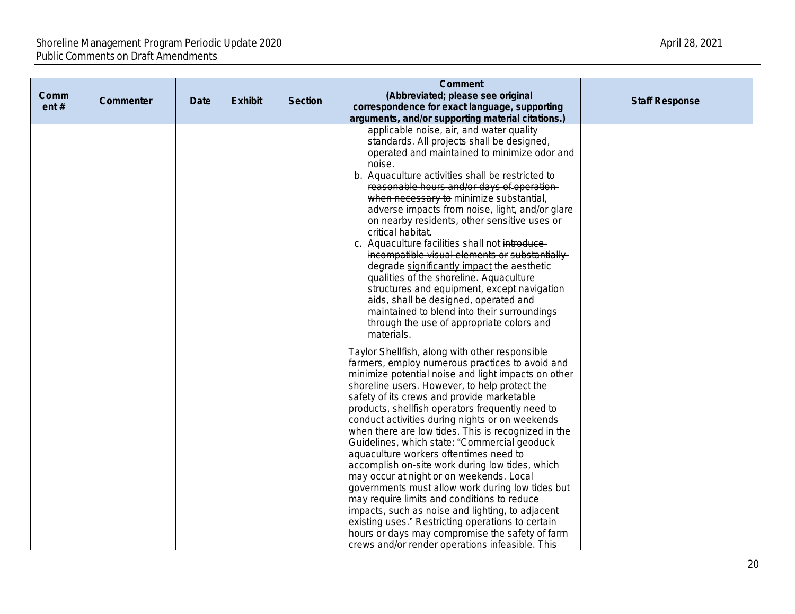| Comm<br>ent# | Commenter | Date | <b>Exhibit</b> | <b>Section</b> | <b>Comment</b><br>(Abbreviated; please see original<br>correspondence for exact language, supporting                                                                                                                                                                                                                                                                                                                                                                                                                                                                                                                                                                                                                                                                                                                                                                                                                             | <b>Staff Response</b> |
|--------------|-----------|------|----------------|----------------|----------------------------------------------------------------------------------------------------------------------------------------------------------------------------------------------------------------------------------------------------------------------------------------------------------------------------------------------------------------------------------------------------------------------------------------------------------------------------------------------------------------------------------------------------------------------------------------------------------------------------------------------------------------------------------------------------------------------------------------------------------------------------------------------------------------------------------------------------------------------------------------------------------------------------------|-----------------------|
|              |           |      |                |                | arguments, and/or supporting material citations.)                                                                                                                                                                                                                                                                                                                                                                                                                                                                                                                                                                                                                                                                                                                                                                                                                                                                                |                       |
|              |           |      |                |                | applicable noise, air, and water quality<br>standards. All projects shall be designed,<br>operated and maintained to minimize odor and<br>noise.<br>b. Aquaculture activities shall be restricted to-<br>reasonable hours and/or days of operation-<br>when necessary to minimize substantial,<br>adverse impacts from noise, light, and/or glare<br>on nearby residents, other sensitive uses or<br>critical habitat.<br>c. Aquaculture facilities shall not introduce-<br>incompatible visual elements or substantially<br>degrade significantly impact the aesthetic<br>qualities of the shoreline. Aquaculture<br>structures and equipment, except navigation<br>aids, shall be designed, operated and<br>maintained to blend into their surroundings<br>through the use of appropriate colors and<br>materials.                                                                                                             |                       |
|              |           |      |                |                | Taylor Shellfish, along with other responsible<br>farmers, employ numerous practices to avoid and<br>minimize potential noise and light impacts on other<br>shoreline users. However, to help protect the<br>safety of its crews and provide marketable<br>products, shellfish operators frequently need to<br>conduct activities during nights or on weekends<br>when there are low tides. This is recognized in the<br>Guidelines, which state: "Commercial geoduck<br>aquaculture workers oftentimes need to<br>accomplish on-site work during low tides, which<br>may occur at night or on weekends. Local<br>governments must allow work during low tides but<br>may require limits and conditions to reduce<br>impacts, such as noise and lighting, to adjacent<br>existing uses." Restricting operations to certain<br>hours or days may compromise the safety of farm<br>crews and/or render operations infeasible. This |                       |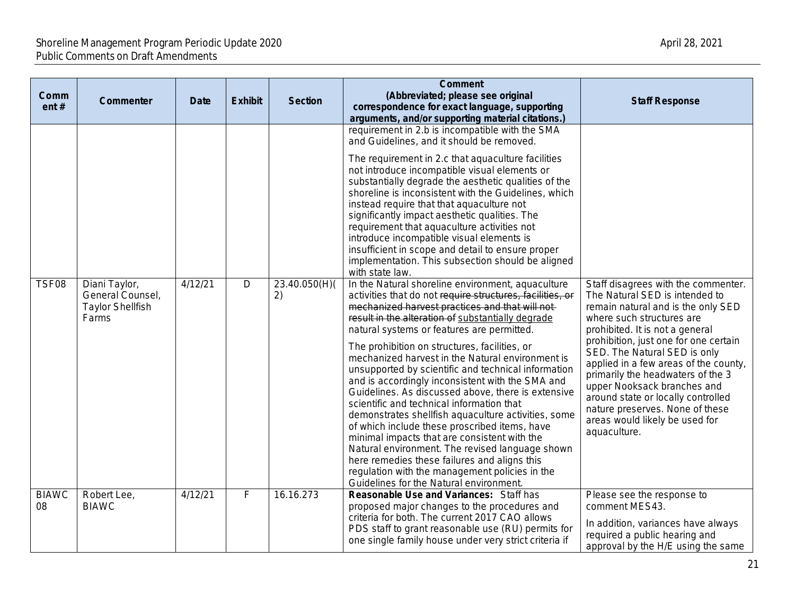| Comm<br>ent#       | <b>Commenter</b>                                                      | <b>Date</b> | <b>Exhibit</b> | <b>Section</b>      | <b>Comment</b><br>(Abbreviated; please see original<br>correspondence for exact language, supporting<br>arguments, and/or supporting material citations.)                                                                                                                                                                                                                                                                                                                                                                                                                                                                                                                                                                                                                                                                                                                                                                                                                                                                                                                                                                                                                                                                                                                                                                                                                                                                                                                                        | <b>Staff Response</b>                                                                                                                                                                                                                                                                                                                                                                                                                                                                        |
|--------------------|-----------------------------------------------------------------------|-------------|----------------|---------------------|--------------------------------------------------------------------------------------------------------------------------------------------------------------------------------------------------------------------------------------------------------------------------------------------------------------------------------------------------------------------------------------------------------------------------------------------------------------------------------------------------------------------------------------------------------------------------------------------------------------------------------------------------------------------------------------------------------------------------------------------------------------------------------------------------------------------------------------------------------------------------------------------------------------------------------------------------------------------------------------------------------------------------------------------------------------------------------------------------------------------------------------------------------------------------------------------------------------------------------------------------------------------------------------------------------------------------------------------------------------------------------------------------------------------------------------------------------------------------------------------------|----------------------------------------------------------------------------------------------------------------------------------------------------------------------------------------------------------------------------------------------------------------------------------------------------------------------------------------------------------------------------------------------------------------------------------------------------------------------------------------------|
| TSF08              | Diani Taylor,<br>General Counsel,<br><b>Taylor Shellfish</b><br>Farms | 4/12/21     | $\overline{D}$ | 23.40.050(H)(<br>2) | requirement in 2.b is incompatible with the SMA<br>and Guidelines, and it should be removed.<br>The requirement in 2.c that aquaculture facilities<br>not introduce incompatible visual elements or<br>substantially degrade the aesthetic qualities of the<br>shoreline is inconsistent with the Guidelines, which<br>instead require that that aquaculture not<br>significantly impact aesthetic qualities. The<br>requirement that aquaculture activities not<br>introduce incompatible visual elements is<br>insufficient in scope and detail to ensure proper<br>implementation. This subsection should be aligned<br>with state law.<br>In the Natural shoreline environment, aquaculture<br>activities that do not require structures, facilities, or<br>mechanized harvest practices and that will not-<br>result in the alteration of substantially degrade<br>natural systems or features are permitted.<br>The prohibition on structures, facilities, or<br>mechanized harvest in the Natural environment is<br>unsupported by scientific and technical information<br>and is accordingly inconsistent with the SMA and<br>Guidelines. As discussed above, there is extensive<br>scientific and technical information that<br>demonstrates shellfish aquaculture activities, some<br>of which include these proscribed items, have<br>minimal impacts that are consistent with the<br>Natural environment. The revised language shown<br>here remedies these failures and aligns this | Staff disagrees with the commenter.<br>The Natural SED is intended to<br>remain natural and is the only SED<br>where such structures are<br>prohibited. It is not a general<br>prohibition, just one for one certain<br>SED. The Natural SED is only<br>applied in a few areas of the county,<br>primarily the headwaters of the 3<br>upper Nooksack branches and<br>around state or locally controlled<br>nature preserves. None of these<br>areas would likely be used for<br>aquaculture. |
| <b>BIAWC</b><br>08 | Robert Lee,<br><b>BIAWC</b>                                           | 4/12/21     | F              | 16.16.273           | regulation with the management policies in the<br>Guidelines for the Natural environment.<br>Reasonable Use and Variances: Staff has<br>proposed major changes to the procedures and<br>criteria for both. The current 2017 CAO allows<br>PDS staff to grant reasonable use (RU) permits for<br>one single family house under very strict criteria if                                                                                                                                                                                                                                                                                                                                                                                                                                                                                                                                                                                                                                                                                                                                                                                                                                                                                                                                                                                                                                                                                                                                            | Please see the response to<br>comment MES43.<br>In addition, variances have always<br>required a public hearing and<br>approval by the H/E using the same                                                                                                                                                                                                                                                                                                                                    |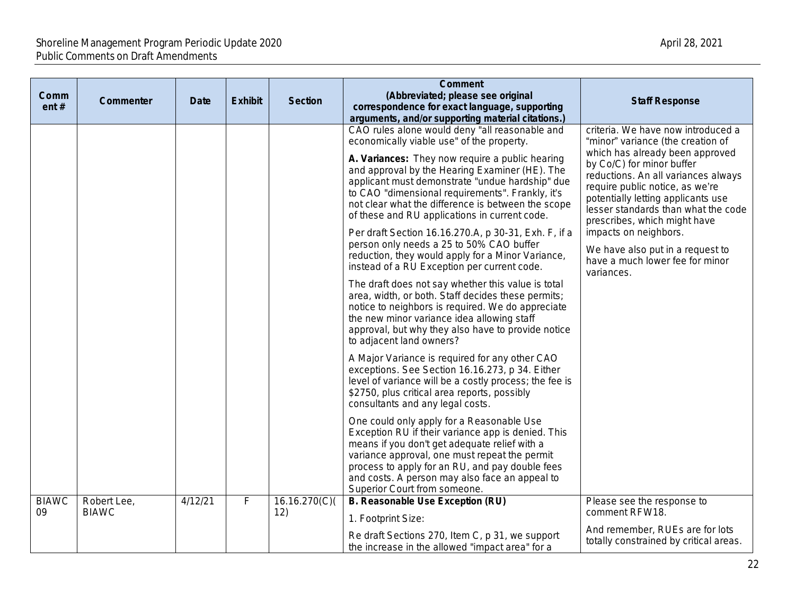| Comm<br>ent# | Commenter    | <b>Date</b> | <b>Exhibit</b>          | <b>Section</b> | <b>Comment</b><br>(Abbreviated; please see original<br>correspondence for exact language, supporting                                                                                                                                                                                                                                                                                                                                                                                                                                                                                                                                                                                                                                                                                                                                                                                                                                                                                                                                                                                                                                                                                                                                                                                                                                                                                                                                                                                    | <b>Staff Response</b>                                                                                                                                                                                                                                                                                                                                                                                                                        |
|--------------|--------------|-------------|-------------------------|----------------|-----------------------------------------------------------------------------------------------------------------------------------------------------------------------------------------------------------------------------------------------------------------------------------------------------------------------------------------------------------------------------------------------------------------------------------------------------------------------------------------------------------------------------------------------------------------------------------------------------------------------------------------------------------------------------------------------------------------------------------------------------------------------------------------------------------------------------------------------------------------------------------------------------------------------------------------------------------------------------------------------------------------------------------------------------------------------------------------------------------------------------------------------------------------------------------------------------------------------------------------------------------------------------------------------------------------------------------------------------------------------------------------------------------------------------------------------------------------------------------------|----------------------------------------------------------------------------------------------------------------------------------------------------------------------------------------------------------------------------------------------------------------------------------------------------------------------------------------------------------------------------------------------------------------------------------------------|
|              |              |             |                         |                | arguments, and/or supporting material citations.)<br>CAO rules alone would deny "all reasonable and<br>economically viable use" of the property.<br>A. Variances: They now require a public hearing<br>and approval by the Hearing Examiner (HE). The<br>applicant must demonstrate "undue hardship" due<br>to CAO "dimensional requirements". Frankly, it's<br>not clear what the difference is between the scope<br>of these and RU applications in current code.<br>Per draft Section 16.16.270.A, p 30-31, Exh. F, if a<br>person only needs a 25 to 50% CAO buffer<br>reduction, they would apply for a Minor Variance,<br>instead of a RU Exception per current code.<br>The draft does not say whether this value is total<br>area, width, or both. Staff decides these permits;<br>notice to neighbors is required. We do appreciate<br>the new minor variance idea allowing staff<br>approval, but why they also have to provide notice<br>to adjacent land owners?<br>A Major Variance is required for any other CAO<br>exceptions. See Section 16.16.273, p 34. Either<br>level of variance will be a costly process; the fee is<br>\$2750, plus critical area reports, possibly<br>consultants and any legal costs.<br>One could only apply for a Reasonable Use<br>Exception RU if their variance app is denied. This<br>means if you don't get adequate relief with a<br>variance approval, one must repeat the permit<br>process to apply for an RU, and pay double fees | criteria. We have now introduced a<br>"minor" variance (the creation of<br>which has already been approved<br>by Co/C) for minor buffer<br>reductions. An all variances always<br>require public notice, as we're<br>potentially letting applicants use<br>lesser standards than what the code<br>prescribes, which might have<br>impacts on neighbors.<br>We have also put in a request to<br>have a much lower fee for minor<br>variances. |
| <b>BIAWC</b> | Robert Lee,  | 4/12/21     | $\overline{\mathsf{F}}$ | 16.16.270(C)   | and costs. A person may also face an appeal to<br>Superior Court from someone.<br>B. Reasonable Use Exception (RU)                                                                                                                                                                                                                                                                                                                                                                                                                                                                                                                                                                                                                                                                                                                                                                                                                                                                                                                                                                                                                                                                                                                                                                                                                                                                                                                                                                      | Please see the response to                                                                                                                                                                                                                                                                                                                                                                                                                   |
| 09           | <b>BIAWC</b> |             |                         | 12)            | 1. Footprint Size:                                                                                                                                                                                                                                                                                                                                                                                                                                                                                                                                                                                                                                                                                                                                                                                                                                                                                                                                                                                                                                                                                                                                                                                                                                                                                                                                                                                                                                                                      | comment RFW18.<br>And remember, RUEs are for lots                                                                                                                                                                                                                                                                                                                                                                                            |
|              |              |             |                         |                | Re draft Sections 270, Item C, p 31, we support<br>the increase in the allowed "impact area" for a                                                                                                                                                                                                                                                                                                                                                                                                                                                                                                                                                                                                                                                                                                                                                                                                                                                                                                                                                                                                                                                                                                                                                                                                                                                                                                                                                                                      | totally constrained by critical areas.                                                                                                                                                                                                                                                                                                                                                                                                       |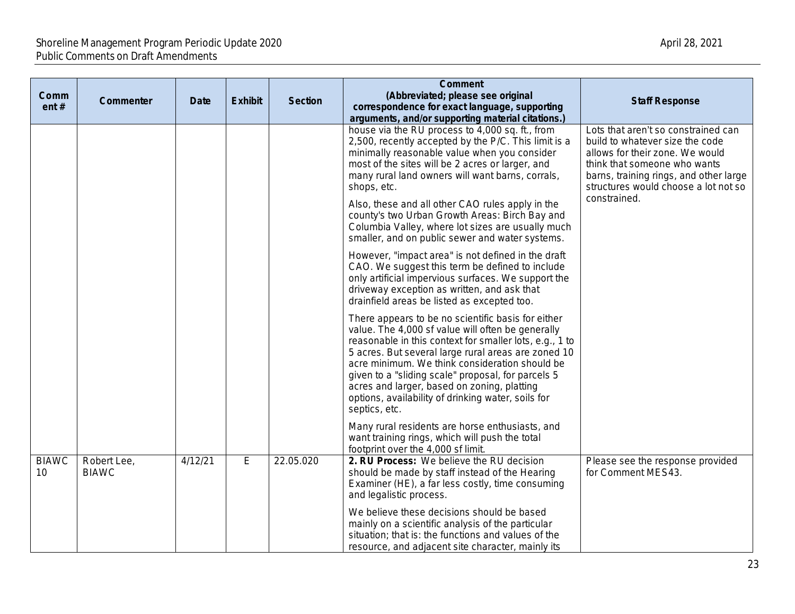| Comm<br>ent#       | Commenter                   | <b>Date</b> | <b>Exhibit</b> | <b>Section</b> | <b>Comment</b><br>(Abbreviated; please see original<br>correspondence for exact language, supporting<br>arguments, and/or supporting material citations.)                                                                                                                                                                                                                                                                                               | <b>Staff Response</b>                                                                                                                                                                                                       |
|--------------------|-----------------------------|-------------|----------------|----------------|---------------------------------------------------------------------------------------------------------------------------------------------------------------------------------------------------------------------------------------------------------------------------------------------------------------------------------------------------------------------------------------------------------------------------------------------------------|-----------------------------------------------------------------------------------------------------------------------------------------------------------------------------------------------------------------------------|
|                    |                             |             |                |                | house via the RU process to 4,000 sq. ft., from<br>2,500, recently accepted by the P/C. This limit is a<br>minimally reasonable value when you consider<br>most of the sites will be 2 acres or larger, and<br>many rural land owners will want barns, corrals,<br>shops, etc.                                                                                                                                                                          | Lots that aren't so constrained can<br>build to whatever size the code<br>allows for their zone. We would<br>think that someone who wants<br>barns, training rings, and other large<br>structures would choose a lot not so |
|                    |                             |             |                |                | Also, these and all other CAO rules apply in the<br>county's two Urban Growth Areas: Birch Bay and<br>Columbia Valley, where lot sizes are usually much<br>smaller, and on public sewer and water systems.                                                                                                                                                                                                                                              | constrained.                                                                                                                                                                                                                |
|                    |                             |             |                |                | However, "impact area" is not defined in the draft<br>CAO. We suggest this term be defined to include<br>only artificial impervious surfaces. We support the<br>driveway exception as written, and ask that<br>drainfield areas be listed as excepted too.                                                                                                                                                                                              |                                                                                                                                                                                                                             |
|                    |                             |             |                |                | There appears to be no scientific basis for either<br>value. The 4,000 sf value will often be generally<br>reasonable in this context for smaller lots, e.g., 1 to<br>5 acres. But several large rural areas are zoned 10<br>acre minimum. We think consideration should be<br>given to a "sliding scale" proposal, for parcels 5<br>acres and larger, based on zoning, platting<br>options, availability of drinking water, soils for<br>septics, etc. |                                                                                                                                                                                                                             |
|                    |                             |             |                |                | Many rural residents are horse enthusiasts, and<br>want training rings, which will push the total<br>footprint over the 4,000 sf limit.                                                                                                                                                                                                                                                                                                                 |                                                                                                                                                                                                                             |
| <b>BIAWC</b><br>10 | Robert Lee,<br><b>BIAWC</b> | 4/12/21     | E              | 22.05.020      | 2. RU Process: We believe the RU decision<br>should be made by staff instead of the Hearing<br>Examiner (HE), a far less costly, time consuming<br>and legalistic process.                                                                                                                                                                                                                                                                              | Please see the response provided<br>for Comment MES43.                                                                                                                                                                      |
|                    |                             |             |                |                | We believe these decisions should be based<br>mainly on a scientific analysis of the particular<br>situation; that is: the functions and values of the<br>resource, and adjacent site character, mainly its                                                                                                                                                                                                                                             |                                                                                                                                                                                                                             |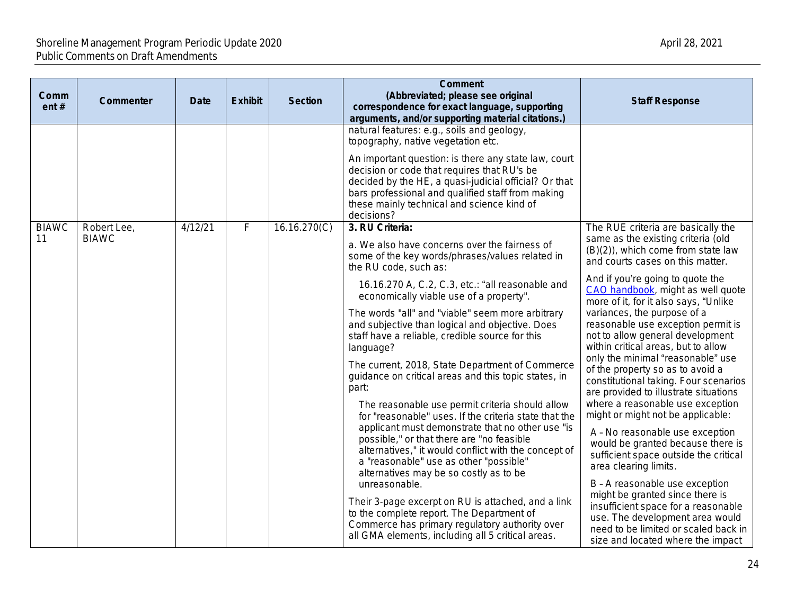| Comm<br>ent# | Commenter    | <b>Date</b> | <b>Exhibit</b> | <b>Section</b>                                                                                                                                                                                            | <b>Comment</b><br>(Abbreviated; please see original<br>correspondence for exact language, supporting<br>arguments, and/or supporting material citations.)                                                                                                                     |                                           |
|--------------|--------------|-------------|----------------|-----------------------------------------------------------------------------------------------------------------------------------------------------------------------------------------------------------|-------------------------------------------------------------------------------------------------------------------------------------------------------------------------------------------------------------------------------------------------------------------------------|-------------------------------------------|
|              |              |             |                |                                                                                                                                                                                                           | natural features: e.g., soils and geology,<br>topography, native vegetation etc.                                                                                                                                                                                              |                                           |
|              |              |             |                |                                                                                                                                                                                                           | An important question: is there any state law, court<br>decision or code that requires that RU's be<br>decided by the HE, a quasi-judicial official? Or that<br>bars professional and qualified staff from making<br>these mainly technical and science kind of<br>decisions? |                                           |
| <b>BIAWC</b> | Robert Lee,  | 4/12/21     | F              | 16.16.270(C)                                                                                                                                                                                              | 3. RU Criteria:                                                                                                                                                                                                                                                               | The R                                     |
| 11           | <b>BIAWC</b> |             |                |                                                                                                                                                                                                           | a. We also have concerns over the fairness of<br>some of the key words/phrases/values related in<br>the RU code, such as:                                                                                                                                                     | same<br>(B)(2)<br>and cc                  |
|              |              |             |                |                                                                                                                                                                                                           | 16.16.270 A, C.2, C.3, etc.: "all reasonable and<br>economically viable use of a property".                                                                                                                                                                                   | And if<br>CAO <sub>h</sub><br>more o      |
|              |              |             |                |                                                                                                                                                                                                           | The words "all" and "viable" seem more arbitrary<br>and subjective than logical and objective. Does<br>staff have a reliable, credible source for this<br>language?                                                                                                           | varian<br>reasor<br>not to<br>within      |
|              |              |             |                |                                                                                                                                                                                                           | The current, 2018, State Department of Commerce<br>guidance on critical areas and this topic states, in<br>part:                                                                                                                                                              | only th<br>of the<br>constit<br>are pro   |
|              |              |             |                | The reasonable use permit criteria should allow<br>for "reasonable" uses. If the criteria state that the<br>applicant must demonstrate that no other use "is<br>possible," or that there are "no feasible | where<br>might<br>$A - N$<br>would                                                                                                                                                                                                                                            |                                           |
|              |              |             |                |                                                                                                                                                                                                           | alternatives," it would conflict with the concept of<br>a "reasonable" use as other "possible"<br>alternatives may be so costly as to be<br>unreasonable.                                                                                                                     | suffic<br>area<br>$B - A$                 |
|              |              |             |                |                                                                                                                                                                                                           | Their 3-page excerpt on RU is attached, and a link<br>to the complete report. The Department of<br>Commerce has primary regulatory authority over<br>all GMA elements, including all 5 critical areas.                                                                        | might<br>insuff<br>use.<br>need<br>size a |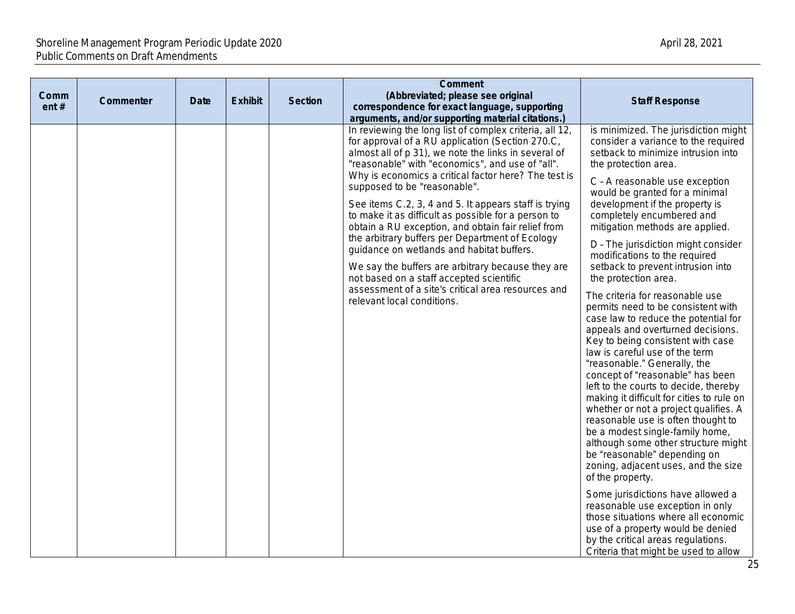| Comm<br>ent $#$ | Commenter | <b>Date</b> | <b>Exhibit</b> | <b>Section</b> | <b>Comment</b><br>(Abbreviated; please see original<br>correspondence for exact language, supporting<br>arguments, and/or supporting material citations.)                                                                                                                                                                                                                                                       | <b>Staff Response</b>                                                                                                                                                                                                                                                                                                                                                                                                                                                                                                                                                                                                                                           |
|-----------------|-----------|-------------|----------------|----------------|-----------------------------------------------------------------------------------------------------------------------------------------------------------------------------------------------------------------------------------------------------------------------------------------------------------------------------------------------------------------------------------------------------------------|-----------------------------------------------------------------------------------------------------------------------------------------------------------------------------------------------------------------------------------------------------------------------------------------------------------------------------------------------------------------------------------------------------------------------------------------------------------------------------------------------------------------------------------------------------------------------------------------------------------------------------------------------------------------|
|                 |           |             |                |                | In reviewing the long list of complex criteria, all 12,<br>for approval of a RU application (Section 270.C,<br>almost all of p 31), we note the links in several of<br>"reasonable" with "economics", and use of "all".                                                                                                                                                                                         | is minimized. The jurisdiction might<br>consider a variance to the required<br>setback to minimize intrusion into<br>the protection area.                                                                                                                                                                                                                                                                                                                                                                                                                                                                                                                       |
|                 |           |             |                |                | Why is economics a critical factor here? The test is<br>supposed to be "reasonable".<br>See items C.2, 3, 4 and 5. It appears staff is trying<br>to make it as difficult as possible for a person to<br>obtain a RU exception, and obtain fair relief from<br>the arbitrary buffers per Department of Ecology<br>guidance on wetlands and habitat buffers.<br>We say the buffers are arbitrary because they are | C - A reasonable use exception<br>would be granted for a minimal<br>development if the property is<br>completely encumbered and<br>mitigation methods are applied.                                                                                                                                                                                                                                                                                                                                                                                                                                                                                              |
|                 |           |             |                |                |                                                                                                                                                                                                                                                                                                                                                                                                                 | D - The jurisdiction might consider<br>modifications to the required<br>setback to prevent intrusion into                                                                                                                                                                                                                                                                                                                                                                                                                                                                                                                                                       |
|                 |           |             |                |                | not based on a staff accepted scientific<br>assessment of a site's critical area resources and<br>relevant local conditions.                                                                                                                                                                                                                                                                                    | the protection area.<br>The criteria for reasonable use<br>permits need to be consistent with<br>case law to reduce the potential for<br>appeals and overturned decisions.<br>Key to being consistent with case<br>law is careful use of the term<br>"reasonable." Generally, the<br>concept of "reasonable" has been<br>left to the courts to decide, thereby<br>making it difficult for cities to rule on<br>whether or not a project qualifies. A<br>reasonable use is often thought to<br>be a modest single-family home,<br>although some other structure might<br>be "reasonable" depending on<br>zoning, adjacent uses, and the size<br>of the property. |
|                 |           |             |                |                |                                                                                                                                                                                                                                                                                                                                                                                                                 | Some jurisdictions have allowed a<br>reasonable use exception in only<br>those situations where all economic<br>use of a property would be denied<br>by the critical areas regulations.<br>Criteria that might be used to allow                                                                                                                                                                                                                                                                                                                                                                                                                                 |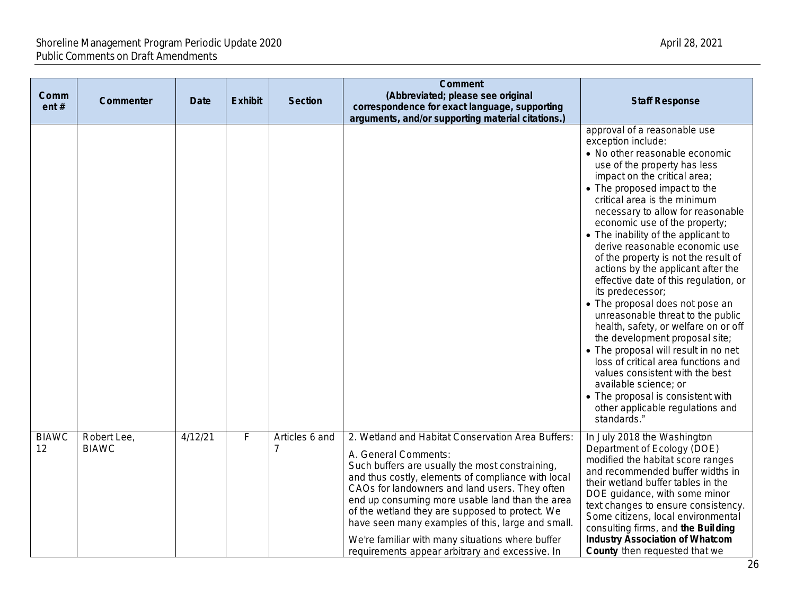| Comm<br>ent#       | Commenter                   | <b>Date</b> | <b>Exhibit</b> | <b>Section</b> | <b>Comment</b><br>(Abbreviated; please see original<br>correspondence for exact language, supporting<br>arguments, and/or supporting material citations.)                                                                                                                                                                                                                                                                                                                                              | <b>Staff Response</b>                                                                                                                                                                                                                                                                                                                                                                                                                                                                                                                                                                                                                                                                                                                                                                                                                                                                               |
|--------------------|-----------------------------|-------------|----------------|----------------|--------------------------------------------------------------------------------------------------------------------------------------------------------------------------------------------------------------------------------------------------------------------------------------------------------------------------------------------------------------------------------------------------------------------------------------------------------------------------------------------------------|-----------------------------------------------------------------------------------------------------------------------------------------------------------------------------------------------------------------------------------------------------------------------------------------------------------------------------------------------------------------------------------------------------------------------------------------------------------------------------------------------------------------------------------------------------------------------------------------------------------------------------------------------------------------------------------------------------------------------------------------------------------------------------------------------------------------------------------------------------------------------------------------------------|
|                    |                             |             |                |                |                                                                                                                                                                                                                                                                                                                                                                                                                                                                                                        | approval of a reasonable use<br>exception include:<br>• No other reasonable economic<br>use of the property has less<br>impact on the critical area;<br>• The proposed impact to the<br>critical area is the minimum<br>necessary to allow for reasonable<br>economic use of the property;<br>• The inability of the applicant to<br>derive reasonable economic use<br>of the property is not the result of<br>actions by the applicant after the<br>effective date of this regulation, or<br>its predecessor;<br>• The proposal does not pose an<br>unreasonable threat to the public<br>health, safety, or welfare on or off<br>the development proposal site;<br>• The proposal will result in no net<br>loss of critical area functions and<br>values consistent with the best<br>available science; or<br>• The proposal is consistent with<br>other applicable regulations and<br>standards." |
| <b>BIAWC</b><br>12 | Robert Lee,<br><b>BIAWC</b> | 4/12/21     | F              | Articles 6 and | 2. Wetland and Habitat Conservation Area Buffers:<br>A. General Comments:<br>Such buffers are usually the most constraining,<br>and thus costly, elements of compliance with local<br>CAOs for landowners and land users. They often<br>end up consuming more usable land than the area<br>of the wetland they are supposed to protect. We<br>have seen many examples of this, large and small.<br>We're familiar with many situations where buffer<br>requirements appear arbitrary and excessive. In | In July 2018 the Washington<br>Department of Ecology (DOE)<br>modified the habitat score ranges<br>and recommended buffer widths in<br>their wetland buffer tables in the<br>DOE guidance, with some minor<br>text changes to ensure consistency.<br>Some citizens, local environmental<br>consulting firms, and the Building<br><b>Industry Association of Whatcom</b><br><b>County</b> then requested that we                                                                                                                                                                                                                                                                                                                                                                                                                                                                                     |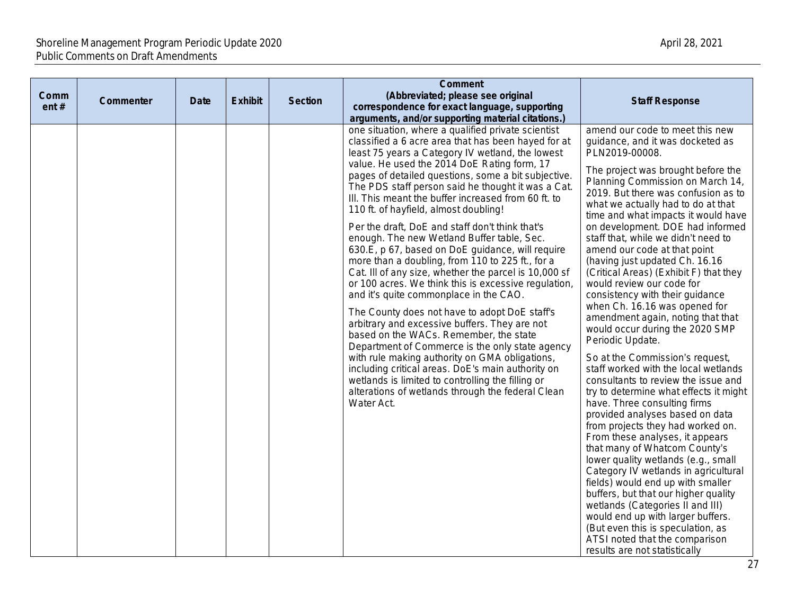|      |           |             |                |                | <b>Comment</b>                                                                                                                                                                                                                                                                                                                                                                                                                                                                                                                                                                                                                                                                                                                                                                                                                                                                                                                                                                                                                                                                                                                                                                                                                                                                                                                    |                                                                                                                                                                                                                                                                                                                                                                                                                                                                                                                                                                                                                                                                                                                                                                                                                                                                                                                                                                                                                                                                                                                                                                                                                                                                                           |
|------|-----------|-------------|----------------|----------------|-----------------------------------------------------------------------------------------------------------------------------------------------------------------------------------------------------------------------------------------------------------------------------------------------------------------------------------------------------------------------------------------------------------------------------------------------------------------------------------------------------------------------------------------------------------------------------------------------------------------------------------------------------------------------------------------------------------------------------------------------------------------------------------------------------------------------------------------------------------------------------------------------------------------------------------------------------------------------------------------------------------------------------------------------------------------------------------------------------------------------------------------------------------------------------------------------------------------------------------------------------------------------------------------------------------------------------------|-------------------------------------------------------------------------------------------------------------------------------------------------------------------------------------------------------------------------------------------------------------------------------------------------------------------------------------------------------------------------------------------------------------------------------------------------------------------------------------------------------------------------------------------------------------------------------------------------------------------------------------------------------------------------------------------------------------------------------------------------------------------------------------------------------------------------------------------------------------------------------------------------------------------------------------------------------------------------------------------------------------------------------------------------------------------------------------------------------------------------------------------------------------------------------------------------------------------------------------------------------------------------------------------|
| Comm | Commenter | <b>Date</b> | <b>Exhibit</b> | <b>Section</b> | (Abbreviated; please see original                                                                                                                                                                                                                                                                                                                                                                                                                                                                                                                                                                                                                                                                                                                                                                                                                                                                                                                                                                                                                                                                                                                                                                                                                                                                                                 | <b>Staff Response</b>                                                                                                                                                                                                                                                                                                                                                                                                                                                                                                                                                                                                                                                                                                                                                                                                                                                                                                                                                                                                                                                                                                                                                                                                                                                                     |
|      |           |             |                |                |                                                                                                                                                                                                                                                                                                                                                                                                                                                                                                                                                                                                                                                                                                                                                                                                                                                                                                                                                                                                                                                                                                                                                                                                                                                                                                                                   |                                                                                                                                                                                                                                                                                                                                                                                                                                                                                                                                                                                                                                                                                                                                                                                                                                                                                                                                                                                                                                                                                                                                                                                                                                                                                           |
| ent# |           |             |                |                | correspondence for exact language, supporting<br>arguments, and/or supporting material citations.)<br>one situation, where a qualified private scientist<br>classified a 6 acre area that has been hayed for at<br>least 75 years a Category IV wetland, the lowest<br>value. He used the 2014 DoE Rating form, 17<br>pages of detailed questions, some a bit subjective.<br>The PDS staff person said he thought it was a Cat.<br>III. This meant the buffer increased from 60 ft. to<br>110 ft. of hayfield, almost doubling!<br>Per the draft, DoE and staff don't think that's<br>enough. The new Wetland Buffer table, Sec.<br>630.E, p 67, based on DoE guidance, will require<br>more than a doubling, from 110 to 225 ft., for a<br>Cat. III of any size, whether the parcel is 10,000 sf<br>or 100 acres. We think this is excessive regulation,<br>and it's quite commonplace in the CAO.<br>The County does not have to adopt DoE staff's<br>arbitrary and excessive buffers. They are not<br>based on the WACs. Remember, the state<br>Department of Commerce is the only state agency<br>with rule making authority on GMA obligations,<br>including critical areas. DoE's main authority on<br>wetlands is limited to controlling the filling or<br>alterations of wetlands through the federal Clean<br>Water Act. | amend our code to meet this new<br>guidance, and it was docketed as<br>PLN2019-00008.<br>The project was brought before the<br>Planning Commission on March 14,<br>2019. But there was confusion as to<br>what we actually had to do at that<br>time and what impacts it would have<br>on development. DOE had informed<br>staff that, while we didn't need to<br>amend our code at that point<br>(having just updated Ch. 16.16<br>(Critical Areas) (Exhibit F) that they<br>would review our code for<br>consistency with their guidance<br>when Ch. 16.16 was opened for<br>amendment again, noting that that<br>would occur during the 2020 SMP<br>Periodic Update.<br>So at the Commission's request,<br>staff worked with the local wetlands<br>consultants to review the issue and<br>try to determine what effects it might<br>have. Three consulting firms<br>provided analyses based on data<br>from projects they had worked on.<br>From these analyses, it appears<br>that many of Whatcom County's<br>lower quality wetlands (e.g., small<br>Category IV wetlands in agricultural<br>fields) would end up with smaller<br>buffers, but that our higher quality<br>wetlands (Categories II and III)<br>would end up with larger buffers.<br>(But even this is speculation, as |
|      |           |             |                |                |                                                                                                                                                                                                                                                                                                                                                                                                                                                                                                                                                                                                                                                                                                                                                                                                                                                                                                                                                                                                                                                                                                                                                                                                                                                                                                                                   | ATSI noted that the comparison<br>results are not statistically                                                                                                                                                                                                                                                                                                                                                                                                                                                                                                                                                                                                                                                                                                                                                                                                                                                                                                                                                                                                                                                                                                                                                                                                                           |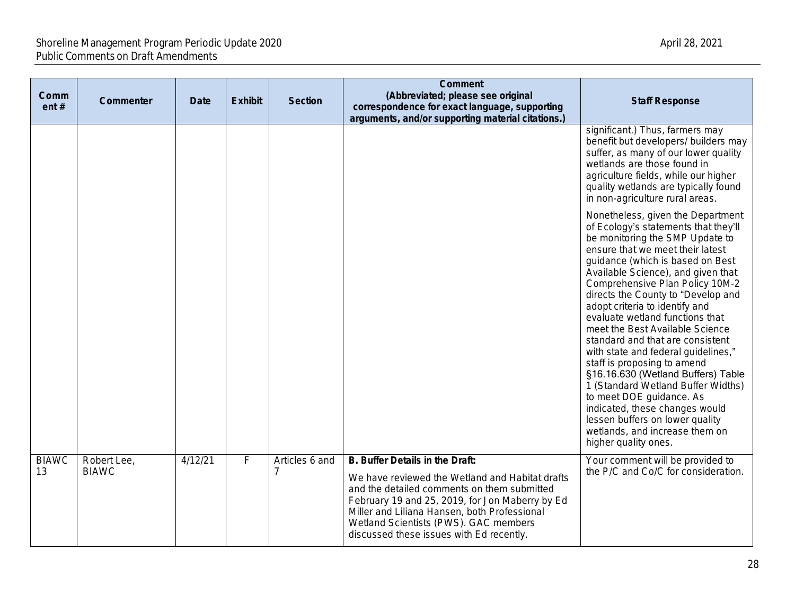| Comm<br>ent#       | Commenter                   | <b>Date</b> | <b>Exhibit</b> | <b>Section</b> | <b>Comment</b><br>(Abbreviated; please see original<br>correspondence for exact language, supporting<br>arguments, and/or supporting material citations.)                                                                                                                                                                 | <b>Staff Response</b>                                                                                                                                                                                                                                                                                                                                                                                                                                                                                                                                                                                                                                                                                                                                        |
|--------------------|-----------------------------|-------------|----------------|----------------|---------------------------------------------------------------------------------------------------------------------------------------------------------------------------------------------------------------------------------------------------------------------------------------------------------------------------|--------------------------------------------------------------------------------------------------------------------------------------------------------------------------------------------------------------------------------------------------------------------------------------------------------------------------------------------------------------------------------------------------------------------------------------------------------------------------------------------------------------------------------------------------------------------------------------------------------------------------------------------------------------------------------------------------------------------------------------------------------------|
|                    |                             |             |                |                |                                                                                                                                                                                                                                                                                                                           | significant.) Thus, farmers may<br>benefit but developers/ builders may<br>suffer, as many of our lower quality<br>wetlands are those found in<br>agriculture fields, while our higher<br>quality wetlands are typically found<br>in non-agriculture rural areas.                                                                                                                                                                                                                                                                                                                                                                                                                                                                                            |
|                    |                             |             |                |                |                                                                                                                                                                                                                                                                                                                           | Nonetheless, given the Department<br>of Ecology's statements that they'll<br>be monitoring the SMP Update to<br>ensure that we meet their latest<br>guidance (which is based on Best<br>Available Science), and given that<br>Comprehensive Plan Policy 10M-2<br>directs the County to "Develop and<br>adopt criteria to identify and<br>evaluate wetland functions that<br>meet the Best Available Science<br>standard and that are consistent<br>with state and federal guidelines,"<br>staff is proposing to amend<br>§16.16.630 (Wetland Buffers) Table<br>1 (Standard Wetland Buffer Widths)<br>to meet DOE guidance. As<br>indicated, these changes would<br>lessen buffers on lower quality<br>wetlands, and increase them on<br>higher quality ones. |
| <b>BIAWC</b><br>13 | Robert Lee,<br><b>BIAWC</b> | 4/12/21     | $\overline{F}$ | Articles 6 and | B. Buffer Details in the Draft:<br>We have reviewed the Wetland and Habitat drafts<br>and the detailed comments on them submitted<br>February 19 and 25, 2019, for Jon Maberry by Ed<br>Miller and Liliana Hansen, both Professional<br>Wetland Scientists (PWS). GAC members<br>discussed these issues with Ed recently. | Your comment will be provided to<br>the P/C and Co/C for consideration.                                                                                                                                                                                                                                                                                                                                                                                                                                                                                                                                                                                                                                                                                      |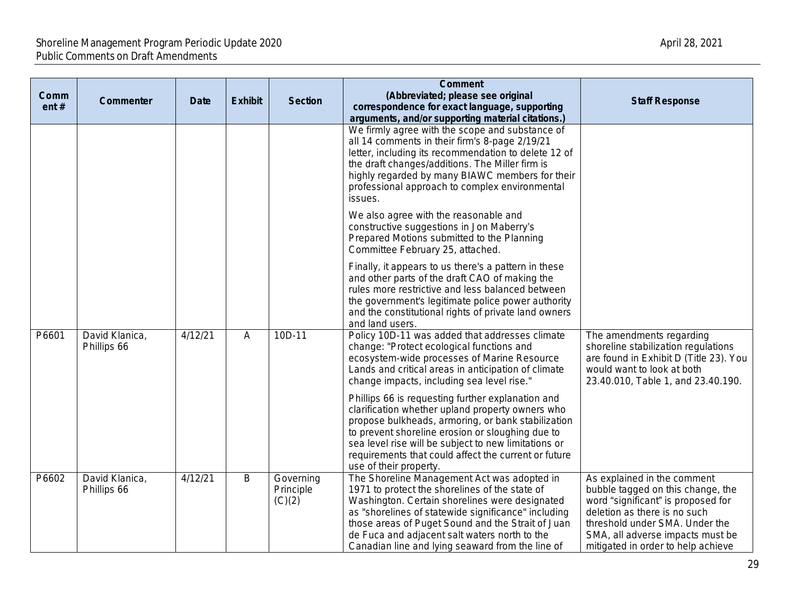| Comm<br>ent# | Commenter                     | Date    | <b>Exhibit</b> | <b>Section</b>                   | <b>Comment</b><br>(Abbreviated; please see original<br>correspondence for exact language, supporting<br>arguments, and/or supporting material citations.)                                                                                                                                                                                                        | <b>Staff Response</b>                                                                                                                                                                                                                              |
|--------------|-------------------------------|---------|----------------|----------------------------------|------------------------------------------------------------------------------------------------------------------------------------------------------------------------------------------------------------------------------------------------------------------------------------------------------------------------------------------------------------------|----------------------------------------------------------------------------------------------------------------------------------------------------------------------------------------------------------------------------------------------------|
|              |                               |         |                |                                  | We firmly agree with the scope and substance of<br>all 14 comments in their firm's 8-page 2/19/21<br>letter, including its recommendation to delete 12 of<br>the draft changes/additions. The Miller firm is<br>highly regarded by many BIAWC members for their<br>professional approach to complex environmental<br>issues.                                     |                                                                                                                                                                                                                                                    |
|              |                               |         |                |                                  | We also agree with the reasonable and<br>constructive suggestions in Jon Maberry's<br>Prepared Motions submitted to the Planning<br>Committee February 25, attached.                                                                                                                                                                                             |                                                                                                                                                                                                                                                    |
|              |                               |         |                |                                  | Finally, it appears to us there's a pattern in these<br>and other parts of the draft CAO of making the<br>rules more restrictive and less balanced between<br>the government's legitimate police power authority<br>and the constitutional rights of private land owners<br>and land users.                                                                      |                                                                                                                                                                                                                                                    |
| P6601        | David Klanica,<br>Phillips 66 | 4/12/21 | A              | 10D-11                           | Policy 10D-11 was added that addresses climate<br>change: "Protect ecological functions and<br>ecosystem-wide processes of Marine Resource<br>Lands and critical areas in anticipation of climate<br>change impacts, including sea level rise."                                                                                                                  | The amendments regarding<br>shoreline stabilization regulations<br>are found in Exhibit D (Title 23). You<br>would want to look at both<br>23.40.010, Table 1, and 23.40.190.                                                                      |
|              |                               |         |                |                                  | Phillips 66 is requesting further explanation and<br>clarification whether upland property owners who<br>propose bulkheads, armoring, or bank stabilization<br>to prevent shoreline erosion or sloughing due to<br>sea level rise will be subject to new limitations or<br>requirements that could affect the current or future<br>use of their property.        |                                                                                                                                                                                                                                                    |
| P6602        | David Klanica,<br>Phillips 66 | 4/12/21 | B              | Governing<br>Principle<br>(C)(2) | The Shoreline Management Act was adopted in<br>1971 to protect the shorelines of the state of<br>Washington. Certain shorelines were designated<br>as "shorelines of statewide significance" including<br>those areas of Puget Sound and the Strait of Juan<br>de Fuca and adjacent salt waters north to the<br>Canadian line and lying seaward from the line of | As explained in the comment<br>bubble tagged on this change, the<br>word "significant" is proposed for<br>deletion as there is no such<br>threshold under SMA. Under the<br>SMA, all adverse impacts must be<br>mitigated in order to help achieve |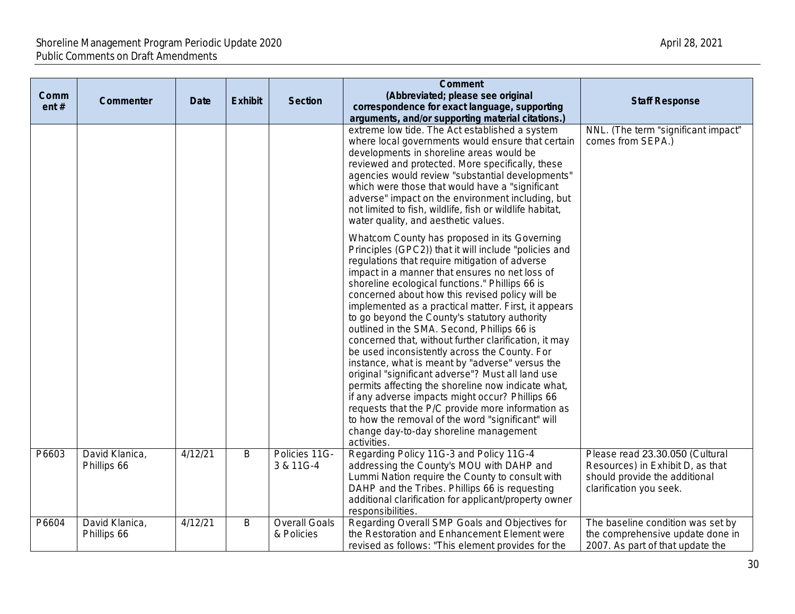| Comm<br>ent# | <b>Commenter</b>              | <b>Date</b> | <b>Exhibit</b> | <b>Section</b>                     | <b>Comment</b><br>(Abbreviated; please see original<br>correspondence for exact language, supporting<br>arguments, and/or supporting material citations.)                                                                                                                                                                                                                                                                                                                                                                                                                                                                                                                                                                                                                                                                                                                                                                                                             | <b>Staff Response</b>                                                                                                           |
|--------------|-------------------------------|-------------|----------------|------------------------------------|-----------------------------------------------------------------------------------------------------------------------------------------------------------------------------------------------------------------------------------------------------------------------------------------------------------------------------------------------------------------------------------------------------------------------------------------------------------------------------------------------------------------------------------------------------------------------------------------------------------------------------------------------------------------------------------------------------------------------------------------------------------------------------------------------------------------------------------------------------------------------------------------------------------------------------------------------------------------------|---------------------------------------------------------------------------------------------------------------------------------|
|              |                               |             |                |                                    | extreme low tide. The Act established a system<br>where local governments would ensure that certain<br>developments in shoreline areas would be<br>reviewed and protected. More specifically, these<br>agencies would review "substantial developments"<br>which were those that would have a "significant<br>adverse" impact on the environment including, but<br>not limited to fish, wildlife, fish or wildlife habitat,<br>water quality, and aesthetic values.                                                                                                                                                                                                                                                                                                                                                                                                                                                                                                   | NNL. (The term "significant impact"<br>comes from SEPA.)                                                                        |
|              |                               |             |                |                                    | Whatcom County has proposed in its Governing<br>Principles (GPC2)) that it will include "policies and<br>regulations that require mitigation of adverse<br>impact in a manner that ensures no net loss of<br>shoreline ecological functions." Phillips 66 is<br>concerned about how this revised policy will be<br>implemented as a practical matter. First, it appears<br>to go beyond the County's statutory authority<br>outlined in the SMA. Second, Phillips 66 is<br>concerned that, without further clarification, it may<br>be used inconsistently across the County. For<br>instance, what is meant by "adverse" versus the<br>original "significant adverse"? Must all land use<br>permits affecting the shoreline now indicate what,<br>if any adverse impacts might occur? Phillips 66<br>requests that the P/C provide more information as<br>to how the removal of the word "significant" will<br>change day-to-day shoreline management<br>activities. |                                                                                                                                 |
| P6603        | David Klanica,<br>Phillips 66 | 4/12/21     | $\overline{B}$ | Policies 11G-<br>3 & 11G-4         | Regarding Policy 11G-3 and Policy 11G-4<br>addressing the County's MOU with DAHP and<br>Lummi Nation require the County to consult with<br>DAHP and the Tribes. Phillips 66 is requesting<br>additional clarification for applicant/property owner<br>responsibilities.                                                                                                                                                                                                                                                                                                                                                                                                                                                                                                                                                                                                                                                                                               | Please read 23.30.050 (Cultural<br>Resources) in Exhibit D, as that<br>should provide the additional<br>clarification you seek. |
| P6604        | David Klanica,<br>Phillips 66 | 4/12/21     | B              | <b>Overall Goals</b><br>& Policies | Regarding Overall SMP Goals and Objectives for<br>the Restoration and Enhancement Element were<br>revised as follows: "This element provides for the                                                                                                                                                                                                                                                                                                                                                                                                                                                                                                                                                                                                                                                                                                                                                                                                                  | The baseline condition was set by<br>the comprehensive update done in<br>2007. As part of that update the                       |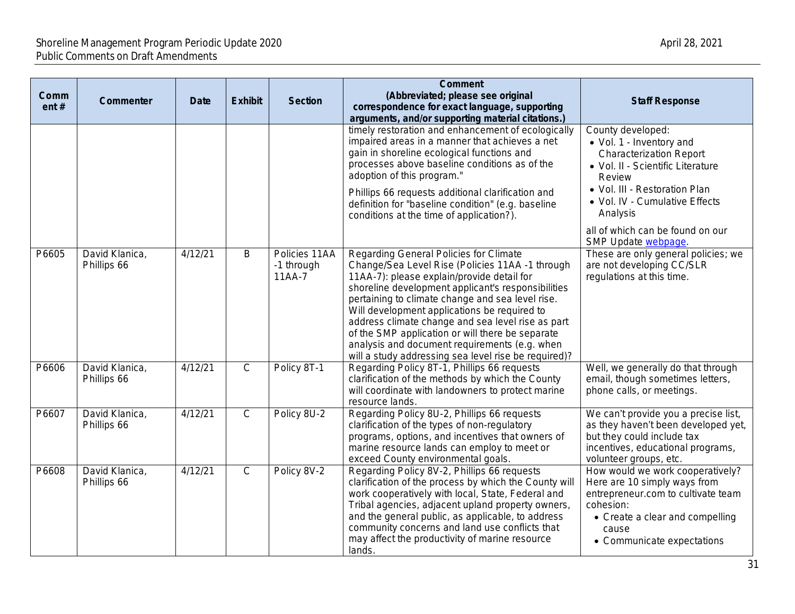| Comm<br>ent# | Commenter                     | <b>Date</b> | <b>Exhibit</b> | <b>Section</b>                          | <b>Comment</b><br>(Abbreviated; please see original<br>correspondence for exact language, supporting<br>arguments, and/or supporting material citations.)                                                                                                                                                                                                                                                                                                                                                           |                                                                                                    |
|--------------|-------------------------------|-------------|----------------|-----------------------------------------|---------------------------------------------------------------------------------------------------------------------------------------------------------------------------------------------------------------------------------------------------------------------------------------------------------------------------------------------------------------------------------------------------------------------------------------------------------------------------------------------------------------------|----------------------------------------------------------------------------------------------------|
|              |                               |             |                |                                         | timely restoration and enhancement of ecologically<br>impaired areas in a manner that achieves a net<br>gain in shoreline ecological functions and<br>processes above baseline conditions as of the<br>adoption of this program."<br>Phillips 66 requests additional clarification and                                                                                                                                                                                                                              | Count<br>$\bullet$ Vol.<br>Cha<br>$\bullet$ Vol.<br><b>Rev</b><br>$\bullet$ Vol.<br>$\bullet$ Vol. |
|              |                               |             |                |                                         | definition for "baseline condition" (e.g. baseline<br>conditions at the time of application?).                                                                                                                                                                                                                                                                                                                                                                                                                      | Ana<br>all of v                                                                                    |
| P6605        | David Klanica,<br>Phillips 66 | 4/12/21     | B              | Policies 11AA<br>-1 through<br>$11AA-7$ | Regarding General Policies for Climate<br>Change/Sea Level Rise (Policies 11AA -1 through<br>11AA-7): please explain/provide detail for<br>shoreline development applicant's responsibilities<br>pertaining to climate change and sea level rise.<br>Will development applications be required to<br>address climate change and sea level rise as part<br>of the SMP application or will there be separate<br>analysis and document requirements (e.g. when<br>will a study addressing sea level rise be required)? | SMP <sub>U</sub><br>These<br>are no<br>regula                                                      |
| P6606        | David Klanica,<br>Phillips 66 | 4/12/21     | $\mathsf{C}$   | Policy 8T-1                             | Regarding Policy 8T-1, Phillips 66 requests<br>clarification of the methods by which the County<br>will coordinate with landowners to protect marine<br>resource lands.                                                                                                                                                                                                                                                                                                                                             | Well, v<br>email,<br>phone                                                                         |
| P6607        | David Klanica,<br>Phillips 66 | 4/12/21     | $\overline{C}$ | Policy 8U-2                             | Regarding Policy 8U-2, Phillips 66 requests<br>clarification of the types of non-regulatory<br>programs, options, and incentives that owners of<br>marine resource lands can employ to meet or<br>exceed County environmental goals.                                                                                                                                                                                                                                                                                | We ca<br>as the<br>but the<br>incenti<br>volunt                                                    |
| P6608        | David Klanica,<br>Phillips 66 | 4/12/21     | $\overline{C}$ | Policy 8V-2                             | Regarding Policy 8V-2, Phillips 66 requests<br>clarification of the process by which the County will<br>work cooperatively with local, State, Federal and<br>Tribal agencies, adjacent upland property owners,<br>and the general public, as applicable, to address<br>community concerns and land use conflicts that<br>may affect the productivity of marine resource<br>lands.                                                                                                                                   | How <b>w</b><br>Here a<br>entrep<br>cohesi<br>$\bullet$ Cr<br>ca<br>$\bullet$ Co                   |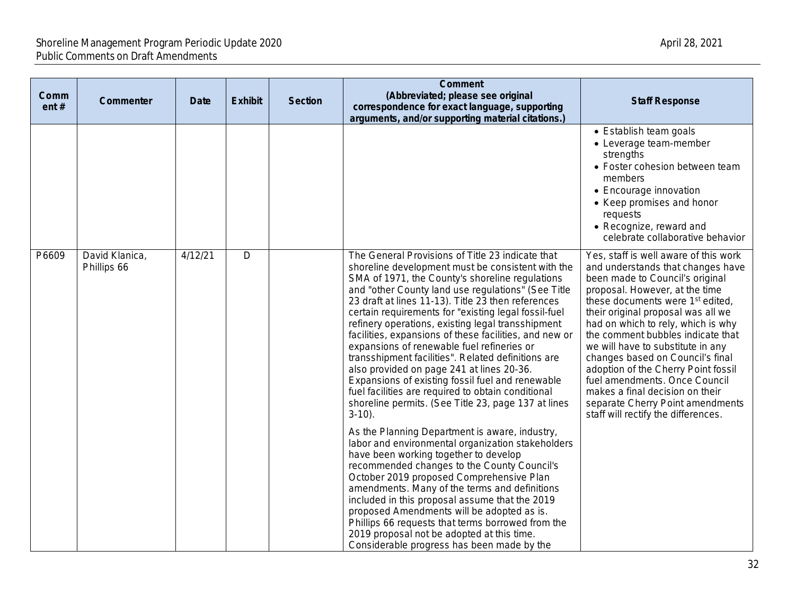| Comm<br>ent# | Commenter                     | Date    | <b>Exhibit</b> | <b>Section</b> | <b>Comment</b><br>(Abbreviated; please see original<br>correspondence for exact language, supporting<br>arguments, and/or supporting material citations.)                                                                                                                                                                                                                                                                                                                                                                                                                                                                                                                                                                                                                  | <b>Staff Response</b>                                                                                                                                                                                                                                                                                                                                                                                                                                                                                                                                                           |
|--------------|-------------------------------|---------|----------------|----------------|----------------------------------------------------------------------------------------------------------------------------------------------------------------------------------------------------------------------------------------------------------------------------------------------------------------------------------------------------------------------------------------------------------------------------------------------------------------------------------------------------------------------------------------------------------------------------------------------------------------------------------------------------------------------------------------------------------------------------------------------------------------------------|---------------------------------------------------------------------------------------------------------------------------------------------------------------------------------------------------------------------------------------------------------------------------------------------------------------------------------------------------------------------------------------------------------------------------------------------------------------------------------------------------------------------------------------------------------------------------------|
|              |                               |         |                |                |                                                                                                                                                                                                                                                                                                                                                                                                                                                                                                                                                                                                                                                                                                                                                                            | • Establish team goals<br>• Leverage team-member<br>strengths<br>• Foster cohesion between team<br>members<br>• Encourage innovation<br>• Keep promises and honor<br>requests<br>• Recognize, reward and<br>celebrate collaborative behavior                                                                                                                                                                                                                                                                                                                                    |
| P6609        | David Klanica,<br>Phillips 66 | 4/12/21 | $\mathsf{D}$   |                | The General Provisions of Title 23 indicate that<br>shoreline development must be consistent with the<br>SMA of 1971, the County's shoreline regulations<br>and "other County land use regulations" (See Title<br>23 draft at lines 11-13). Title 23 then references<br>certain requirements for "existing legal fossil-fuel<br>refinery operations, existing legal transshipment<br>facilities, expansions of these facilities, and new or<br>expansions of renewable fuel refineries or<br>transshipment facilities". Related definitions are<br>also provided on page 241 at lines 20-36.<br>Expansions of existing fossil fuel and renewable<br>fuel facilities are required to obtain conditional<br>shoreline permits. (See Title 23, page 137 at lines<br>$3-10$ ). | Yes, staff is well aware of this work<br>and understands that changes have<br>been made to Council's original<br>proposal. However, at the time<br>these documents were 1 <sup>st</sup> edited,<br>their original proposal was all we<br>had on which to rely, which is why<br>the comment bubbles indicate that<br>we will have to substitute in any<br>changes based on Council's final<br>adoption of the Cherry Point fossil<br>fuel amendments. Once Council<br>makes a final decision on their<br>separate Cherry Point amendments<br>staff will rectify the differences. |
|              |                               |         |                |                | As the Planning Department is aware, industry,<br>labor and environmental organization stakeholders<br>have been working together to develop<br>recommended changes to the County Council's<br>October 2019 proposed Comprehensive Plan<br>amendments. Many of the terms and definitions<br>included in this proposal assume that the 2019<br>proposed Amendments will be adopted as is.<br>Phillips 66 requests that terms borrowed from the<br>2019 proposal not be adopted at this time.<br>Considerable progress has been made by the                                                                                                                                                                                                                                  |                                                                                                                                                                                                                                                                                                                                                                                                                                                                                                                                                                                 |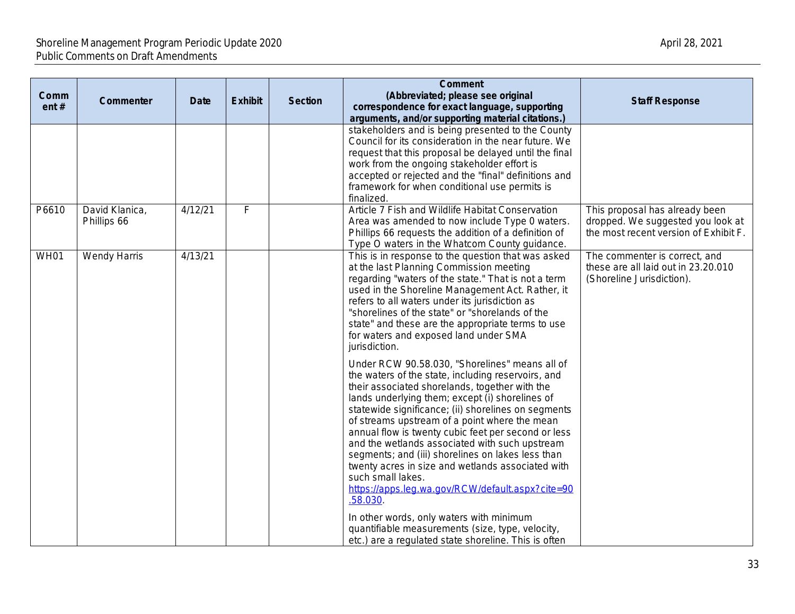| Comm<br>ent $#$ | Commenter                     | <b>Date</b> | <b>Exhibit</b> | <b>Section</b> | <b>Comment</b><br>(Abbreviated; please see original<br>correspondence for exact language, supporting<br>arguments, and/or supporting material citations.)<br>stakeholders and is being presented to the County<br>Council for its consideration in the near future. We<br>request that this proposal be delayed until the final                                                                                                                                                                                                                                                                                                                                                                                          |                             |
|-----------------|-------------------------------|-------------|----------------|----------------|--------------------------------------------------------------------------------------------------------------------------------------------------------------------------------------------------------------------------------------------------------------------------------------------------------------------------------------------------------------------------------------------------------------------------------------------------------------------------------------------------------------------------------------------------------------------------------------------------------------------------------------------------------------------------------------------------------------------------|-----------------------------|
|                 |                               |             |                |                | work from the ongoing stakeholder effort is<br>accepted or rejected and the "final" definitions and<br>framework for when conditional use permits is<br>finalized.                                                                                                                                                                                                                                                                                                                                                                                                                                                                                                                                                       |                             |
| P6610           | David Klanica,<br>Phillips 66 | 4/12/21     | F              |                | Article 7 Fish and Wildlife Habitat Conservation<br>Area was amended to now include Type 0 waters.<br>Phillips 66 requests the addition of a definition of<br>Type O waters in the Whatcom County guidance.                                                                                                                                                                                                                                                                                                                                                                                                                                                                                                              | This pr<br>droppe<br>the mo |
| <b>WH01</b>     | Wendy Harris                  | 4/13/21     |                |                | This is in response to the question that was asked<br>at the last Planning Commission meeting<br>regarding "waters of the state." That is not a term<br>used in the Shoreline Management Act. Rather, it<br>refers to all waters under its jurisdiction as<br>"shorelines of the state" or "shorelands of the<br>state" and these are the appropriate terms to use<br>for waters and exposed land under SMA<br>jurisdiction.                                                                                                                                                                                                                                                                                             | The co<br>these<br>(Shore   |
|                 |                               |             |                |                | Under RCW 90.58.030, "Shorelines" means all of<br>the waters of the state, including reservoirs, and<br>their associated shorelands, together with the<br>lands underlying them; except (i) shorelines of<br>statewide significance; (ii) shorelines on segments<br>of streams upstream of a point where the mean<br>annual flow is twenty cubic feet per second or less<br>and the wetlands associated with such upstream<br>segments; and (iii) shorelines on lakes less than<br>twenty acres in size and wetlands associated with<br>such small lakes.<br>https://apps.leg.wa.gov/RCW/default.aspx?cite=90<br>.58.030<br>In other words, only waters with minimum<br>quantifiable measurements (size, type, velocity, |                             |
|                 |                               |             |                |                | etc.) are a regulated state shoreline. This is often                                                                                                                                                                                                                                                                                                                                                                                                                                                                                                                                                                                                                                                                     |                             |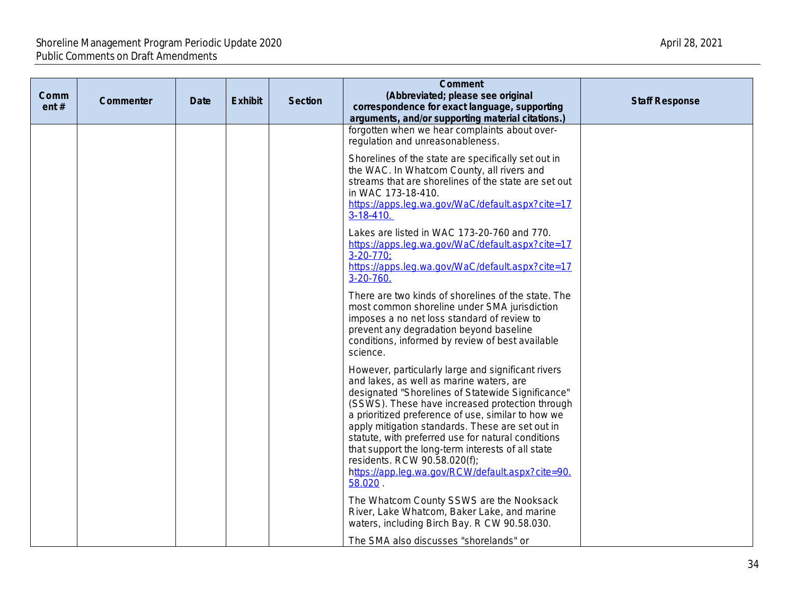| Comm<br>ent# | <b>Commenter</b> | Date | <b>Exhibit</b> | <b>Section</b> | Comment<br>(Abbreviated; please see original<br>correspondence for exact language, supporting<br>arguments, and/or supporting material citations.)                                                                                                                                                                                                                                                                                                                                                                         |  |
|--------------|------------------|------|----------------|----------------|----------------------------------------------------------------------------------------------------------------------------------------------------------------------------------------------------------------------------------------------------------------------------------------------------------------------------------------------------------------------------------------------------------------------------------------------------------------------------------------------------------------------------|--|
|              |                  |      |                |                | forgotten when we hear complaints about over-<br>regulation and unreasonableness.                                                                                                                                                                                                                                                                                                                                                                                                                                          |  |
|              |                  |      |                |                | Shorelines of the state are specifically set out in<br>the WAC. In Whatcom County, all rivers and<br>streams that are shorelines of the state are set out<br>in WAC 173-18-410.<br>https://apps.leg.wa.gov/WaC/default.aspx?cite=17<br>$3 - 18 - 410$ .                                                                                                                                                                                                                                                                    |  |
|              |                  |      |                |                | Lakes are listed in WAC 173-20-760 and 770.<br>https://apps.leg.wa.gov/WaC/default.aspx?cite=17<br>$3 - 20 - 770$<br>https://apps.leg.wa.gov/WaC/default.aspx?cite=17<br>$3 - 20 - 760$ .                                                                                                                                                                                                                                                                                                                                  |  |
|              |                  |      |                |                | There are two kinds of shorelines of the state. The<br>most common shoreline under SMA jurisdiction<br>imposes a no net loss standard of review to<br>prevent any degradation beyond baseline<br>conditions, informed by review of best available<br>science.                                                                                                                                                                                                                                                              |  |
|              |                  |      |                |                | However, particularly large and significant rivers<br>and lakes, as well as marine waters, are<br>designated "Shorelines of Statewide Significance"<br>(SSWS). These have increased protection through<br>a prioritized preference of use, similar to how we<br>apply mitigation standards. These are set out in<br>statute, with preferred use for natural conditions<br>that support the long-term interests of all state<br>residents. RCW 90.58.020(f);<br>https://app.leg.wa.gov/RCW/default.aspx?cite=90.<br>58.020. |  |
|              |                  |      |                |                | The Whatcom County SSWS are the Nooksack<br>River, Lake Whatcom, Baker Lake, and marine<br>waters, including Birch Bay. R CW 90.58.030.<br>The SMA also discusses "shorelands" or                                                                                                                                                                                                                                                                                                                                          |  |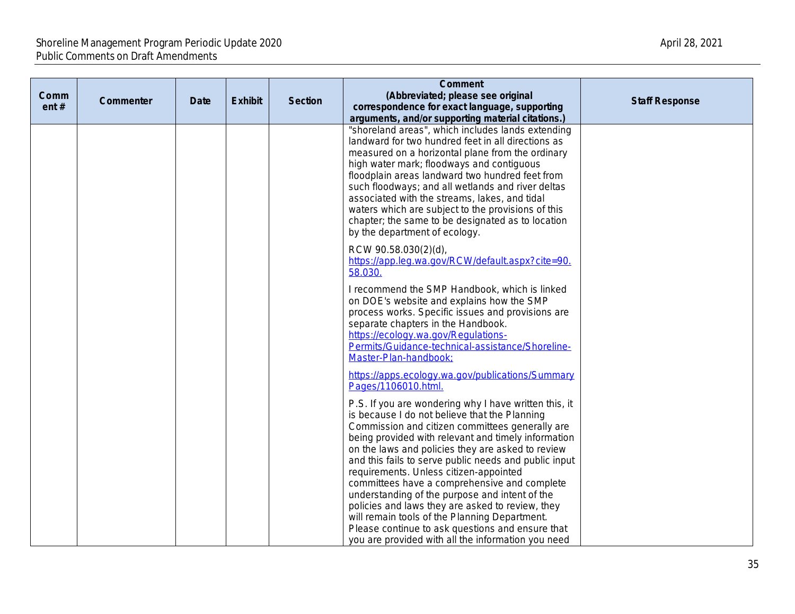| Comm<br>ent# | Commenter | Date | <b>Exhibit</b> | <b>Section</b> | <b>Comment</b><br>(Abbreviated; please see original<br>correspondence for exact language, supporting<br>arguments, and/or supporting material citations.)                                                                                                                                                                                                                                                                                                                                                                                                                                                                                                                                 |  |
|--------------|-----------|------|----------------|----------------|-------------------------------------------------------------------------------------------------------------------------------------------------------------------------------------------------------------------------------------------------------------------------------------------------------------------------------------------------------------------------------------------------------------------------------------------------------------------------------------------------------------------------------------------------------------------------------------------------------------------------------------------------------------------------------------------|--|
|              |           |      |                |                | "shoreland areas", which includes lands extending<br>landward for two hundred feet in all directions as<br>measured on a horizontal plane from the ordinary<br>high water mark; floodways and contiguous<br>floodplain areas landward two hundred feet from<br>such floodways; and all wetlands and river deltas<br>associated with the streams, lakes, and tidal<br>waters which are subject to the provisions of this<br>chapter; the same to be designated as to location<br>by the department of ecology.                                                                                                                                                                             |  |
|              |           |      |                |                | RCW 90.58.030(2)(d),<br>https://app.leg.wa.gov/RCW/default.aspx?cite=90.<br>58.030.                                                                                                                                                                                                                                                                                                                                                                                                                                                                                                                                                                                                       |  |
|              |           |      |                |                | I recommend the SMP Handbook, which is linked<br>on DOE's website and explains how the SMP<br>process works. Specific issues and provisions are<br>separate chapters in the Handbook.<br>https://ecology.wa.gov/Regulations-<br>Permits/Guidance-technical-assistance/Shoreline-<br>Master-Plan-handbook;                                                                                                                                                                                                                                                                                                                                                                                 |  |
|              |           |      |                |                | https://apps.ecology.wa.gov/publications/Summary<br>Pages/1106010.html.                                                                                                                                                                                                                                                                                                                                                                                                                                                                                                                                                                                                                   |  |
|              |           |      |                |                | P.S. If you are wondering why I have written this, it<br>is because I do not believe that the Planning<br>Commission and citizen committees generally are<br>being provided with relevant and timely information<br>on the laws and policies they are asked to review<br>and this fails to serve public needs and public input<br>requirements. Unless citizen-appointed<br>committees have a comprehensive and complete<br>understanding of the purpose and intent of the<br>policies and laws they are asked to review, they<br>will remain tools of the Planning Department.<br>Please continue to ask questions and ensure that<br>you are provided with all the information you need |  |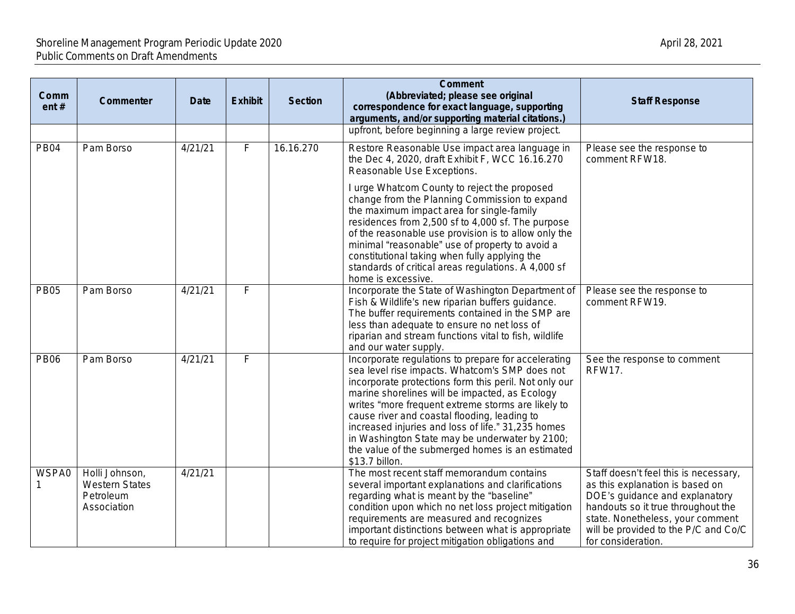| Comm<br>ent# | Commenter                                                           | <b>Date</b> | <b>Exhibit</b> | <b>Section</b> | <b>Comment</b><br>(Abbreviated; please see original<br>correspondence for exact language, supporting<br>arguments, and/or supporting material citations.)                                                                                                                                                                                                                                                                                                                                            | <b>Staff Response</b>                                                                                                                                                                                                                              |
|--------------|---------------------------------------------------------------------|-------------|----------------|----------------|------------------------------------------------------------------------------------------------------------------------------------------------------------------------------------------------------------------------------------------------------------------------------------------------------------------------------------------------------------------------------------------------------------------------------------------------------------------------------------------------------|----------------------------------------------------------------------------------------------------------------------------------------------------------------------------------------------------------------------------------------------------|
|              |                                                                     |             |                |                | upfront, before beginning a large review project.                                                                                                                                                                                                                                                                                                                                                                                                                                                    |                                                                                                                                                                                                                                                    |
| <b>PB04</b>  | Pam Borso                                                           | 4/21/21     | $\overline{F}$ | 16.16.270      | Restore Reasonable Use impact area language in<br>the Dec 4, 2020, draft Exhibit F, WCC 16.16.270<br>Reasonable Use Exceptions.                                                                                                                                                                                                                                                                                                                                                                      | Please see the response to<br>comment RFW18.                                                                                                                                                                                                       |
|              |                                                                     |             |                |                | I urge Whatcom County to reject the proposed<br>change from the Planning Commission to expand<br>the maximum impact area for single-family<br>residences from 2,500 sf to 4,000 sf. The purpose<br>of the reasonable use provision is to allow only the<br>minimal "reasonable" use of property to avoid a<br>constitutional taking when fully applying the<br>standards of critical areas regulations. A 4,000 sf<br>home is excessive.                                                             |                                                                                                                                                                                                                                                    |
| <b>PB05</b>  | Pam Borso                                                           | 4/21/21     | F              |                | Incorporate the State of Washington Department of<br>Fish & Wildlife's new riparian buffers guidance.<br>The buffer requirements contained in the SMP are<br>less than adequate to ensure no net loss of<br>riparian and stream functions vital to fish, wildlife<br>and our water supply.                                                                                                                                                                                                           | Please see the response to<br>comment RFW19.                                                                                                                                                                                                       |
| <b>PB06</b>  | Pam Borso                                                           | 4/21/21     | $\overline{F}$ |                | Incorporate regulations to prepare for accelerating<br>sea level rise impacts. Whatcom's SMP does not<br>incorporate protections form this peril. Not only our<br>marine shorelines will be impacted, as Ecology<br>writes "more frequent extreme storms are likely to<br>cause river and coastal flooding, leading to<br>increased injuries and loss of life." 31,235 homes<br>in Washington State may be underwater by 2100;<br>the value of the submerged homes is an estimated<br>\$13.7 billon. | See the response to comment<br><b>RFW17.</b>                                                                                                                                                                                                       |
| WSPA0        | Holli Johnson,<br><b>Western States</b><br>Petroleum<br>Association | 4/21/21     |                |                | The most recent staff memorandum contains<br>several important explanations and clarifications<br>regarding what is meant by the "baseline"<br>condition upon which no net loss project mitigation<br>requirements are measured and recognizes<br>important distinctions between what is appropriate<br>to require for project mitigation obligations and                                                                                                                                            | Staff doesn't feel this is necessary,<br>as this explanation is based on<br>DOE's guidance and explanatory<br>handouts so it true throughout the<br>state. Nonetheless, your comment<br>will be provided to the P/C and Co/C<br>for consideration. |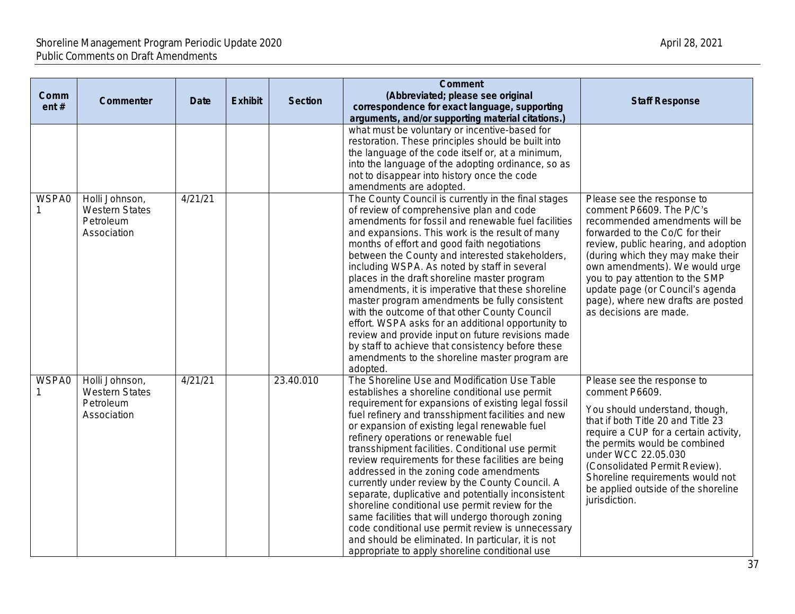| Comm<br>ent $#$ | <b>Commenter</b>                                                    | <b>Date</b> | <b>Exhibit</b> | <b>Section</b> | <b>Comment</b><br>(Abbreviated; please see original<br>correspondence for exact language, supporting<br>arguments, and/or supporting material citations.)                                                                                                                                                                                                                                                                                                                                                                                                                                                                                                                                                                                                                                                                                | <b>Staff Response</b>                                                                                                                                                                                                                                                                                                                                                             |
|-----------------|---------------------------------------------------------------------|-------------|----------------|----------------|------------------------------------------------------------------------------------------------------------------------------------------------------------------------------------------------------------------------------------------------------------------------------------------------------------------------------------------------------------------------------------------------------------------------------------------------------------------------------------------------------------------------------------------------------------------------------------------------------------------------------------------------------------------------------------------------------------------------------------------------------------------------------------------------------------------------------------------|-----------------------------------------------------------------------------------------------------------------------------------------------------------------------------------------------------------------------------------------------------------------------------------------------------------------------------------------------------------------------------------|
|                 |                                                                     |             |                |                | what must be voluntary or incentive-based for<br>restoration. These principles should be built into<br>the language of the code itself or, at a minimum,<br>into the language of the adopting ordinance, so as<br>not to disappear into history once the code<br>amendments are adopted.                                                                                                                                                                                                                                                                                                                                                                                                                                                                                                                                                 |                                                                                                                                                                                                                                                                                                                                                                                   |
| WSPA0           | Holli Johnson,<br><b>Western States</b><br>Petroleum<br>Association | 4/21/21     |                |                | The County Council is currently in the final stages<br>of review of comprehensive plan and code<br>amendments for fossil and renewable fuel facilities<br>and expansions. This work is the result of many<br>months of effort and good faith negotiations<br>between the County and interested stakeholders,<br>including WSPA. As noted by staff in several<br>places in the draft shoreline master program<br>amendments, it is imperative that these shoreline<br>master program amendments be fully consistent<br>with the outcome of that other County Council<br>effort. WSPA asks for an additional opportunity to<br>review and provide input on future revisions made<br>by staff to achieve that consistency before these<br>amendments to the shoreline master program are<br>adopted.                                        | Please see the response to<br>comment P6609. The P/C's<br>recommended amendments will be<br>forwarded to the Co/C for their<br>review, public hearing, and adoption<br>(during which they may make their<br>own amendments). We would urge<br>you to pay attention to the SMP<br>update page (or Council's agenda<br>page), where new drafts are posted<br>as decisions are made. |
| <b>WSPA0</b>    | Holli Johnson,<br><b>Western States</b><br>Petroleum<br>Association | 4/21/21     |                | 23.40.010      | The Shoreline Use and Modification Use Table<br>establishes a shoreline conditional use permit<br>requirement for expansions of existing legal fossil<br>fuel refinery and transshipment facilities and new<br>or expansion of existing legal renewable fuel<br>refinery operations or renewable fuel<br>transshipment facilities. Conditional use permit<br>review requirements for these facilities are being<br>addressed in the zoning code amendments<br>currently under review by the County Council. A<br>separate, duplicative and potentially inconsistent<br>shoreline conditional use permit review for the<br>same facilities that will undergo thorough zoning<br>code conditional use permit review is unnecessary<br>and should be eliminated. In particular, it is not<br>appropriate to apply shoreline conditional use | Please see the response to<br>comment P6609.<br>You should understand, though,<br>that if both Title 20 and Title 23<br>require a CUP for a certain activity,<br>the permits would be combined<br>under WCC 22.05.030<br>(Consolidated Permit Review).<br>Shoreline requirements would not<br>be applied outside of the shoreline<br>jurisdiction.                                |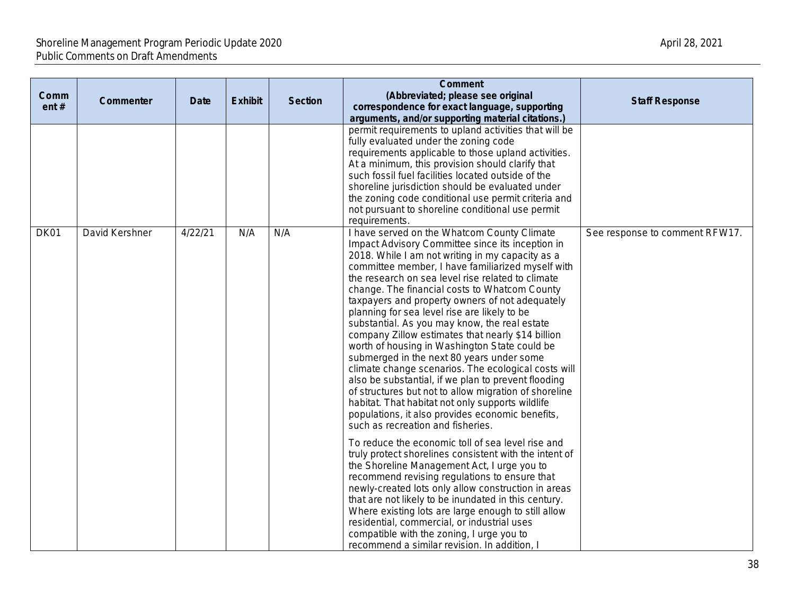| Comm<br>ent# | Commenter      | Date    | <b>Exhibit</b> | <b>Section</b> | <b>Comment</b><br>(Abbreviated; please see original<br>correspondence for exact language, supporting<br>arguments, and/or supporting material citations.)                                                                                                                                                                                                                                                                                                                                                                                                                                                                                                                                                                                                                                                                                                                                                                                 | <b>Staff Response</b>          |
|--------------|----------------|---------|----------------|----------------|-------------------------------------------------------------------------------------------------------------------------------------------------------------------------------------------------------------------------------------------------------------------------------------------------------------------------------------------------------------------------------------------------------------------------------------------------------------------------------------------------------------------------------------------------------------------------------------------------------------------------------------------------------------------------------------------------------------------------------------------------------------------------------------------------------------------------------------------------------------------------------------------------------------------------------------------|--------------------------------|
|              |                |         |                |                | permit requirements to upland activities that will be<br>fully evaluated under the zoning code<br>requirements applicable to those upland activities.<br>At a minimum, this provision should clarify that<br>such fossil fuel facilities located outside of the<br>shoreline jurisdiction should be evaluated under<br>the zoning code conditional use permit criteria and<br>not pursuant to shoreline conditional use permit<br>requirements.                                                                                                                                                                                                                                                                                                                                                                                                                                                                                           |                                |
| DK01         | David Kershner | 4/22/21 | N/A            | N/A            | I have served on the Whatcom County Climate<br>Impact Advisory Committee since its inception in<br>2018. While I am not writing in my capacity as a<br>committee member, I have familiarized myself with<br>the research on sea level rise related to climate<br>change. The financial costs to Whatcom County<br>taxpayers and property owners of not adequately<br>planning for sea level rise are likely to be<br>substantial. As you may know, the real estate<br>company Zillow estimates that nearly \$14 billion<br>worth of housing in Washington State could be<br>submerged in the next 80 years under some<br>climate change scenarios. The ecological costs will<br>also be substantial, if we plan to prevent flooding<br>of structures but not to allow migration of shoreline<br>habitat. That habitat not only supports wildlife<br>populations, it also provides economic benefits,<br>such as recreation and fisheries. | See response to comment RFW17. |
|              |                |         |                |                | To reduce the economic toll of sea level rise and<br>truly protect shorelines consistent with the intent of<br>the Shoreline Management Act, I urge you to<br>recommend revising regulations to ensure that<br>newly-created lots only allow construction in areas<br>that are not likely to be inundated in this century.<br>Where existing lots are large enough to still allow<br>residential, commercial, or industrial uses<br>compatible with the zoning, I urge you to<br>recommend a similar revision. In addition,                                                                                                                                                                                                                                                                                                                                                                                                               |                                |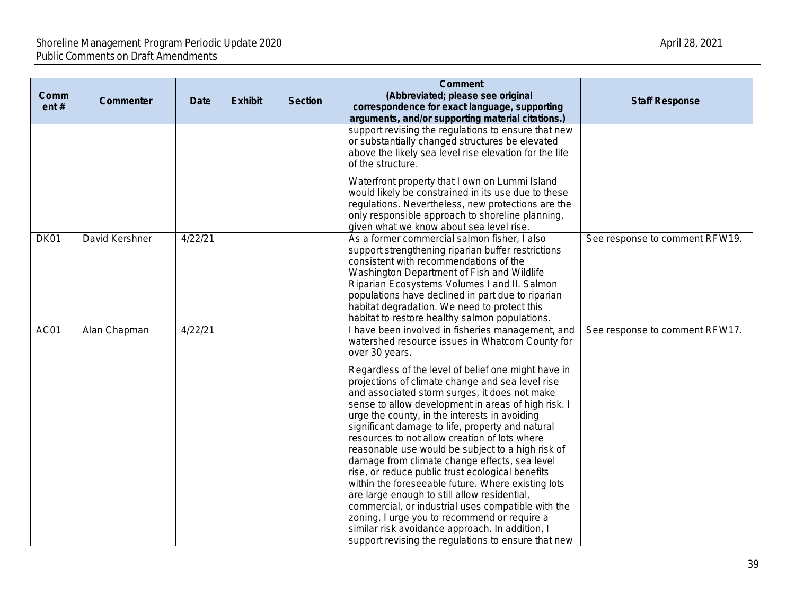| Comm<br>ent# | Commenter      | <b>Date</b> | <b>Exhibit</b> | <b>Section</b> | <b>Comment</b><br>(Abbreviated; please see original<br>correspondence for exact language, supporting<br>arguments, and/or supporting material citations.)                                                                                                                                                                                                                                                                                                                                                                                                                                                                                                                                                                                                                                                                                                                                                                                                                       | <b>Staff Response</b>          |
|--------------|----------------|-------------|----------------|----------------|---------------------------------------------------------------------------------------------------------------------------------------------------------------------------------------------------------------------------------------------------------------------------------------------------------------------------------------------------------------------------------------------------------------------------------------------------------------------------------------------------------------------------------------------------------------------------------------------------------------------------------------------------------------------------------------------------------------------------------------------------------------------------------------------------------------------------------------------------------------------------------------------------------------------------------------------------------------------------------|--------------------------------|
|              |                |             |                |                | support revising the regulations to ensure that new<br>or substantially changed structures be elevated<br>above the likely sea level rise elevation for the life<br>of the structure.                                                                                                                                                                                                                                                                                                                                                                                                                                                                                                                                                                                                                                                                                                                                                                                           |                                |
|              |                |             |                |                | Waterfront property that I own on Lummi Island<br>would likely be constrained in its use due to these<br>regulations. Nevertheless, new protections are the<br>only responsible approach to shoreline planning,<br>given what we know about sea level rise.                                                                                                                                                                                                                                                                                                                                                                                                                                                                                                                                                                                                                                                                                                                     |                                |
| DK01         | David Kershner | 4/22/21     |                |                | As a former commercial salmon fisher, I also<br>support strengthening riparian buffer restrictions<br>consistent with recommendations of the<br>Washington Department of Fish and Wildlife<br>Riparian Ecosystems Volumes I and II. Salmon<br>populations have declined in part due to riparian<br>habitat degradation. We need to protect this<br>habitat to restore healthy salmon populations.                                                                                                                                                                                                                                                                                                                                                                                                                                                                                                                                                                               | See response to comment RFW19. |
| AC01         | Alan Chapman   | 4/22/21     |                |                | I have been involved in fisheries management, and<br>watershed resource issues in Whatcom County for<br>over 30 years.<br>Regardless of the level of belief one might have in<br>projections of climate change and sea level rise<br>and associated storm surges, it does not make<br>sense to allow development in areas of high risk. I<br>urge the county, in the interests in avoiding<br>significant damage to life, property and natural<br>resources to not allow creation of lots where<br>reasonable use would be subject to a high risk of<br>damage from climate change effects, sea level<br>rise, or reduce public trust ecological benefits<br>within the foreseeable future. Where existing lots<br>are large enough to still allow residential,<br>commercial, or industrial uses compatible with the<br>zoning, I urge you to recommend or require a<br>similar risk avoidance approach. In addition, I<br>support revising the regulations to ensure that new | See response to comment RFW17. |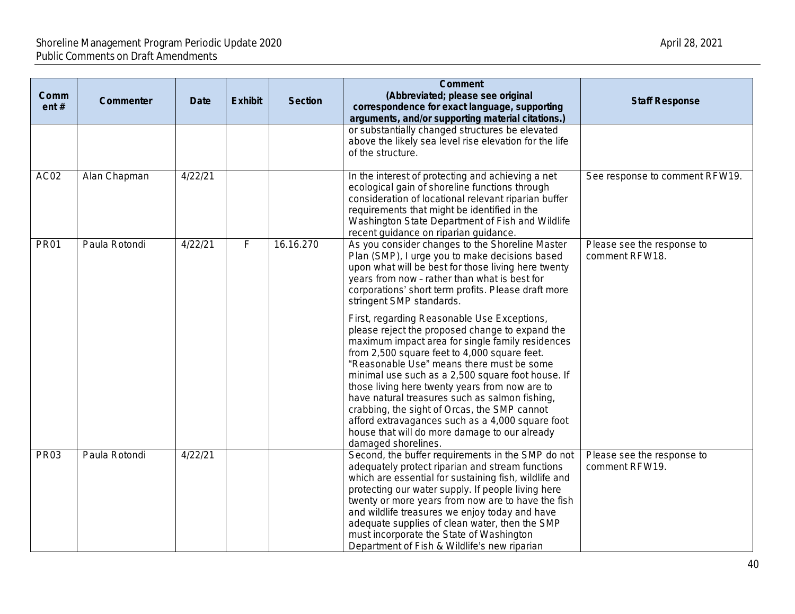| Comm<br>ent# | Commenter     | <b>Date</b> | <b>Exhibit</b> | <b>Section</b> | <b>Comment</b><br>(Abbreviated; please see original<br>correspondence for exact language, supporting<br>arguments, and/or supporting material citations.)                                                                                                                                                                                                                                                                                                                                                                                                                            | <b>Staff Response</b>                        |
|--------------|---------------|-------------|----------------|----------------|--------------------------------------------------------------------------------------------------------------------------------------------------------------------------------------------------------------------------------------------------------------------------------------------------------------------------------------------------------------------------------------------------------------------------------------------------------------------------------------------------------------------------------------------------------------------------------------|----------------------------------------------|
|              |               |             |                |                | or substantially changed structures be elevated<br>above the likely sea level rise elevation for the life<br>of the structure.                                                                                                                                                                                                                                                                                                                                                                                                                                                       |                                              |
| AC02         | Alan Chapman  | 4/22/21     |                |                | In the interest of protecting and achieving a net<br>ecological gain of shoreline functions through<br>consideration of locational relevant riparian buffer<br>requirements that might be identified in the<br>Washington State Department of Fish and Wildlife<br>recent guidance on riparian guidance.                                                                                                                                                                                                                                                                             | See response to comment RFW19.               |
| <b>PR01</b>  | Paula Rotondi | 4/22/21     | F              | 16.16.270      | As you consider changes to the Shoreline Master<br>Plan (SMP), I urge you to make decisions based<br>upon what will be best for those living here twenty<br>years from now - rather than what is best for<br>corporations' short term profits. Please draft more<br>stringent SMP standards.                                                                                                                                                                                                                                                                                         | Please see the response to<br>comment RFW18. |
|              |               |             |                |                | First, regarding Reasonable Use Exceptions,<br>please reject the proposed change to expand the<br>maximum impact area for single family residences<br>from 2,500 square feet to 4,000 square feet.<br>"Reasonable Use" means there must be some<br>minimal use such as a 2,500 square foot house. If<br>those living here twenty years from now are to<br>have natural treasures such as salmon fishing,<br>crabbing, the sight of Orcas, the SMP cannot<br>afford extravagances such as a 4,000 square foot<br>house that will do more damage to our already<br>damaged shorelines. |                                              |
| <b>PR03</b>  | Paula Rotondi | 4/22/21     |                |                | Second, the buffer requirements in the SMP do not<br>adequately protect riparian and stream functions<br>which are essential for sustaining fish, wildlife and<br>protecting our water supply. If people living here<br>twenty or more years from now are to have the fish<br>and wildlife treasures we enjoy today and have<br>adequate supplies of clean water, then the SMP<br>must incorporate the State of Washington<br>Department of Fish & Wildlife's new riparian                                                                                                           | Please see the response to<br>comment RFW19. |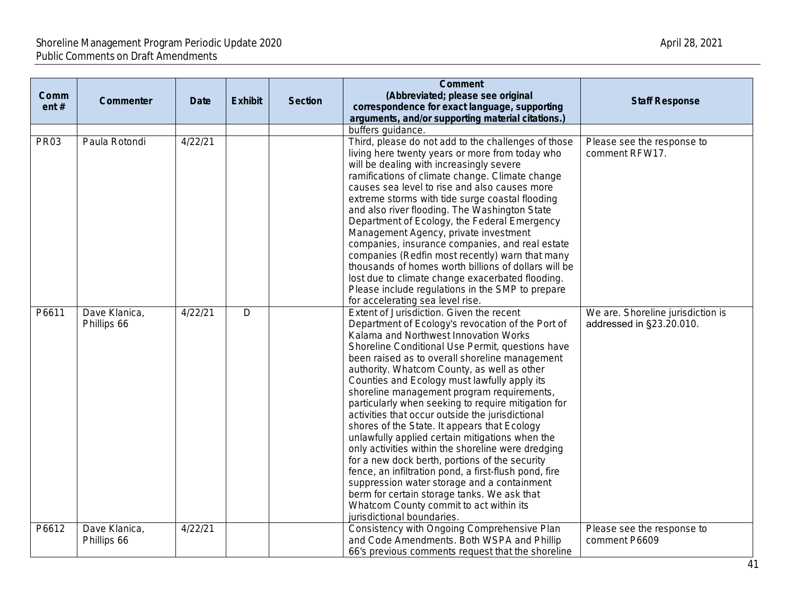| Comm<br>ent# | Commenter                    | <b>Date</b> | <b>Exhibit</b> | <b>Section</b> | <b>Comment</b><br>(Abbreviated; please see original<br>correspondence for exact language, supporting<br>arguments, and/or supporting material citations.)                                                                                                                                                                                                                                                                                                                                                                                                                                                                                                                                                                                                                                                                                                                                                                                       | <b>Staff Response</b>                                         |
|--------------|------------------------------|-------------|----------------|----------------|-------------------------------------------------------------------------------------------------------------------------------------------------------------------------------------------------------------------------------------------------------------------------------------------------------------------------------------------------------------------------------------------------------------------------------------------------------------------------------------------------------------------------------------------------------------------------------------------------------------------------------------------------------------------------------------------------------------------------------------------------------------------------------------------------------------------------------------------------------------------------------------------------------------------------------------------------|---------------------------------------------------------------|
|              |                              |             |                |                | buffers guidance.                                                                                                                                                                                                                                                                                                                                                                                                                                                                                                                                                                                                                                                                                                                                                                                                                                                                                                                               |                                                               |
| <b>PR03</b>  | Paula Rotondi                | 4/22/21     |                |                | Third, please do not add to the challenges of those<br>living here twenty years or more from today who<br>will be dealing with increasingly severe<br>ramifications of climate change. Climate change<br>causes sea level to rise and also causes more<br>extreme storms with tide surge coastal flooding<br>and also river flooding. The Washington State<br>Department of Ecology, the Federal Emergency<br>Management Agency, private investment<br>companies, insurance companies, and real estate<br>companies (Redfin most recently) warn that many<br>thousands of homes worth billions of dollars will be<br>lost due to climate change exacerbated flooding.<br>Please include regulations in the SMP to prepare<br>for accelerating sea level rise.                                                                                                                                                                                   | Please see the response to<br>comment RFW17.                  |
| P6611        | Dave Klanica,<br>Phillips 66 | 4/22/21     | $\overline{D}$ |                | Extent of Jurisdiction. Given the recent<br>Department of Ecology's revocation of the Port of<br>Kalama and Northwest Innovation Works<br>Shoreline Conditional Use Permit, questions have<br>been raised as to overall shoreline management<br>authority. Whatcom County, as well as other<br>Counties and Ecology must lawfully apply its<br>shoreline management program requirements,<br>particularly when seeking to require mitigation for<br>activities that occur outside the jurisdictional<br>shores of the State. It appears that Ecology<br>unlawfully applied certain mitigations when the<br>only activities within the shoreline were dredging<br>for a new dock berth, portions of the security<br>fence, an infiltration pond, a first-flush pond, fire<br>suppression water storage and a containment<br>berm for certain storage tanks. We ask that<br>Whatcom County commit to act within its<br>jurisdictional boundaries. | We are. Shoreline jurisdiction is<br>addressed in §23.20.010. |
| P6612        | Dave Klanica,<br>Phillips 66 | 4/22/21     |                |                | Consistency with Ongoing Comprehensive Plan<br>and Code Amendments. Both WSPA and Phillip<br>66's previous comments request that the shoreline                                                                                                                                                                                                                                                                                                                                                                                                                                                                                                                                                                                                                                                                                                                                                                                                  | Please see the response to<br>comment P6609                   |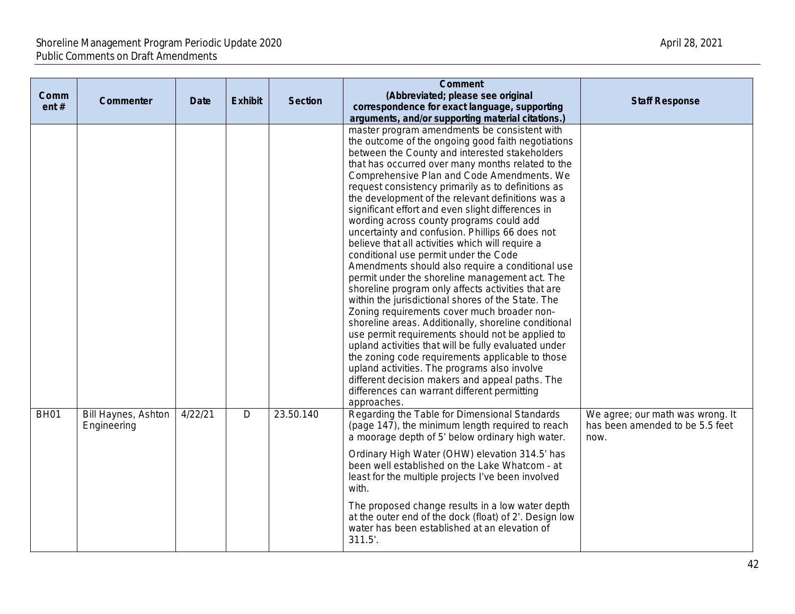| Comm<br>ent# | Commenter                                 | <b>Date</b> | <b>Exhibit</b> | <b>Section</b> | <b>Comment</b><br>(Abbreviated; please see original<br>correspondence for exact language, supporting<br>arguments, and/or supporting material citations.)                                                                                                                                                                                                                                                                                                                                                                                                                                                                                                                                                                                                                                                                                                                                                                                                                                                                                                                                                                                                                                                                                                                      | <b>Staff Response</b>                                                       |
|--------------|-------------------------------------------|-------------|----------------|----------------|--------------------------------------------------------------------------------------------------------------------------------------------------------------------------------------------------------------------------------------------------------------------------------------------------------------------------------------------------------------------------------------------------------------------------------------------------------------------------------------------------------------------------------------------------------------------------------------------------------------------------------------------------------------------------------------------------------------------------------------------------------------------------------------------------------------------------------------------------------------------------------------------------------------------------------------------------------------------------------------------------------------------------------------------------------------------------------------------------------------------------------------------------------------------------------------------------------------------------------------------------------------------------------|-----------------------------------------------------------------------------|
|              |                                           |             |                |                | master program amendments be consistent with<br>the outcome of the ongoing good faith negotiations<br>between the County and interested stakeholders<br>that has occurred over many months related to the<br>Comprehensive Plan and Code Amendments. We<br>request consistency primarily as to definitions as<br>the development of the relevant definitions was a<br>significant effort and even slight differences in<br>wording across county programs could add<br>uncertainty and confusion. Phillips 66 does not<br>believe that all activities which will require a<br>conditional use permit under the Code<br>Amendments should also require a conditional use<br>permit under the shoreline management act. The<br>shoreline program only affects activities that are<br>within the jurisdictional shores of the State. The<br>Zoning requirements cover much broader non-<br>shoreline areas. Additionally, shoreline conditional<br>use permit requirements should not be applied to<br>upland activities that will be fully evaluated under<br>the zoning code requirements applicable to those<br>upland activities. The programs also involve<br>different decision makers and appeal paths. The<br>differences can warrant different permitting<br>approaches. |                                                                             |
| <b>BH01</b>  | <b>Bill Haynes, Ashton</b><br>Engineering | 4/22/21     | $\mathsf{D}$   | 23.50.140      | Regarding the Table for Dimensional Standards<br>(page 147), the minimum length required to reach<br>a moorage depth of 5' below ordinary high water.<br>Ordinary High Water (OHW) elevation 314.5' has<br>been well established on the Lake Whatcom - at<br>least for the multiple projects I've been involved<br>with.                                                                                                                                                                                                                                                                                                                                                                                                                                                                                                                                                                                                                                                                                                                                                                                                                                                                                                                                                       | We agree; our math was wrong. It<br>has been amended to be 5.5 feet<br>now. |
|              |                                           |             |                |                | The proposed change results in a low water depth<br>at the outer end of the dock (float) of 2'. Design low<br>water has been established at an elevation of<br>311.5'.                                                                                                                                                                                                                                                                                                                                                                                                                                                                                                                                                                                                                                                                                                                                                                                                                                                                                                                                                                                                                                                                                                         |                                                                             |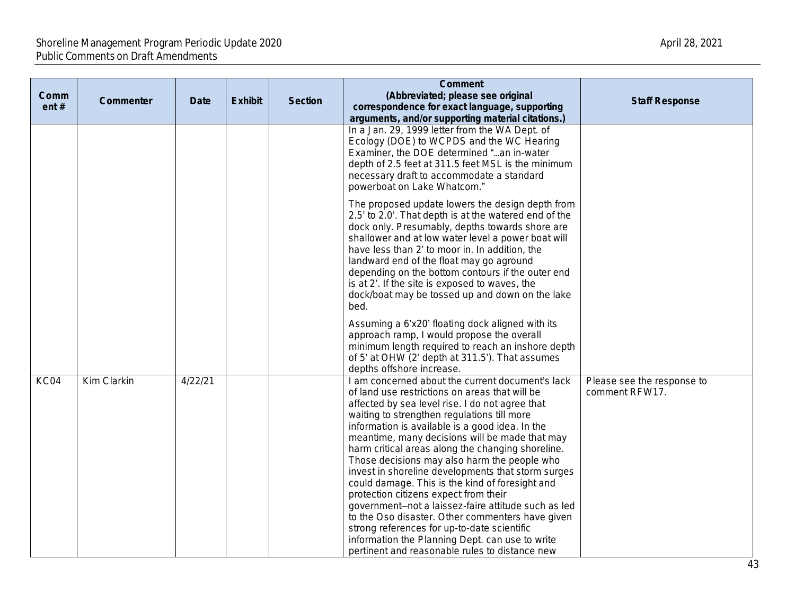| Comm<br>ent# | Commenter   | <b>Date</b> | <b>Exhibit</b> | <b>Section</b> | <b>Comment</b><br>(Abbreviated; please see original<br>correspondence for exact language, supporting<br>arguments, and/or supporting material citations.)                                                                                                                                                                                                                                                                                                                                                                                                                                                                                                                                                                                                                                                                       | <b>Staff Response</b>                        |
|--------------|-------------|-------------|----------------|----------------|---------------------------------------------------------------------------------------------------------------------------------------------------------------------------------------------------------------------------------------------------------------------------------------------------------------------------------------------------------------------------------------------------------------------------------------------------------------------------------------------------------------------------------------------------------------------------------------------------------------------------------------------------------------------------------------------------------------------------------------------------------------------------------------------------------------------------------|----------------------------------------------|
|              |             |             |                |                | In a Jan. 29, 1999 letter from the WA Dept. of<br>Ecology (DOE) to WCPDS and the WC Hearing<br>Examiner, the DOE determined "an in-water<br>depth of 2.5 feet at 311.5 feet MSL is the minimum<br>necessary draft to accommodate a standard<br>powerboat on Lake Whatcom."                                                                                                                                                                                                                                                                                                                                                                                                                                                                                                                                                      |                                              |
|              |             |             |                |                | The proposed update lowers the design depth from<br>2.5' to 2.0'. That depth is at the watered end of the<br>dock only. Presumably, depths towards shore are<br>shallower and at low water level a power boat will<br>have less than 2' to moor in. In addition, the<br>landward end of the float may go aground<br>depending on the bottom contours if the outer end<br>is at 2'. If the site is exposed to waves, the<br>dock/boat may be tossed up and down on the lake<br>bed.                                                                                                                                                                                                                                                                                                                                              |                                              |
|              |             |             |                |                | Assuming a 6'x20' floating dock aligned with its<br>approach ramp, I would propose the overall<br>minimum length required to reach an inshore depth<br>of 5' at OHW (2' depth at 311.5'). That assumes<br>depths offshore increase.                                                                                                                                                                                                                                                                                                                                                                                                                                                                                                                                                                                             |                                              |
| KC04         | Kim Clarkin | 4/22/21     |                |                | I am concerned about the current document's lack<br>of land use restrictions on areas that will be<br>affected by sea level rise. I do not agree that<br>waiting to strengthen regulations till more<br>information is available is a good idea. In the<br>meantime, many decisions will be made that may<br>harm critical areas along the changing shoreline.<br>Those decisions may also harm the people who<br>invest in shoreline developments that storm surges<br>could damage. This is the kind of foresight and<br>protection citizens expect from their<br>government-not a laissez-faire attitude such as led<br>to the Oso disaster. Other commenters have given<br>strong references for up-to-date scientific<br>information the Planning Dept. can use to write<br>pertinent and reasonable rules to distance new | Please see the response to<br>comment RFW17. |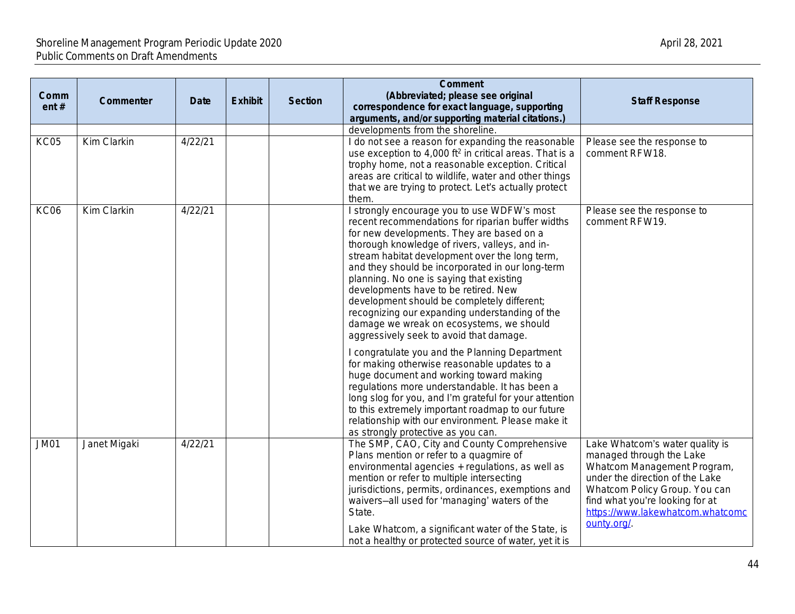|             |              |             |                |                | <b>Comment</b>                                                      |         |
|-------------|--------------|-------------|----------------|----------------|---------------------------------------------------------------------|---------|
| Comm        |              |             |                |                | (Abbreviated; please see original                                   |         |
| ent $#$     | Commenter    | <b>Date</b> | <b>Exhibit</b> | <b>Section</b> | correspondence for exact language, supporting                       |         |
|             |              |             |                |                | arguments, and/or supporting material citations.)                   |         |
|             |              |             |                |                | developments from the shoreline.                                    |         |
| KC05        | Kim Clarkin  | 4/22/21     |                |                | I do not see a reason for expanding the reasonable                  | Please  |
|             |              |             |                |                | use exception to 4,000 ft <sup>2</sup> in critical areas. That is a | comm    |
|             |              |             |                |                | trophy home, not a reasonable exception. Critical                   |         |
|             |              |             |                |                | areas are critical to wildlife, water and other things              |         |
|             |              |             |                |                | that we are trying to protect. Let's actually protect               |         |
|             |              |             |                |                | them.                                                               |         |
| <b>KC06</b> | Kim Clarkin  | 4/22/21     |                |                | I strongly encourage you to use WDFW's most                         | Please  |
|             |              |             |                |                | recent recommendations for riparian buffer widths                   | comm    |
|             |              |             |                |                | for new developments. They are based on a                           |         |
|             |              |             |                |                | thorough knowledge of rivers, valleys, and in-                      |         |
|             |              |             |                |                | stream habitat development over the long term,                      |         |
|             |              |             |                |                | and they should be incorporated in our long-term                    |         |
|             |              |             |                |                | planning. No one is saying that existing                            |         |
|             |              |             |                |                | developments have to be retired. New                                |         |
|             |              |             |                |                | development should be completely different;                         |         |
|             |              |             |                |                | recognizing our expanding understanding of the                      |         |
|             |              |             |                |                | damage we wreak on ecosystems, we should                            |         |
|             |              |             |                |                | aggressively seek to avoid that damage.                             |         |
|             |              |             |                |                | I congratulate you and the Planning Department                      |         |
|             |              |             |                |                | for making otherwise reasonable updates to a                        |         |
|             |              |             |                |                | huge document and working toward making                             |         |
|             |              |             |                |                | regulations more understandable. It has been a                      |         |
|             |              |             |                |                | long slog for you, and I'm grateful for your attention              |         |
|             |              |             |                |                | to this extremely important roadmap to our future                   |         |
|             |              |             |                |                | relationship with our environment. Please make it                   |         |
|             |              |             |                |                | as strongly protective as you can.                                  |         |
| <b>JM01</b> | Janet Migaki | 4/22/21     |                |                | The SMP, CAO, City and County Comprehensive                         | Lake V  |
|             |              |             |                |                | Plans mention or refer to a quagmire of                             | manad   |
|             |              |             |                |                | environmental agencies + regulations, as well as                    | Whatc   |
|             |              |             |                |                | mention or refer to multiple intersecting                           | under   |
|             |              |             |                |                | jurisdictions, permits, ordinances, exemptions and                  | Whatc   |
|             |              |             |                |                | waivers-all used for 'managing' waters of the                       | find wh |
|             |              |             |                |                | State.                                                              | https:/ |
|             |              |             |                |                |                                                                     | ounty.  |
|             |              |             |                |                | Lake Whatcom, a significant water of the State, is                  |         |
|             |              |             |                |                | not a healthy or protected source of water, yet it is               |         |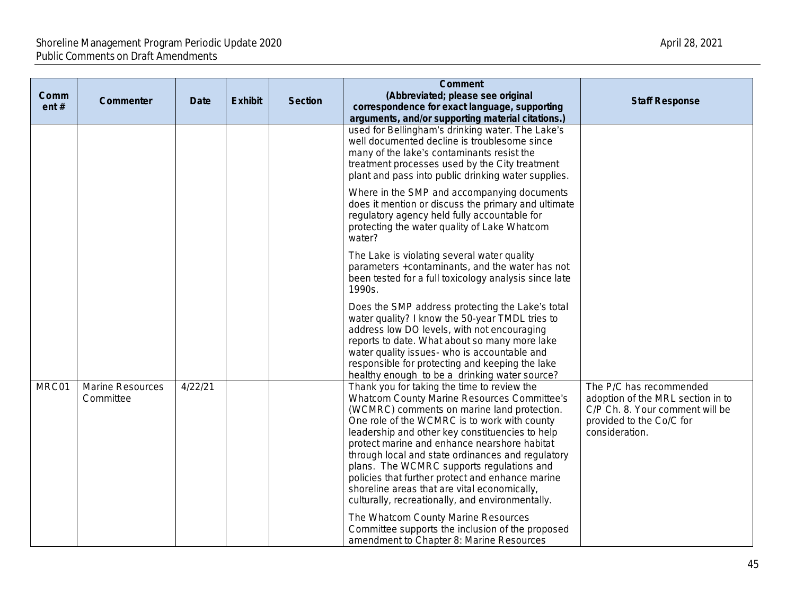| Comm<br>ent# | Commenter                     | <b>Date</b> | <b>Exhibit</b> | <b>Section</b> | <b>Comment</b><br>(Abbreviated; please see original<br>correspondence for exact language, supporting<br>arguments, and/or supporting material citations.)                                                                                                                                                                                                                                                                                                                                                                                              | <b>Staff Response</b>                                                                                                                         |
|--------------|-------------------------------|-------------|----------------|----------------|--------------------------------------------------------------------------------------------------------------------------------------------------------------------------------------------------------------------------------------------------------------------------------------------------------------------------------------------------------------------------------------------------------------------------------------------------------------------------------------------------------------------------------------------------------|-----------------------------------------------------------------------------------------------------------------------------------------------|
|              |                               |             |                |                | used for Bellingham's drinking water. The Lake's<br>well documented decline is troublesome since<br>many of the lake's contaminants resist the<br>treatment processes used by the City treatment<br>plant and pass into public drinking water supplies.                                                                                                                                                                                                                                                                                                |                                                                                                                                               |
|              |                               |             |                |                | Where in the SMP and accompanying documents<br>does it mention or discuss the primary and ultimate<br>regulatory agency held fully accountable for<br>protecting the water quality of Lake Whatcom<br>water?                                                                                                                                                                                                                                                                                                                                           |                                                                                                                                               |
|              |                               |             |                |                | The Lake is violating several water quality<br>parameters +contaminants, and the water has not<br>been tested for a full toxicology analysis since late<br>1990s.                                                                                                                                                                                                                                                                                                                                                                                      |                                                                                                                                               |
|              |                               |             |                |                | Does the SMP address protecting the Lake's total<br>water quality? I know the 50-year TMDL tries to<br>address low DO levels, with not encouraging<br>reports to date. What about so many more lake<br>water quality issues- who is accountable and<br>responsible for protecting and keeping the lake<br>healthy enough to be a drinking water source?                                                                                                                                                                                                |                                                                                                                                               |
| MRC01        | Marine Resources<br>Committee | 4/22/21     |                |                | Thank you for taking the time to review the<br>Whatcom County Marine Resources Committee's<br>(WCMRC) comments on marine land protection.<br>One role of the WCMRC is to work with county<br>leadership and other key constituencies to help<br>protect marine and enhance nearshore habitat<br>through local and state ordinances and regulatory<br>plans. The WCMRC supports regulations and<br>policies that further protect and enhance marine<br>shoreline areas that are vital economically,<br>culturally, recreationally, and environmentally. | The P/C has recommended<br>adoption of the MRL section in to<br>C/P Ch. 8. Your comment will be<br>provided to the Co/C for<br>consideration. |
|              |                               |             |                |                | The Whatcom County Marine Resources<br>Committee supports the inclusion of the proposed<br>amendment to Chapter 8: Marine Resources                                                                                                                                                                                                                                                                                                                                                                                                                    |                                                                                                                                               |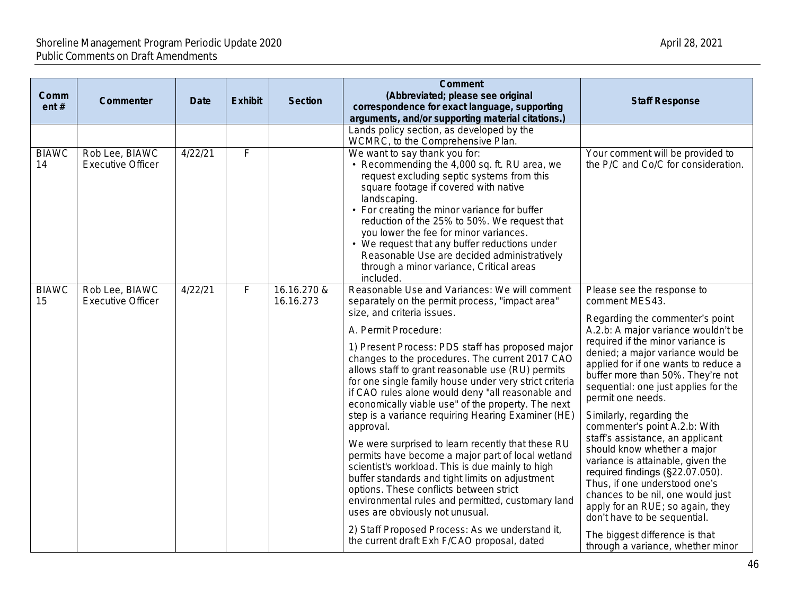| Comm<br>ent#       | <b>Commenter</b>                           | <b>Date</b> | <b>Exhibit</b> | <b>Section</b>           | <b>Comment</b><br>(Abbreviated; please see original<br>correspondence for exact language, supporting<br>arguments, and/or supporting material citations.)                                                                                                                                                                                                                                                                                                                                                                                                                                                                                                                                                                                                                                                                                                                                                                                                                                                        | <b>Staff Response</b>                                                                                                                                                                                                                                                                                                                                                                                                                                                                                                                                                                                                                                                                                                                                               |
|--------------------|--------------------------------------------|-------------|----------------|--------------------------|------------------------------------------------------------------------------------------------------------------------------------------------------------------------------------------------------------------------------------------------------------------------------------------------------------------------------------------------------------------------------------------------------------------------------------------------------------------------------------------------------------------------------------------------------------------------------------------------------------------------------------------------------------------------------------------------------------------------------------------------------------------------------------------------------------------------------------------------------------------------------------------------------------------------------------------------------------------------------------------------------------------|---------------------------------------------------------------------------------------------------------------------------------------------------------------------------------------------------------------------------------------------------------------------------------------------------------------------------------------------------------------------------------------------------------------------------------------------------------------------------------------------------------------------------------------------------------------------------------------------------------------------------------------------------------------------------------------------------------------------------------------------------------------------|
|                    |                                            |             |                |                          | Lands policy section, as developed by the<br>WCMRC, to the Comprehensive Plan.                                                                                                                                                                                                                                                                                                                                                                                                                                                                                                                                                                                                                                                                                                                                                                                                                                                                                                                                   |                                                                                                                                                                                                                                                                                                                                                                                                                                                                                                                                                                                                                                                                                                                                                                     |
| <b>BIAWC</b><br>14 | Rob Lee, BIAWC<br><b>Executive Officer</b> | 4/22/21     | F              |                          | We want to say thank you for:<br>• Recommending the 4,000 sq. ft. RU area, we<br>request excluding septic systems from this<br>square footage if covered with native<br>landscaping.<br>• For creating the minor variance for buffer<br>reduction of the 25% to 50%. We request that<br>you lower the fee for minor variances.<br>• We request that any buffer reductions under<br>Reasonable Use are decided administratively<br>through a minor variance, Critical areas<br>included.                                                                                                                                                                                                                                                                                                                                                                                                                                                                                                                          | Your comment will be provided to<br>the P/C and Co/C for consideration.                                                                                                                                                                                                                                                                                                                                                                                                                                                                                                                                                                                                                                                                                             |
| <b>BIAWC</b><br>15 | Rob Lee, BIAWC<br><b>Executive Officer</b> | 4/22/21     | F              | 16.16.270 &<br>16.16.273 | Reasonable Use and Variances: We will comment<br>separately on the permit process, "impact area"<br>size, and criteria issues.<br>A. Permit Procedure:<br>1) Present Process: PDS staff has proposed major<br>changes to the procedures. The current 2017 CAO<br>allows staff to grant reasonable use (RU) permits<br>for one single family house under very strict criteria<br>if CAO rules alone would deny "all reasonable and<br>economically viable use" of the property. The next<br>step is a variance requiring Hearing Examiner (HE)<br>approval.<br>We were surprised to learn recently that these RU<br>permits have become a major part of local wetland<br>scientist's workload. This is due mainly to high<br>buffer standards and tight limits on adjustment<br>options. These conflicts between strict<br>environmental rules and permitted, customary land<br>uses are obviously not unusual.<br>2) Staff Proposed Process: As we understand it,<br>the current draft Exh F/CAO proposal, dated | Please see the response to<br>comment MES43.<br>Regarding the commenter's point<br>A.2.b: A major variance wouldn't be<br>required if the minor variance is<br>denied; a major variance would be<br>applied for if one wants to reduce a<br>buffer more than 50%. They're not<br>sequential: one just applies for the<br>permit one needs.<br>Similarly, regarding the<br>commenter's point A.2.b: With<br>staff's assistance, an applicant<br>should know whether a major<br>variance is attainable, given the<br>required findings (§22.07.050).<br>Thus, if one understood one's<br>chances to be nil, one would just<br>apply for an RUE; so again, they<br>don't have to be sequential.<br>The biggest difference is that<br>through a variance, whether minor |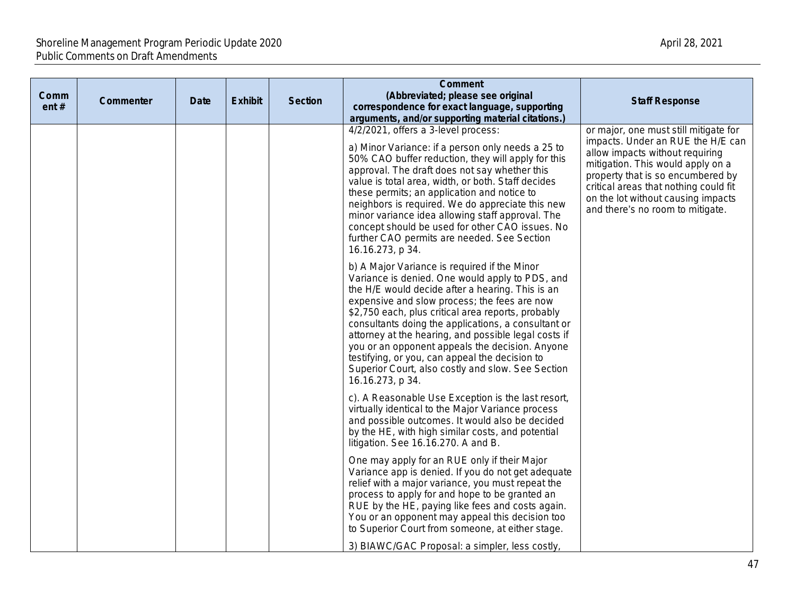| Comm<br>ent# | Commenter | <b>Date</b> | <b>Exhibit</b> | <b>Section</b> | <b>Comment</b><br>(Abbreviated; please see original<br>correspondence for exact language, supporting<br>arguments, and/or supporting material citations.)                                                                                                                                                                                                                                                                                                                                                                                              | <b>Staff Response</b>                                                                                                                                                                                                                                                                                      |
|--------------|-----------|-------------|----------------|----------------|--------------------------------------------------------------------------------------------------------------------------------------------------------------------------------------------------------------------------------------------------------------------------------------------------------------------------------------------------------------------------------------------------------------------------------------------------------------------------------------------------------------------------------------------------------|------------------------------------------------------------------------------------------------------------------------------------------------------------------------------------------------------------------------------------------------------------------------------------------------------------|
|              |           |             |                |                | 4/2/2021, offers a 3-level process:<br>a) Minor Variance: if a person only needs a 25 to<br>50% CAO buffer reduction, they will apply for this<br>approval. The draft does not say whether this<br>value is total area, width, or both. Staff decides<br>these permits; an application and notice to<br>neighbors is required. We do appreciate this new<br>minor variance idea allowing staff approval. The<br>concept should be used for other CAO issues. No<br>further CAO permits are needed. See Section<br>16.16.273, p 34.                     | or major, one must still mitigate for<br>impacts. Under an RUE the H/E can<br>allow impacts without requiring<br>mitigation. This would apply on a<br>property that is so encumbered by<br>critical areas that nothing could fit<br>on the lot without causing impacts<br>and there's no room to mitigate. |
|              |           |             |                |                | b) A Major Variance is required if the Minor<br>Variance is denied. One would apply to PDS, and<br>the H/E would decide after a hearing. This is an<br>expensive and slow process; the fees are now<br>\$2,750 each, plus critical area reports, probably<br>consultants doing the applications, a consultant or<br>attorney at the hearing, and possible legal costs if<br>you or an opponent appeals the decision. Anyone<br>testifying, or you, can appeal the decision to<br>Superior Court, also costly and slow. See Section<br>16.16.273, p 34. |                                                                                                                                                                                                                                                                                                            |
|              |           |             |                |                | c). A Reasonable Use Exception is the last resort,<br>virtually identical to the Major Variance process<br>and possible outcomes. It would also be decided<br>by the HE, with high similar costs, and potential<br>litigation. See 16.16.270. A and B.                                                                                                                                                                                                                                                                                                 |                                                                                                                                                                                                                                                                                                            |
|              |           |             |                |                | One may apply for an RUE only if their Major<br>Variance app is denied. If you do not get adequate<br>relief with a major variance, you must repeat the<br>process to apply for and hope to be granted an<br>RUE by the HE, paying like fees and costs again.<br>You or an opponent may appeal this decision too<br>to Superior Court from someone, at either stage.<br>3) BIAWC/GAC Proposal: a simpler, less costly,                                                                                                                                 |                                                                                                                                                                                                                                                                                                            |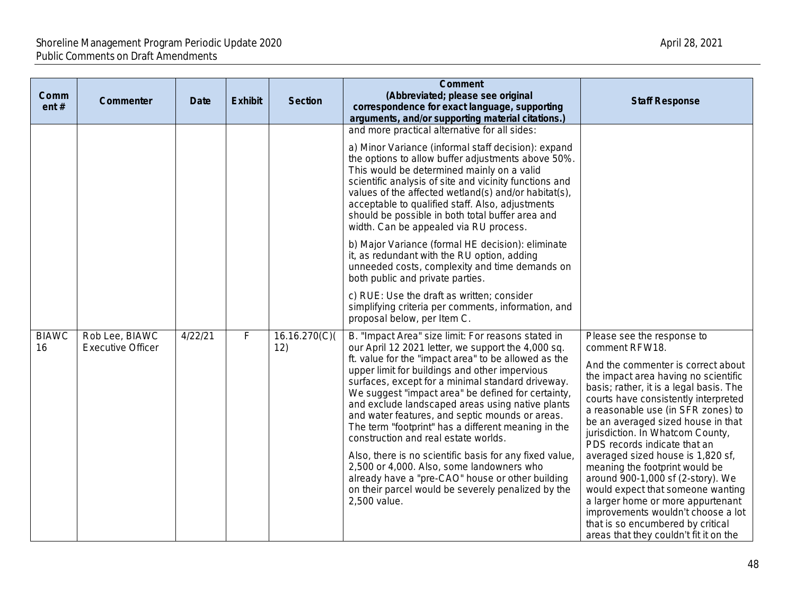| Comm<br>ent#       | Commenter                                  | <b>Date</b> | <b>Exhibit</b> | <b>Section</b>      | <b>Comment</b><br>(Abbreviated; please see original<br>correspondence for exact language, supporting<br>arguments, and/or supporting material citations.)                                                                                                                                                                                                                                                                                                                                                                                                                                                                                                                                                                                                            | <b>Staff Response</b>                                                                                                                                                                                                                                                                                                                                                                                                                                                                                                                                                                                                                                                    |
|--------------------|--------------------------------------------|-------------|----------------|---------------------|----------------------------------------------------------------------------------------------------------------------------------------------------------------------------------------------------------------------------------------------------------------------------------------------------------------------------------------------------------------------------------------------------------------------------------------------------------------------------------------------------------------------------------------------------------------------------------------------------------------------------------------------------------------------------------------------------------------------------------------------------------------------|--------------------------------------------------------------------------------------------------------------------------------------------------------------------------------------------------------------------------------------------------------------------------------------------------------------------------------------------------------------------------------------------------------------------------------------------------------------------------------------------------------------------------------------------------------------------------------------------------------------------------------------------------------------------------|
|                    |                                            |             |                |                     | and more practical alternative for all sides:<br>a) Minor Variance (informal staff decision): expand<br>the options to allow buffer adjustments above 50%.<br>This would be determined mainly on a valid<br>scientific analysis of site and vicinity functions and<br>values of the affected wetland(s) and/or habitat(s),<br>acceptable to qualified staff. Also, adjustments<br>should be possible in both total buffer area and<br>width. Can be appealed via RU process.                                                                                                                                                                                                                                                                                         |                                                                                                                                                                                                                                                                                                                                                                                                                                                                                                                                                                                                                                                                          |
|                    |                                            |             |                |                     | b) Major Variance (formal HE decision): eliminate<br>it, as redundant with the RU option, adding<br>unneeded costs, complexity and time demands on<br>both public and private parties.                                                                                                                                                                                                                                                                                                                                                                                                                                                                                                                                                                               |                                                                                                                                                                                                                                                                                                                                                                                                                                                                                                                                                                                                                                                                          |
|                    |                                            |             |                |                     | c) RUE: Use the draft as written; consider<br>simplifying criteria per comments, information, and<br>proposal below, per Item C.                                                                                                                                                                                                                                                                                                                                                                                                                                                                                                                                                                                                                                     |                                                                                                                                                                                                                                                                                                                                                                                                                                                                                                                                                                                                                                                                          |
| <b>BIAWC</b><br>16 | Rob Lee, BIAWC<br><b>Executive Officer</b> | 4/22/21     | $\mathsf F$    | 16.16.270(C)<br>12) | B. "Impact Area" size limit: For reasons stated in<br>our April 12 2021 letter, we support the 4,000 sq.<br>ft. value for the "impact area" to be allowed as the<br>upper limit for buildings and other impervious<br>surfaces, except for a minimal standard driveway.<br>We suggest "impact area" be defined for certainty,<br>and exclude landscaped areas using native plants<br>and water features, and septic mounds or areas.<br>The term "footprint" has a different meaning in the<br>construction and real estate worlds.<br>Also, there is no scientific basis for any fixed value<br>2,500 or 4,000. Also, some landowners who<br>already have a "pre-CAO" house or other building<br>on their parcel would be severely penalized by the<br>2,500 value. | Please see the response to<br>comment RFW18.<br>And the commenter is correct about<br>the impact area having no scientific<br>basis; rather, it is a legal basis. The<br>courts have consistently interpreted<br>a reasonable use (in SFR zones) to<br>be an averaged sized house in that<br>jurisdiction. In Whatcom County,<br>PDS records indicate that an<br>averaged sized house is 1,820 sf,<br>meaning the footprint would be<br>around 900-1,000 sf (2-story). We<br>would expect that someone wanting<br>a larger home or more appurtenant<br>improvements wouldn't choose a lot<br>that is so encumbered by critical<br>areas that they couldn't fit it on the |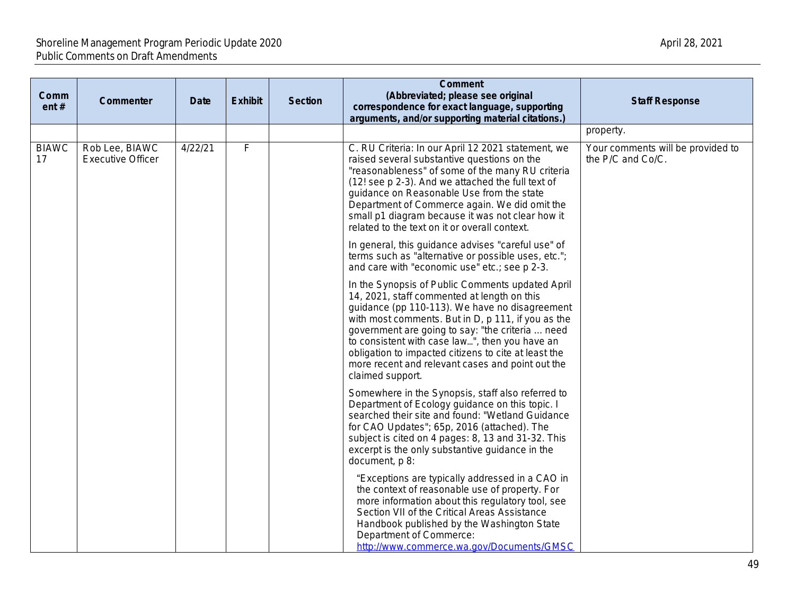| Comm<br>ent#       | Commenter                                  | <b>Date</b> | <b>Exhibit</b> | <b>Section</b> | <b>Comment</b><br>(Abbreviated; please see original<br>correspondence for exact language, supporting<br>arguments, and/or supporting material citations.)                                                                                                                                                                                                                                                                                     |                  |
|--------------------|--------------------------------------------|-------------|----------------|----------------|-----------------------------------------------------------------------------------------------------------------------------------------------------------------------------------------------------------------------------------------------------------------------------------------------------------------------------------------------------------------------------------------------------------------------------------------------|------------------|
|                    |                                            |             |                |                |                                                                                                                                                                                                                                                                                                                                                                                                                                               | proper           |
| <b>BIAWC</b><br>17 | Rob Lee, BIAWC<br><b>Executive Officer</b> | 4/22/21     | F              |                | C. RU Criteria: In our April 12 2021 statement, we<br>raised several substantive questions on the<br>"reasonableness" of some of the many RU criteria<br>(12! see p 2-3). And we attached the full text of<br>guidance on Reasonable Use from the state<br>Department of Commerce again. We did omit the<br>small p1 diagram because it was not clear how it<br>related to the text on it or overall context.                                 | Your c<br>the P/ |
|                    |                                            |             |                |                | In general, this guidance advises "careful use" of<br>terms such as "alternative or possible uses, etc.";<br>and care with "economic use" etc.; see p 2-3.                                                                                                                                                                                                                                                                                    |                  |
|                    |                                            |             |                |                | In the Synopsis of Public Comments updated April<br>14, 2021, staff commented at length on this<br>guidance (pp 110-113). We have no disagreement<br>with most comments. But in D, p 111, if you as the<br>government are going to say: "the criteria  need<br>to consistent with case law", then you have an<br>obligation to impacted citizens to cite at least the<br>more recent and relevant cases and point out the<br>claimed support. |                  |
|                    |                                            |             |                |                | Somewhere in the Synopsis, staff also referred to<br>Department of Ecology guidance on this topic. I<br>searched their site and found: "Wetland Guidance<br>for CAO Updates"; 65p, 2016 (attached). The<br>subject is cited on 4 pages: 8, 13 and 31-32. This<br>excerpt is the only substantive guidance in the<br>document, p 8:                                                                                                            |                  |
|                    |                                            |             |                |                | "Exceptions are typically addressed in a CAO in<br>the context of reasonable use of property. For<br>more information about this regulatory tool, see<br>Section VII of the Critical Areas Assistance<br>Handbook published by the Washington State<br>Department of Commerce:<br>http://www.commerce.wa.gov/Documents/GMSC                                                                                                                   |                  |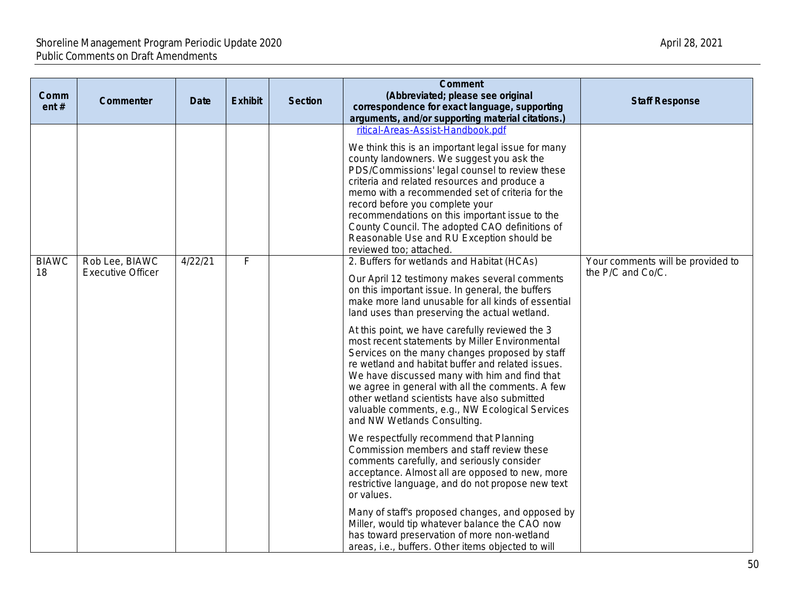| Comm<br>ent#       | Commenter                                  | <b>Date</b> | <b>Exhibit</b> | <b>Section</b> | <b>Comment</b><br>(Abbreviated; please see original<br>correspondence for exact language, supporting<br>arguments, and/or supporting material citations.)                                                                                                                                                                                                                                                                                                                                                | <b>Staff Response</b>                                  |
|--------------------|--------------------------------------------|-------------|----------------|----------------|----------------------------------------------------------------------------------------------------------------------------------------------------------------------------------------------------------------------------------------------------------------------------------------------------------------------------------------------------------------------------------------------------------------------------------------------------------------------------------------------------------|--------------------------------------------------------|
|                    |                                            |             |                |                | ritical-Areas-Assist-Handbook.pdf<br>We think this is an important legal issue for many<br>county landowners. We suggest you ask the<br>PDS/Commissions' legal counsel to review these<br>criteria and related resources and produce a<br>memo with a recommended set of criteria for the<br>record before you complete your<br>recommendations on this important issue to the<br>County Council. The adopted CAO definitions of<br>Reasonable Use and RU Exception should be<br>reviewed too; attached. |                                                        |
| <b>BIAWC</b><br>18 | Rob Lee, BIAWC<br><b>Executive Officer</b> | 4/22/21     | F              |                | 2. Buffers for wetlands and Habitat (HCAs)<br>Our April 12 testimony makes several comments<br>on this important issue. In general, the buffers<br>make more land unusable for all kinds of essential<br>land uses than preserving the actual wetland.<br>At this point, we have carefully reviewed the 3<br>most recent statements by Miller Environmental                                                                                                                                              | Your comments will be provided to<br>the P/C and Co/C. |
|                    |                                            |             |                |                | Services on the many changes proposed by staff<br>re wetland and habitat buffer and related issues.<br>We have discussed many with him and find that<br>we agree in general with all the comments. A few<br>other wetland scientists have also submitted<br>valuable comments, e.g., NW Ecological Services<br>and NW Wetlands Consulting.                                                                                                                                                               |                                                        |
|                    |                                            |             |                |                | We respectfully recommend that Planning<br>Commission members and staff review these<br>comments carefully, and seriously consider<br>acceptance. Almost all are opposed to new, more<br>restrictive language, and do not propose new text<br>or values.                                                                                                                                                                                                                                                 |                                                        |
|                    |                                            |             |                |                | Many of staff's proposed changes, and opposed by<br>Miller, would tip whatever balance the CAO now<br>has toward preservation of more non-wetland<br>areas, i.e., buffers. Other items objected to will                                                                                                                                                                                                                                                                                                  |                                                        |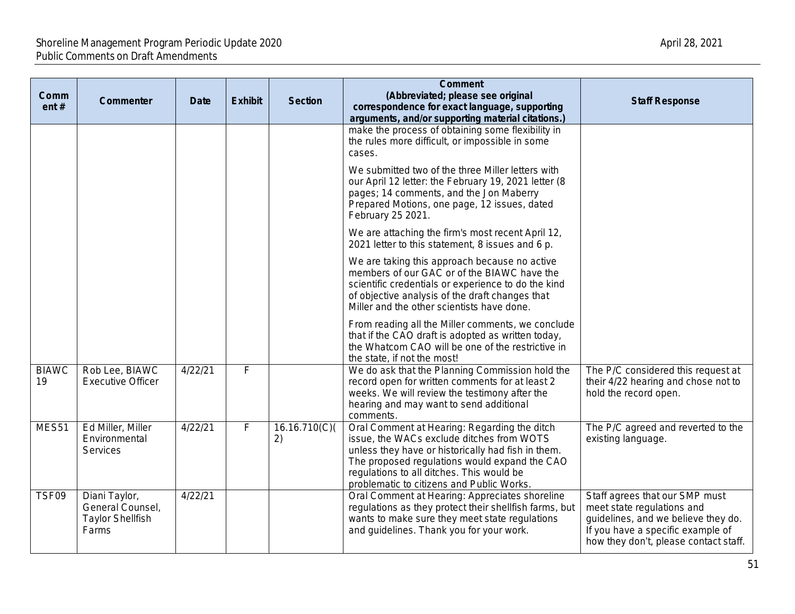| Comm<br>ent#       | Commenter                                                             | <b>Date</b> | <b>Exhibit</b> | <b>Section</b>     | <b>Comment</b><br>(Abbreviated; please see original<br>correspondence for exact language, supporting<br>arguments, and/or supporting material citations.)                                                                                                                                  | <b>Staff Response</b>                                                                                                                                                             |
|--------------------|-----------------------------------------------------------------------|-------------|----------------|--------------------|--------------------------------------------------------------------------------------------------------------------------------------------------------------------------------------------------------------------------------------------------------------------------------------------|-----------------------------------------------------------------------------------------------------------------------------------------------------------------------------------|
|                    |                                                                       |             |                |                    | make the process of obtaining some flexibility in<br>the rules more difficult, or impossible in some<br>cases.                                                                                                                                                                             |                                                                                                                                                                                   |
|                    |                                                                       |             |                |                    | We submitted two of the three Miller letters with<br>our April 12 letter: the February 19, 2021 letter (8<br>pages; 14 comments, and the Jon Maberry<br>Prepared Motions, one page, 12 issues, dated<br>February 25 2021.                                                                  |                                                                                                                                                                                   |
|                    |                                                                       |             |                |                    | We are attaching the firm's most recent April 12,<br>2021 letter to this statement, 8 issues and 6 p.                                                                                                                                                                                      |                                                                                                                                                                                   |
|                    |                                                                       |             |                |                    | We are taking this approach because no active<br>members of our GAC or of the BIAWC have the<br>scientific credentials or experience to do the kind<br>of objective analysis of the draft changes that<br>Miller and the other scientists have done.                                       |                                                                                                                                                                                   |
|                    |                                                                       |             |                |                    | From reading all the Miller comments, we conclude<br>that if the CAO draft is adopted as written today,<br>the Whatcom CAO will be one of the restrictive in<br>the state, if not the most!                                                                                                |                                                                                                                                                                                   |
| <b>BIAWC</b><br>19 | Rob Lee, BIAWC<br><b>Executive Officer</b>                            | 4/22/21     | F              |                    | We do ask that the Planning Commission hold the<br>record open for written comments for at least 2<br>weeks. We will review the testimony after the<br>hearing and may want to send additional<br>comments.                                                                                | The P/C considered this request at<br>their 4/22 hearing and chose not to<br>hold the record open.                                                                                |
| MES51              | Ed Miller, Miller<br>Environmental<br>Services                        | 4/22/21     | F              | 16.16.710(C)<br>2) | Oral Comment at Hearing: Regarding the ditch<br>issue, the WACs exclude ditches from WOTS<br>unless they have or historically had fish in them.<br>The proposed regulations would expand the CAO<br>regulations to all ditches. This would be<br>problematic to citizens and Public Works. | The P/C agreed and reverted to the<br>existing language.                                                                                                                          |
| TSF09              | Diani Taylor,<br>General Counsel,<br><b>Taylor Shellfish</b><br>Farms | 4/22/21     |                |                    | Oral Comment at Hearing: Appreciates shoreline<br>regulations as they protect their shellfish farms, but<br>wants to make sure they meet state regulations<br>and guidelines. Thank you for your work.                                                                                     | Staff agrees that our SMP must<br>meet state regulations and<br>guidelines, and we believe they do.<br>If you have a specific example of<br>how they don't, please contact staff. |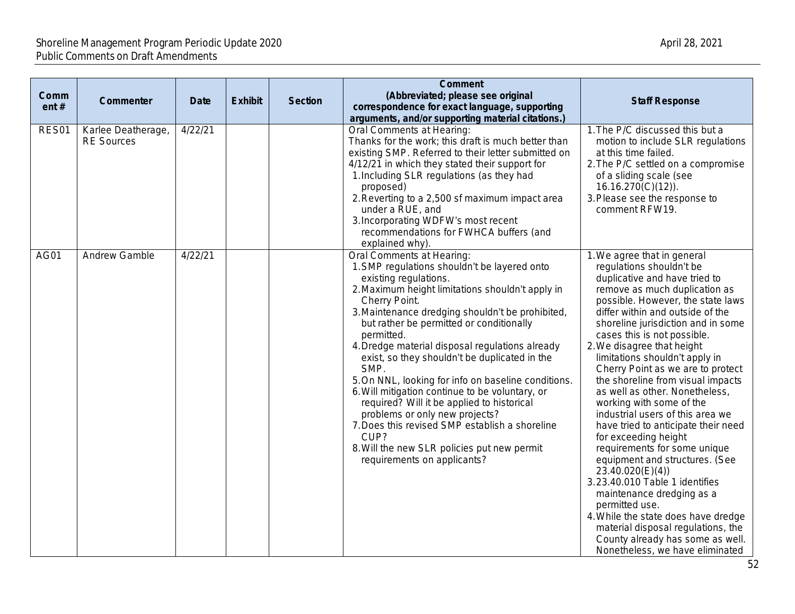| Comm<br>ent# | Commenter                               | <b>Date</b> | <b>Exhibit</b> | <b>Section</b> | <b>Comment</b><br>(Abbreviated; please see original<br>correspondence for exact language, supporting<br>arguments, and/or supporting material citations.)                                                                                                                                                                                                                                                                                                                                                                                                                                                                                                                                                                           | <b>Staff Response</b>                                                                                                                                                                                                                                                                                                                                                                                                                                                                                                                                                                                                                                                                                                                                                                                                                                                                                         |
|--------------|-----------------------------------------|-------------|----------------|----------------|-------------------------------------------------------------------------------------------------------------------------------------------------------------------------------------------------------------------------------------------------------------------------------------------------------------------------------------------------------------------------------------------------------------------------------------------------------------------------------------------------------------------------------------------------------------------------------------------------------------------------------------------------------------------------------------------------------------------------------------|---------------------------------------------------------------------------------------------------------------------------------------------------------------------------------------------------------------------------------------------------------------------------------------------------------------------------------------------------------------------------------------------------------------------------------------------------------------------------------------------------------------------------------------------------------------------------------------------------------------------------------------------------------------------------------------------------------------------------------------------------------------------------------------------------------------------------------------------------------------------------------------------------------------|
| RES01        | Karlee Deatherage,<br><b>RE Sources</b> | 4/22/21     |                |                | Oral Comments at Hearing:<br>Thanks for the work; this draft is much better than<br>existing SMP. Referred to their letter submitted on<br>4/12/21 in which they stated their support for<br>1. Including SLR regulations (as they had<br>proposed)<br>2. Reverting to a 2,500 sf maximum impact area<br>under a RUE, and<br>3. Incorporating WDFW's most recent<br>recommendations for FWHCA buffers (and<br>explained why).                                                                                                                                                                                                                                                                                                       | 1. The P/C discussed this but a<br>motion to include SLR regulations<br>at this time failed.<br>2. The P/C settled on a compromise<br>of a sliding scale (see<br>$16.16.270(C)(12)$ ).<br>3. Please see the response to<br>comment RFW19.                                                                                                                                                                                                                                                                                                                                                                                                                                                                                                                                                                                                                                                                     |
| AG01         | Andrew Gamble                           | 4/22/21     |                |                | Oral Comments at Hearing:<br>1. SMP regulations shouldn't be layered onto<br>existing regulations.<br>2. Maximum height limitations shouldn't apply in<br>Cherry Point.<br>3. Maintenance dredging shouldn't be prohibited,<br>but rather be permitted or conditionally<br>permitted.<br>4. Dredge material disposal regulations already<br>exist, so they shouldn't be duplicated in the<br>SMP.<br>5. On NNL, looking for info on baseline conditions.<br>6. Will mitigation continue to be voluntary, or<br>required? Will it be applied to historical<br>problems or only new projects?<br>7. Does this revised SMP establish a shoreline<br>CUP?<br>8. Will the new SLR policies put new permit<br>requirements on applicants? | 1. We agree that in general<br>regulations shouldn't be<br>duplicative and have tried to<br>remove as much duplication as<br>possible. However, the state laws<br>differ within and outside of the<br>shoreline jurisdiction and in some<br>cases this is not possible.<br>2. We disagree that height<br>limitations shouldn't apply in<br>Cherry Point as we are to protect<br>the shoreline from visual impacts<br>as well as other. Nonetheless,<br>working with some of the<br>industrial users of this area we<br>have tried to anticipate their need<br>for exceeding height<br>requirements for some unique<br>equipment and structures. (See<br>23.40.020(E)(4))<br>3.23.40.010 Table 1 identifies<br>maintenance dredging as a<br>permitted use.<br>4. While the state does have dredge<br>material disposal regulations, the<br>County already has some as well.<br>Nonetheless, we have eliminated |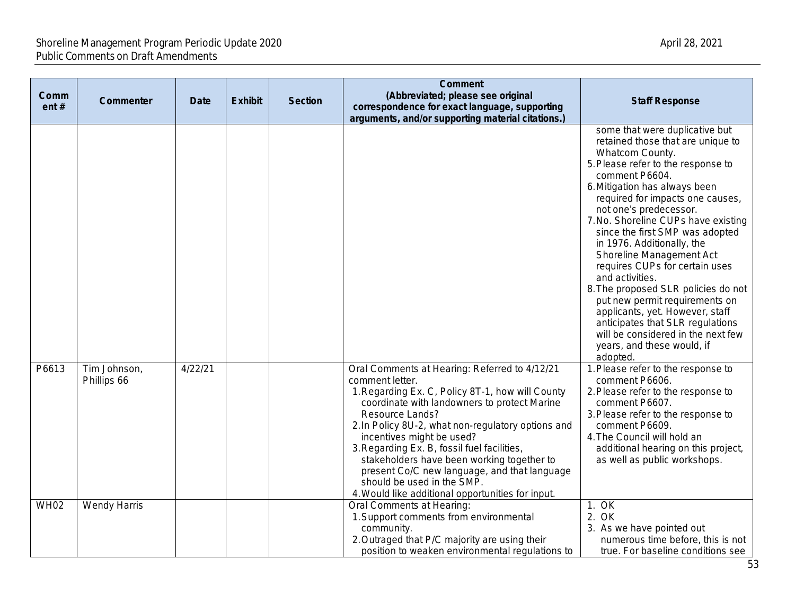| Comm<br>ent# | <b>Commenter</b>            | <b>Date</b> | <b>Exhibit</b> | <b>Section</b> | <b>Comment</b><br>(Abbreviated; please see original<br>correspondence for exact language, supporting<br>arguments, and/or supporting material citations.)                                                                                                                                                                                                                                                                                                                                                  | <b>Staff Response</b>                                                                                                                                                                                                                                                                                                                                                                                                                                                                                                                                                                                                                                                  |
|--------------|-----------------------------|-------------|----------------|----------------|------------------------------------------------------------------------------------------------------------------------------------------------------------------------------------------------------------------------------------------------------------------------------------------------------------------------------------------------------------------------------------------------------------------------------------------------------------------------------------------------------------|------------------------------------------------------------------------------------------------------------------------------------------------------------------------------------------------------------------------------------------------------------------------------------------------------------------------------------------------------------------------------------------------------------------------------------------------------------------------------------------------------------------------------------------------------------------------------------------------------------------------------------------------------------------------|
|              |                             |             |                |                |                                                                                                                                                                                                                                                                                                                                                                                                                                                                                                            | some that were duplicative but<br>retained those that are unique to<br>Whatcom County.<br>5. Please refer to the response to<br>comment P6604.<br>6. Mitigation has always been<br>required for impacts one causes,<br>not one's predecessor.<br>7. No. Shoreline CUPs have existing<br>since the first SMP was adopted<br>in 1976. Additionally, the<br>Shoreline Management Act<br>requires CUPs for certain uses<br>and activities.<br>8. The proposed SLR policies do not<br>put new permit requirements on<br>applicants, yet. However, staff<br>anticipates that SLR regulations<br>will be considered in the next few<br>years, and these would, if<br>adopted. |
| P6613        | Tim Johnson,<br>Phillips 66 | 4/22/21     |                |                | Oral Comments at Hearing: Referred to 4/12/21<br>comment letter.<br>1. Regarding Ex. C, Policy 8T-1, how will County<br>coordinate with landowners to protect Marine<br>Resource Lands?<br>2. In Policy 8U-2, what non-regulatory options and<br>incentives might be used?<br>3. Regarding Ex. B, fossil fuel facilities,<br>stakeholders have been working together to<br>present Co/C new language, and that language<br>should be used in the SMP.<br>4. Would like additional opportunities for input. | 1. Please refer to the response to<br>comment P6606.<br>2. Please refer to the response to<br>comment P6607.<br>3. Please refer to the response to<br>comment P6609.<br>4. The Council will hold an<br>additional hearing on this project,<br>as well as public workshops.                                                                                                                                                                                                                                                                                                                                                                                             |
| <b>WH02</b>  | <b>Wendy Harris</b>         |             |                |                | Oral Comments at Hearing:<br>1. Support comments from environmental<br>community.<br>2. Outraged that P/C majority are using their<br>position to weaken environmental regulations to                                                                                                                                                                                                                                                                                                                      | 1. OK<br>2. OK<br>3. As we have pointed out<br>numerous time before, this is not<br>true. For baseline conditions see                                                                                                                                                                                                                                                                                                                                                                                                                                                                                                                                                  |